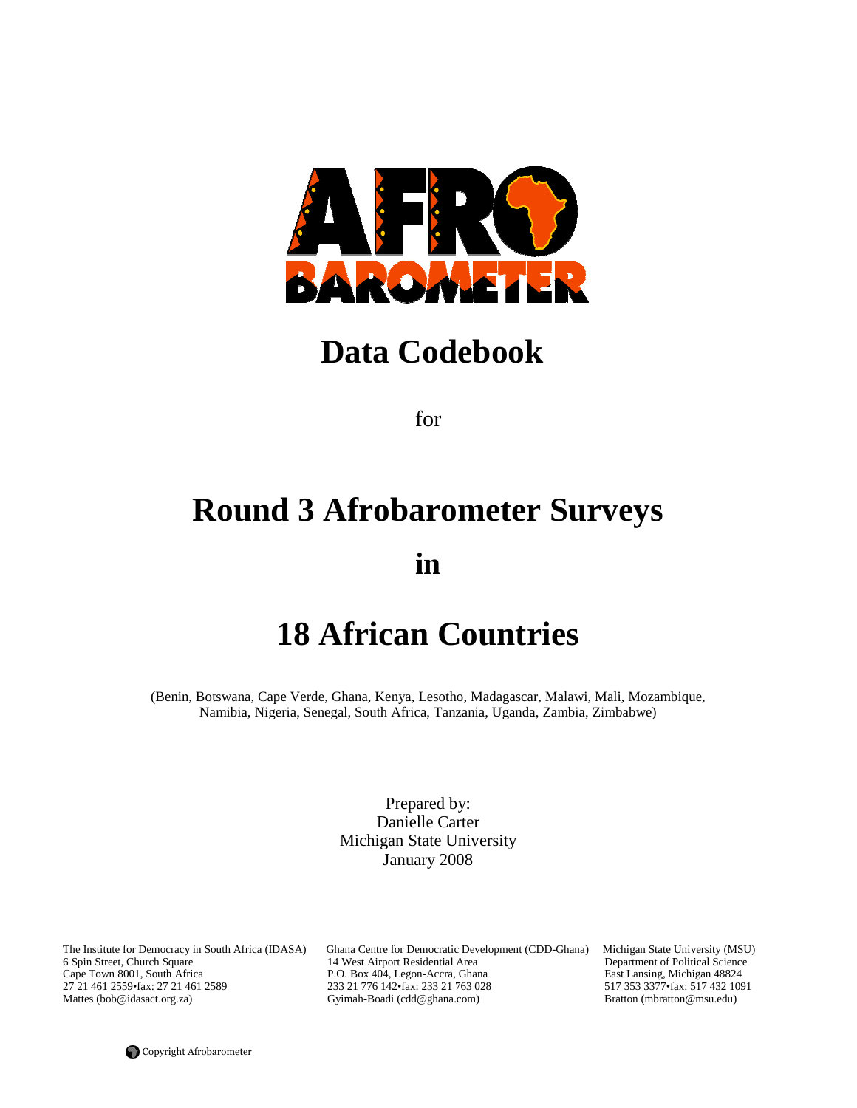

# **Data Codebook**

for

# **Round 3 Afrobarometer Surveys**

**in** 

# **18 African Countries**

(Benin, Botswana, Cape Verde, Ghana, Kenya, Lesotho, Madagascar, Malawi, Mali, Mozambique, Namibia, Nigeria, Senegal, South Africa, Tanzania, Uganda, Zambia, Zimbabwe)

> Prepared by: Danielle Carter Michigan State University January 2008

6 Spin Street, Church Square 14 West Airport Residential Area Cape Town 8001, South Africa P.O. Box 404, Legon-Accra, Ghar

The Institute for Democracy in South Africa (IDASA) Ghana Centre for Democratic Development (CDD-Ghana) Michigan State University (MSU) 6 Spin Street, Church Square 14 West Airport Residential Area Department of Political Cape Town 8001, South Africa <br>27 21 461 2559 fax: 27 21 461 2589 <br>233 21 776 142 fax: 233 21 763 028 <br>233 21 764 2559 fax: 517 432 1091 27 21 461 2559•fax: 27 21 461 2589 233 21 776 142•fax: 233 21 763 028 517 353 3377•fax: 517 432 10<br>Mattes (bob@idasact.org.za) Gyimah-Boadi (cdd@ghana.com) Bratton (mbratton@msu.edu) Gyimah-Boadi (cdd@ghana.com)

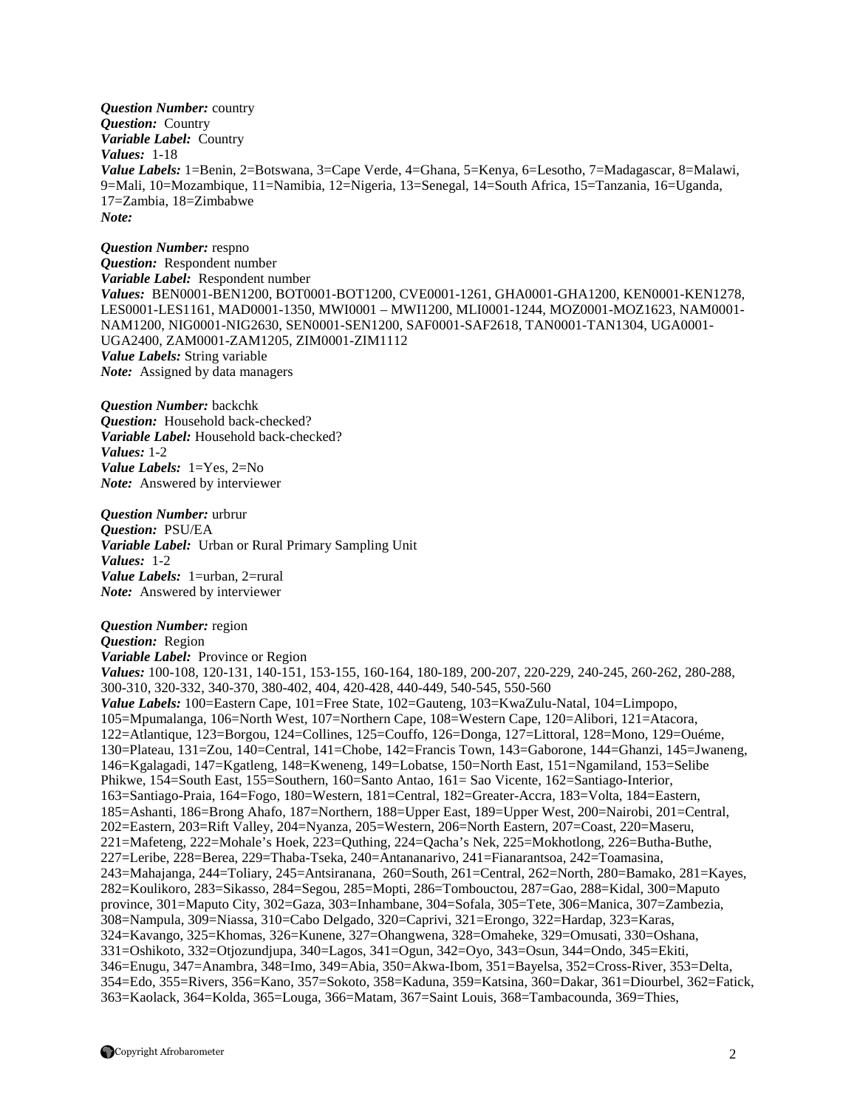*Question Number:* country *Question:* Country *Variable Label:* Country *Values:* 1-18 *Value Labels:* 1=Benin, 2=Botswana, 3=Cape Verde, 4=Ghana, 5=Kenya, 6=Lesotho, 7=Madagascar, 8=Malawi, 9=Mali, 10=Mozambique, 11=Namibia, 12=Nigeria, 13=Senegal, 14=South Africa, 15=Tanzania, 16=Uganda, 17=Zambia, 18=Zimbabwe *Note:*

*Question Number:* respno *Question:* Respondent number *Variable Label:* Respondent number *Values:* BEN0001-BEN1200, BOT0001-BOT1200, CVE0001-1261, GHA0001-GHA1200, KEN0001-KEN1278, LES0001-LES1161, MAD0001-1350, MWI0001 – MWI1200, MLI0001-1244, MOZ0001-MOZ1623, NAM0001- NAM1200, NIG0001-NIG2630, SEN0001-SEN1200, SAF0001-SAF2618, TAN0001-TAN1304, UGA0001- UGA2400, ZAM0001-ZAM1205, ZIM0001-ZIM1112 *Value Labels:* String variable *Note:* Assigned by data managers

*Question Number:* backchk *Question:* Household back-checked? *Variable Label:* Household back-checked? *Values:* 1-2 *Value Labels:* 1=Yes, 2=No *Note:* Answered by interviewer

*Question Number:* urbrur *Question:* PSU/EA *Variable Label:* Urban or Rural Primary Sampling Unit *Values:* 1-2 *Value Labels:* 1=urban, 2=rural *Note:* Answered by interviewer

#### *Question Number:* region

*Question:* Region *Variable Label:* Province or Region *Values:* 100-108, 120-131, 140-151, 153-155, 160-164, 180-189, 200-207, 220-229, 240-245, 260-262, 280-288, 300-310, 320-332, 340-370, 380-402, 404, 420-428, 440-449, 540-545, 550-560 *Value Labels:* 100=Eastern Cape, 101=Free State, 102=Gauteng, 103=KwaZulu-Natal, 104=Limpopo, 105=Mpumalanga, 106=North West, 107=Northern Cape, 108=Western Cape, 120=Alibori, 121=Atacora, 122=Atlantique, 123=Borgou, 124=Collines, 125=Couffo, 126=Donga, 127=Littoral, 128=Mono, 129=Ouéme, 130=Plateau, 131=Zou, 140=Central, 141=Chobe, 142=Francis Town, 143=Gaborone, 144=Ghanzi, 145=Jwaneng, 146=Kgalagadi, 147=Kgatleng, 148=Kweneng, 149=Lobatse, 150=North East, 151=Ngamiland, 153=Selibe Phikwe, 154=South East, 155=Southern, 160=Santo Antao, 161= Sao Vicente, 162=Santiago-Interior, 163=Santiago-Praia, 164=Fogo, 180=Western, 181=Central, 182=Greater-Accra, 183=Volta, 184=Eastern, 185=Ashanti, 186=Brong Ahafo, 187=Northern, 188=Upper East, 189=Upper West, 200=Nairobi, 201=Central, 202=Eastern, 203=Rift Valley, 204=Nyanza, 205=Western, 206=North Eastern, 207=Coast, 220=Maseru, 221=Mafeteng, 222=Mohale's Hoek, 223=Quthing, 224=Qacha's Nek, 225=Mokhotlong, 226=Butha-Buthe, 227=Leribe, 228=Berea, 229=Thaba-Tseka, 240=Antananarivo, 241=Fianarantsoa, 242=Toamasina, 243=Mahajanga, 244=Toliary, 245=Antsiranana, 260=South, 261=Central, 262=North, 280=Bamako, 281=Kayes, 282=Koulikoro, 283=Sikasso, 284=Segou, 285=Mopti, 286=Tombouctou, 287=Gao, 288=Kidal, 300=Maputo province, 301=Maputo City, 302=Gaza, 303=Inhambane, 304=Sofala, 305=Tete, 306=Manica, 307=Zambezia, 308=Nampula, 309=Niassa, 310=Cabo Delgado, 320=Caprivi, 321=Erongo, 322=Hardap, 323=Karas, 324=Kavango, 325=Khomas, 326=Kunene, 327=Ohangwena, 328=Omaheke, 329=Omusati, 330=Oshana, 331=Oshikoto, 332=Otjozundjupa, 340=Lagos, 341=Ogun, 342=Oyo, 343=Osun, 344=Ondo, 345=Ekiti, 346=Enugu, 347=Anambra, 348=Imo, 349=Abia, 350=Akwa-Ibom, 351=Bayelsa, 352=Cross-River, 353=Delta, 354=Edo, 355=Rivers, 356=Kano, 357=Sokoto, 358=Kaduna, 359=Katsina, 360=Dakar, 361=Diourbel, 362=Fatick, 363=Kaolack, 364=Kolda, 365=Louga, 366=Matam, 367=Saint Louis, 368=Tambacounda, 369=Thies,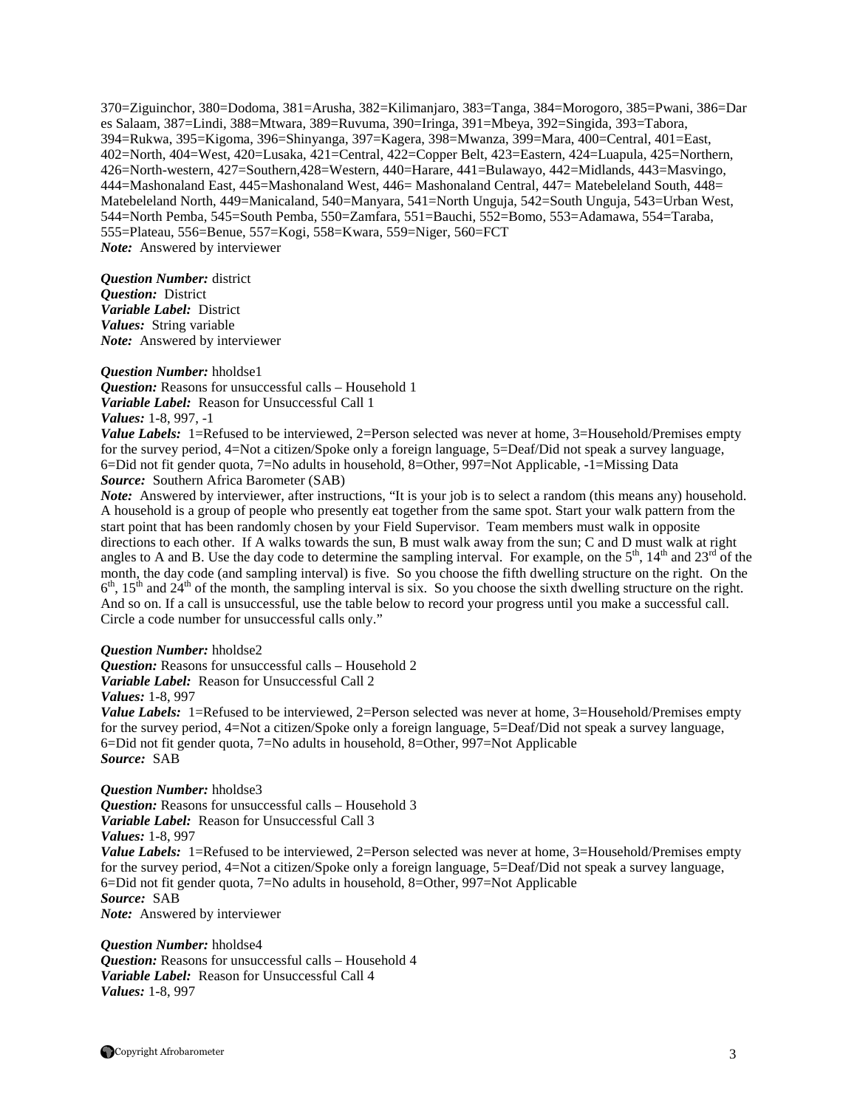370=Ziguinchor, 380=Dodoma, 381=Arusha, 382=Kilimanjaro, 383=Tanga, 384=Morogoro, 385=Pwani, 386=Dar es Salaam, 387=Lindi, 388=Mtwara, 389=Ruvuma, 390=Iringa, 391=Mbeya, 392=Singida, 393=Tabora, 394=Rukwa, 395=Kigoma, 396=Shinyanga, 397=Kagera, 398=Mwanza, 399=Mara, 400=Central, 401=East, 402=North, 404=West, 420=Lusaka, 421=Central, 422=Copper Belt, 423=Eastern, 424=Luapula, 425=Northern, 426=North-western, 427=Southern,428=Western, 440=Harare, 441=Bulawayo, 442=Midlands, 443=Masvingo, 444=Mashonaland East, 445=Mashonaland West, 446= Mashonaland Central, 447= Matebeleland South, 448= Matebeleland North, 449=Manicaland, 540=Manyara, 541=North Unguja, 542=South Unguja, 543=Urban West, 544=North Pemba, 545=South Pemba, 550=Zamfara, 551=Bauchi, 552=Bomo, 553=Adamawa, 554=Taraba, 555=Plateau, 556=Benue, 557=Kogi, 558=Kwara, 559=Niger, 560=FCT *Note:* Answered by interviewer

*Question Number:* district *Question:* District *Variable Label:* District *Values:* String variable *Note:* Answered by interviewer

*Question Number:* hholdse1 *Question:* Reasons for unsuccessful calls – Household 1 *Variable Label:* Reason for Unsuccessful Call 1 *Values:* 1-8, 997, -1

*Value Labels:* 1=Refused to be interviewed, 2=Person selected was never at home, 3=Household/Premises empty for the survey period, 4=Not a citizen/Spoke only a foreign language, 5=Deaf/Did not speak a survey language, 6=Did not fit gender quota, 7=No adults in household, 8=Other, 997=Not Applicable, -1=Missing Data *Source:* Southern Africa Barometer (SAB)

*Note:* Answered by interviewer, after instructions, "It is your job is to select a random (this means any) household. A household is a group of people who presently eat together from the same spot. Start your walk pattern from the start point that has been randomly chosen by your Field Supervisor. Team members must walk in opposite directions to each other. If A walks towards the sun, B must walk away from the sun; C and D must walk at right angles to A and B. Use the day code to determine the sampling interval. For example, on the  $5<sup>th</sup>$ ,  $14<sup>th</sup>$  and  $23<sup>rd</sup>$  of the month, the day code (and sampling interval) is five. So you choose the fifth dwelling structure on the right. On the  $6<sup>th</sup>$ ,  $15<sup>th</sup>$  and  $24<sup>th</sup>$  of the month, the sampling interval is six. So you choose the sixth dwelling structure on the right. And so on. If a call is unsuccessful, use the table below to record your progress until you make a successful call. Circle a code number for unsuccessful calls only."

#### *Question Number:* hholdse2

*Question:* Reasons for unsuccessful calls – Household 2

*Variable Label:* Reason for Unsuccessful Call 2

*Values:* 1-8, 997

*Value Labels:* 1=Refused to be interviewed, 2=Person selected was never at home, 3=Household/Premises empty for the survey period, 4=Not a citizen/Spoke only a foreign language, 5=Deaf/Did not speak a survey language, 6=Did not fit gender quota, 7=No adults in household, 8=Other, 997=Not Applicable *Source:* SAB

#### *Question Number:* hholdse3

*Question:* Reasons for unsuccessful calls – Household 3 *Variable Label:* Reason for Unsuccessful Call 3 *Values:* 1-8, 997 *Value Labels:* 1=Refused to be interviewed, 2=Person selected was never at home, 3=Household/Premises empty for the survey period, 4=Not a citizen/Spoke only a foreign language, 5=Deaf/Did not speak a survey language, 6=Did not fit gender quota, 7=No adults in household, 8=Other, 997=Not Applicable *Source:* SAB *Note:* Answered by interviewer

*Question Number:* hholdse4 *Question:* Reasons for unsuccessful calls – Household 4 *Variable Label:* Reason for Unsuccessful Call 4 *Values:* 1-8, 997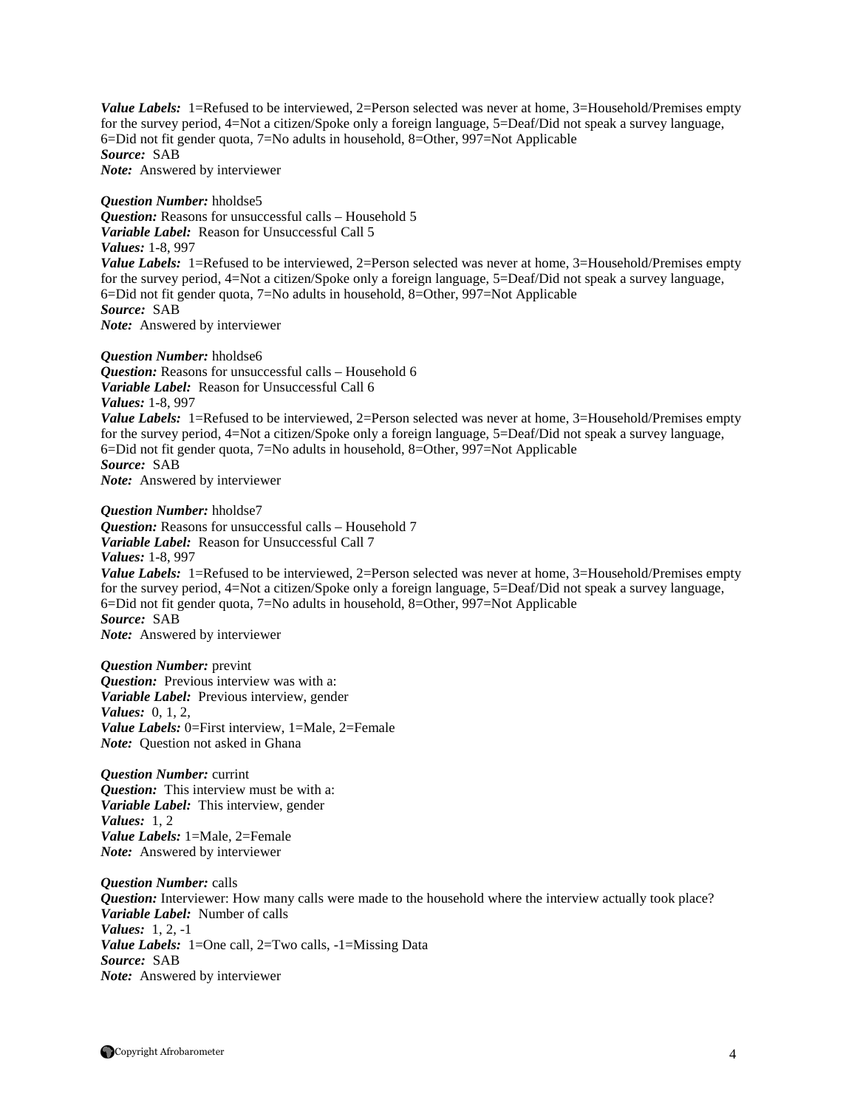Value Labels: 1=Refused to be interviewed, 2=Person selected was never at home, 3=Household/Premises empty for the survey period, 4=Not a citizen/Spoke only a foreign language, 5=Deaf/Did not speak a survey language, 6=Did not fit gender quota, 7=No adults in household, 8=Other, 997=Not Applicable *Source:* SAB *Note:* Answered by interviewer

*Question Number:* hholdse5 *Question:* Reasons for unsuccessful calls – Household 5 *Variable Label:* Reason for Unsuccessful Call 5 *Values:* 1-8, 997 *Value Labels:* 1=Refused to be interviewed, 2=Person selected was never at home, 3=Household/Premises empty for the survey period, 4=Not a citizen/Spoke only a foreign language, 5=Deaf/Did not speak a survey language, 6=Did not fit gender quota, 7=No adults in household, 8=Other, 997=Not Applicable *Source:* SAB *Note:* Answered by interviewer

#### *Question Number:* hholdse6

*Question:* Reasons for unsuccessful calls – Household 6 *Variable Label:* Reason for Unsuccessful Call 6 *Values:* 1-8, 997 *Value Labels:* 1=Refused to be interviewed, 2=Person selected was never at home, 3=Household/Premises empty for the survey period, 4=Not a citizen/Spoke only a foreign language, 5=Deaf/Did not speak a survey language, 6=Did not fit gender quota, 7=No adults in household, 8=Other, 997=Not Applicable *Source:* SAB *Note:* Answered by interviewer

*Question Number:* hholdse7 *Question:* Reasons for unsuccessful calls – Household 7 *Variable Label:* Reason for Unsuccessful Call 7 *Values:* 1-8, 997 *Value Labels:* 1=Refused to be interviewed, 2=Person selected was never at home, 3=Household/Premises empty for the survey period, 4=Not a citizen/Spoke only a foreign language, 5=Deaf/Did not speak a survey language, 6=Did not fit gender quota, 7=No adults in household, 8=Other, 997=Not Applicable *Source:* SAB *Note:* Answered by interviewer

*Question Number:* prevint *Question:* Previous interview was with a: *Variable Label:* Previous interview, gender *Values:* 0, 1, 2, *Value Labels:* 0=First interview, 1=Male, 2=Female *Note:* Question not asked in Ghana

*Question Number:* currint *Question:* This interview must be with a: *Variable Label:* This interview, gender *Values:* 1, 2 *Value Labels:* 1=Male, 2=Female *Note:* Answered by interviewer

*Question Number:* calls *Question:* Interviewer: How many calls were made to the household where the interview actually took place? *Variable Label:* Number of calls *Values:* 1, 2, -1 *Value Labels:* 1=One call, 2=Two calls, -1=Missing Data *Source:* SAB *Note:* Answered by interviewer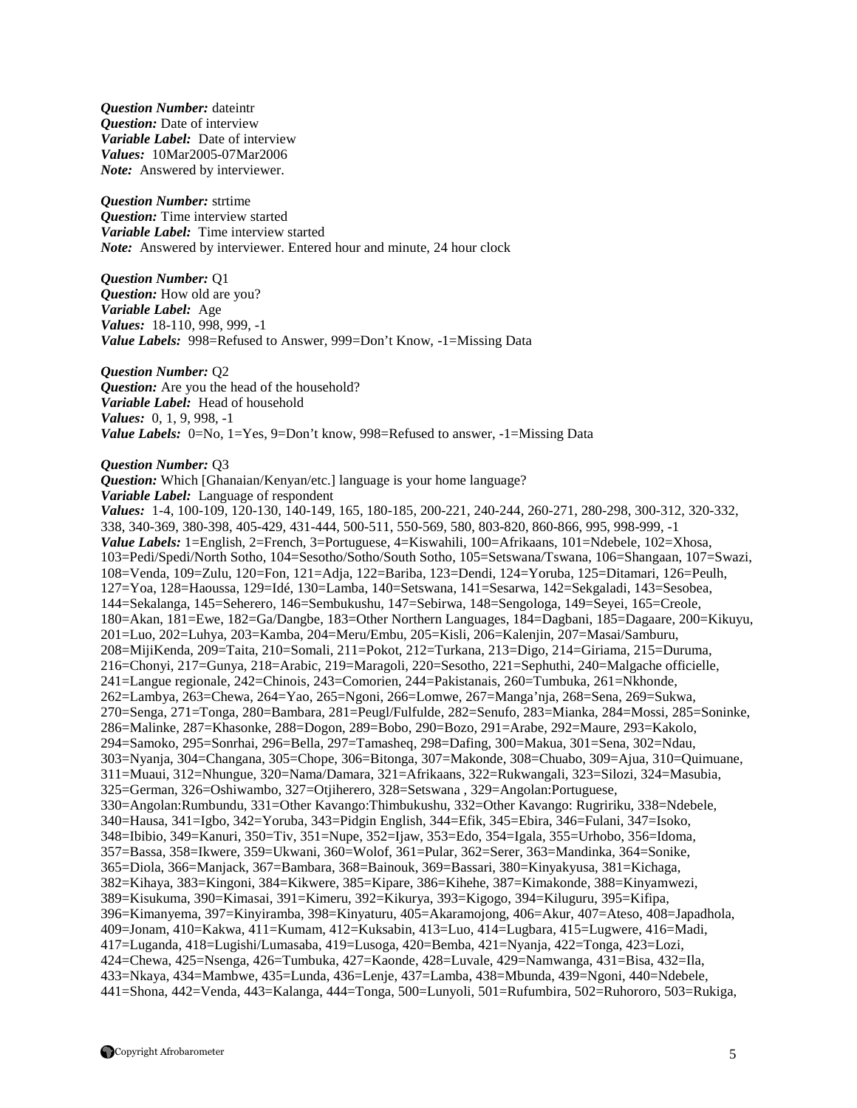*Question Number:* dateintr *Question:* Date of interview *Variable Label:* Date of interview *Values:* 10Mar2005-07Mar2006 *Note:* Answered by interviewer.

*Question Number:* strtime *Question:* Time interview started *Variable Label:* Time interview started *Note:* Answered by interviewer. Entered hour and minute, 24 hour clock

*Question Number:* Q1 *Question:* How old are you? *Variable Label:* Age *Values:* 18-110, 998, 999, -1 *Value Labels:* 998=Refused to Answer, 999=Don't Know, -1=Missing Data

*Question Number:* Q2 *Question:* Are you the head of the household? *Variable Label:* Head of household *Values:* 0, 1, 9, 998, -1 *Value Labels:* 0=No, 1=Yes, 9=Don't know, 998=Refused to answer, -1=Missing Data

*Question Number:* Q3

*Question:* Which [Ghanaian/Kenyan/etc.] language is your home language? *Variable Label:* Language of respondent

*Values:* 1-4, 100-109, 120-130, 140-149, 165, 180-185, 200-221, 240-244, 260-271, 280-298, 300-312, 320-332, 338, 340-369, 380-398, 405-429, 431-444, 500-511, 550-569, 580, 803-820, 860-866, 995, 998-999, -1 *Value Labels:* 1=English, 2=French, 3=Portuguese, 4=Kiswahili, 100=Afrikaans, 101=Ndebele, 102=Xhosa, 103=Pedi/Spedi/North Sotho, 104=Sesotho/Sotho/South Sotho, 105=Setswana/Tswana, 106=Shangaan, 107=Swazi, 108=Venda, 109=Zulu, 120=Fon, 121=Adja, 122=Bariba, 123=Dendi, 124=Yoruba, 125=Ditamari, 126=Peulh, 127=Yoa, 128=Haoussa, 129=Idé, 130=Lamba, 140=Setswana, 141=Sesarwa, 142=Sekgaladi, 143=Sesobea, 144=Sekalanga, 145=Seherero, 146=Sembukushu, 147=Sebirwa, 148=Sengologa, 149=Seyei, 165=Creole, 180=Akan, 181=Ewe, 182=Ga/Dangbe, 183=Other Northern Languages, 184=Dagbani, 185=Dagaare, 200=Kikuyu, 201=Luo, 202=Luhya, 203=Kamba, 204=Meru/Embu, 205=Kisli, 206=Kalenjin, 207=Masai/Samburu, 208=MijiKenda, 209=Taita, 210=Somali, 211=Pokot, 212=Turkana, 213=Digo, 214=Giriama, 215=Duruma, 216=Chonyi, 217=Gunya, 218=Arabic, 219=Maragoli, 220=Sesotho, 221=Sephuthi, 240=Malgache officielle, 241=Langue regionale, 242=Chinois, 243=Comorien, 244=Pakistanais, 260=Tumbuka, 261=Nkhonde, 262=Lambya, 263=Chewa, 264=Yao, 265=Ngoni, 266=Lomwe, 267=Manga'nja, 268=Sena, 269=Sukwa, 270=Senga, 271=Tonga, 280=Bambara, 281=Peugl/Fulfulde, 282=Senufo, 283=Mianka, 284=Mossi, 285=Soninke, 286=Malinke, 287=Khasonke, 288=Dogon, 289=Bobo, 290=Bozo, 291=Arabe, 292=Maure, 293=Kakolo, 294=Samoko, 295=Sonrhai, 296=Bella, 297=Tamasheq, 298=Dafing, 300=Makua, 301=Sena, 302=Ndau, 303=Nyanja, 304=Changana, 305=Chope, 306=Bitonga, 307=Makonde, 308=Chuabo, 309=Ajua, 310=Quimuane, 311=Muaui, 312=Nhungue, 320=Nama/Damara, 321=Afrikaans, 322=Rukwangali, 323=Silozi, 324=Masubia, 325=German, 326=Oshiwambo, 327=Otjiherero, 328=Setswana , 329=Angolan:Portuguese, 330=Angolan:Rumbundu, 331=Other Kavango:Thimbukushu, 332=Other Kavango: Rugririku, 338=Ndebele, 340=Hausa, 341=Igbo, 342=Yoruba, 343=Pidgin English, 344=Efik, 345=Ebira, 346=Fulani, 347=Isoko, 348=Ibibio, 349=Kanuri, 350=Tiv, 351=Nupe, 352=Ijaw, 353=Edo, 354=Igala, 355=Urhobo, 356=Idoma*,*  357=Bassa, 358=Ikwere, 359=Ukwani, 360=Wolof, 361=Pular, 362=Serer, 363=Mandinka, 364=Sonike, 365=Diola, 366=Manjack, 367=Bambara, 368=Bainouk, 369=Bassari, 380=Kinyakyusa, 381=Kichaga, 382=Kihaya, 383=Kingoni, 384=Kikwere, 385=Kipare, 386=Kihehe, 387=Kimakonde, 388=Kinyamwezi, 389=Kisukuma, 390=Kimasai, 391=Kimeru, 392=Kikurya, 393=Kigogo, 394=Kiluguru, 395=Kifipa, 396=Kimanyema, 397=Kinyiramba, 398=Kinyaturu, 405=Akaramojong, 406=Akur, 407=Ateso, 408=Japadhola, 409=Jonam, 410=Kakwa, 411=Kumam, 412=Kuksabin, 413=Luo, 414=Lugbara, 415=Lugwere, 416=Madi, 417=Luganda, 418=Lugishi/Lumasaba, 419=Lusoga, 420=Bemba, 421=Nyanja, 422=Tonga, 423=Lozi, 424=Chewa, 425=Nsenga, 426=Tumbuka, 427=Kaonde, 428=Luvale, 429=Namwanga, 431=Bisa, 432=Ila, 433=Nkaya, 434=Mambwe, 435=Lunda, 436=Lenje, 437=Lamba, 438=Mbunda, 439=Ngoni, 440=Ndebele, 441=Shona, 442=Venda, 443=Kalanga, 444=Tonga, 500=Lunyoli, 501=Rufumbira, 502=Ruhororo, 503=Rukiga,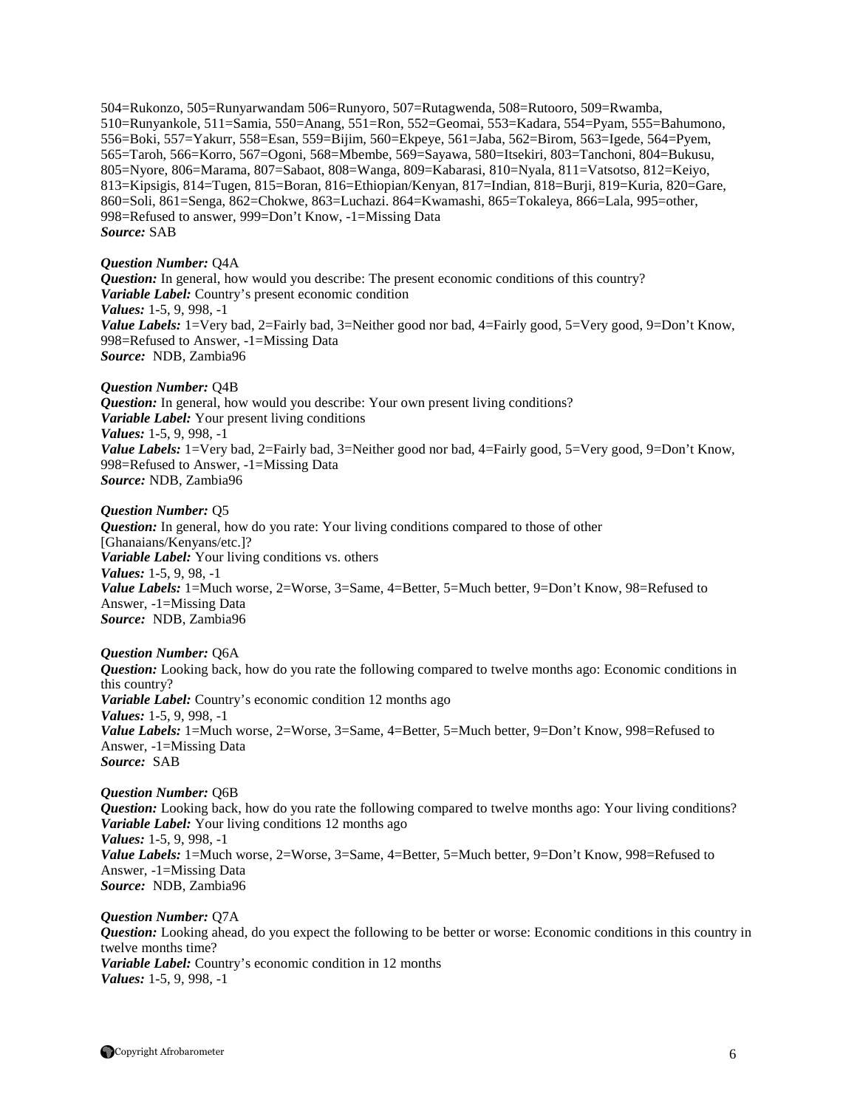504=Rukonzo, 505=Runyarwandam 506=Runyoro, 507=Rutagwenda, 508=Rutooro, 509=Rwamba, 510=Runyankole, 511=Samia, 550=Anang, 551=Ron, 552=Geomai, 553=Kadara, 554=Pyam, 555=Bahumono, 556=Boki, 557=Yakurr, 558=Esan, 559=Bijim, 560=Ekpeye, 561=Jaba, 562=Birom, 563=Igede, 564=Pyem, 565=Taroh, 566=Korro, 567=Ogoni, 568=Mbembe, 569=Sayawa, 580=Itsekiri, 803=Tanchoni, 804=Bukusu, 805=Nyore, 806=Marama, 807=Sabaot, 808=Wanga, 809=Kabarasi, 810=Nyala, 811=Vatsotso, 812=Keiyo, 813=Kipsigis, 814=Tugen, 815=Boran, 816=Ethiopian/Kenyan, 817=Indian, 818=Burji, 819=Kuria, 820=Gare, 860=Soli, 861=Senga, 862=Chokwe, 863=Luchazi. 864=Kwamashi, 865=Tokaleya, 866=Lala, 995=other, 998=Refused to answer, 999=Don't Know, -1=Missing Data *Source:* SAB

#### *Question Number:* Q4A

*Question:* In general, how would you describe: The present economic conditions of this country? *Variable Label:* Country's present economic condition *Values:* 1-5, 9, 998, -1 *Value Labels:* 1=Very bad, 2=Fairly bad, 3=Neither good nor bad, 4=Fairly good, 5=Very good, 9=Don't Know, 998=Refused to Answer, -1=Missing Data *Source:* NDB, Zambia96

#### *Question Number:* Q4B

*Question:* In general, how would you describe: Your own present living conditions? *Variable Label:* Your present living conditions *Values:* 1-5, 9, 998, -1 *Value Labels:* 1=Very bad, 2=Fairly bad, 3=Neither good nor bad, 4=Fairly good, 5=Very good, 9=Don't Know, 998=Refused to Answer, -1=Missing Data *Source:* NDB, Zambia96

#### *Question Number:* Q5

*Question:* In general, how do you rate: Your living conditions compared to those of other [Ghanaians/Kenyans/etc.]? *Variable Label:* Your living conditions vs. others *Values:* 1-5, 9, 98, -1 *Value Labels:* 1=Much worse, 2=Worse, 3=Same, 4=Better, 5=Much better, 9=Don't Know, 98=Refused to Answer, -1=Missing Data *Source:* NDB, Zambia96

#### *Question Number:* Q6A

*Question:* Looking back, how do you rate the following compared to twelve months ago: Economic conditions in this country? *Variable Label:* Country's economic condition 12 months ago *Values:* 1-5, 9, 998, -1 Value Labels: 1=Much worse, 2=Worse, 3=Same, 4=Better, 5=Much better, 9=Don't Know, 998=Refused to Answer, -1=Missing Data *Source:* SAB

#### *Question Number:* Q6B *Question:* Looking back, how do you rate the following compared to twelve months ago: Your living conditions? *Variable Label:* Your living conditions 12 months ago *Values:* 1-5, 9, 998, -1 *Value Labels:* 1=Much worse, 2=Worse, 3=Same, 4=Better, 5=Much better, 9=Don't Know, 998=Refused to Answer, -1=Missing Data *Source:* NDB, Zambia96

*Question Number:* Q7A *Question:* Looking ahead, do you expect the following to be better or worse: Economic conditions in this country in twelve months time? *Variable Label:* Country's economic condition in 12 months *Values:* 1-5, 9, 998, -1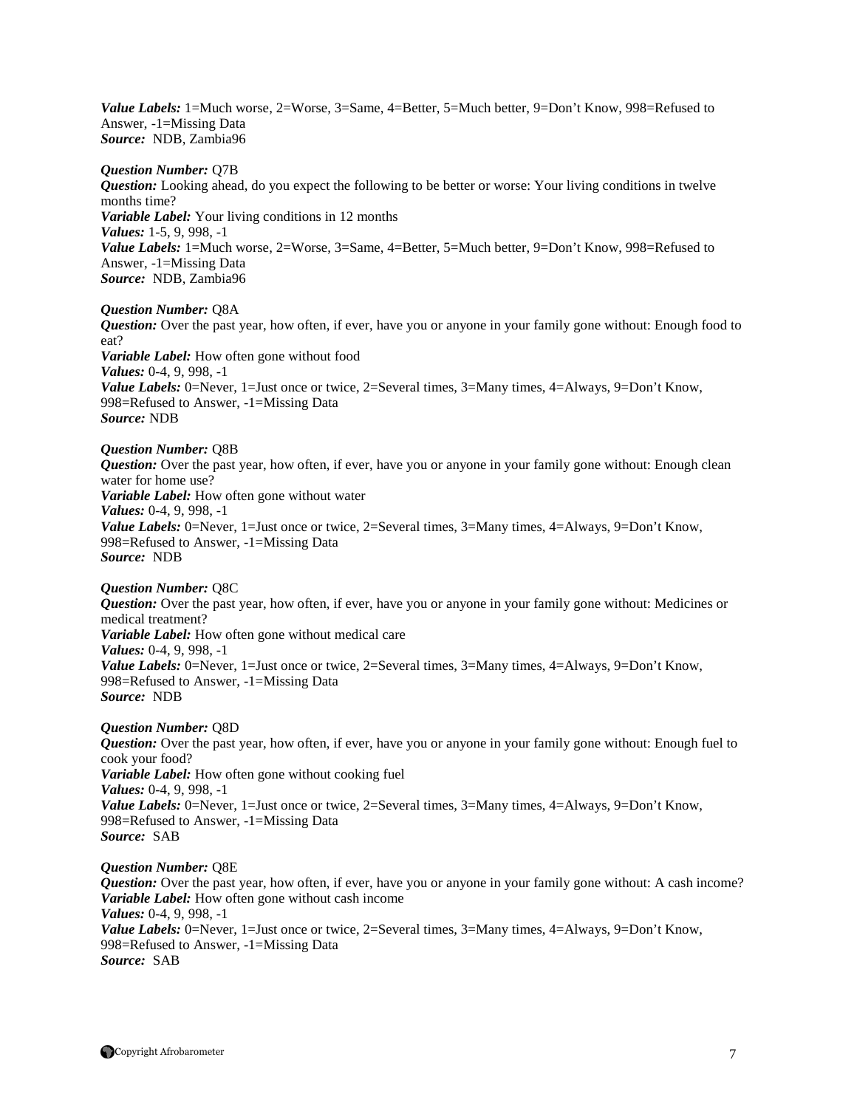Value Labels: 1=Much worse, 2=Worse, 3=Same, 4=Better, 5=Much better, 9=Don't Know, 998=Refused to Answer, -1=Missing Data *Source:* NDB, Zambia96

#### *Question Number:* Q7B

*Question:* Looking ahead, do you expect the following to be better or worse: Your living conditions in twelve months time? *Variable Label:* Your living conditions in 12 months *Values:* 1-5, 9, 998, -1 Value Labels: 1=Much worse, 2=Worse, 3=Same, 4=Better, 5=Much better, 9=Don't Know, 998=Refused to Answer, -1=Missing Data *Source:* NDB, Zambia96

*Question Number:* Q8A

*Question:* Over the past year, how often, if ever, have you or anyone in your family gone without: Enough food to eat? *Variable Label:* How often gone without food *Values:* 0-4, 9, 998, -1

*Value Labels:* 0=Never, 1=Just once or twice, 2=Several times, 3=Many times, 4=Always, 9=Don't Know, 998=Refused to Answer, -1=Missing Data *Source:* NDB

# *Question Number:* Q8B

*Question:* Over the past year, how often, if ever, have you or anyone in your family gone without: Enough clean water for home use? *Variable Label:* How often gone without water *Values:* 0-4, 9, 998, -1 *Value Labels:* 0=Never, 1=Just once or twice, 2=Several times, 3=Many times, 4=Always, 9=Don't Know, 998=Refused to Answer, -1=Missing Data *Source:* NDB

#### *Question Number:* Q8C

*Question:* Over the past year, how often, if ever, have you or anyone in your family gone without: Medicines or medical treatment? *Variable Label:* How often gone without medical care *Values:* 0-4, 9, 998, -1 *Value Labels:* 0=Never, 1=Just once or twice, 2=Several times, 3=Many times, 4=Always, 9=Don't Know, 998=Refused to Answer, -1=Missing Data *Source:* NDB

#### *Question Number:* Q8D

*Question:* Over the past year, how often, if ever, have you or anyone in your family gone without: Enough fuel to cook your food? *Variable Label:* How often gone without cooking fuel *Values:* 0-4, 9, 998, -1 *Value Labels:* 0=Never, 1=Just once or twice, 2=Several times, 3=Many times, 4=Always, 9=Don't Know, 998=Refused to Answer, -1=Missing Data *Source:* SAB

#### *Question Number:* Q8E

*Question:* Over the past year, how often, if ever, have you or anyone in your family gone without: A cash income? *Variable Label:* How often gone without cash income *Values:* 0-4, 9, 998, -1 Value Labels: 0=Never, 1=Just once or twice, 2=Several times, 3=Many times, 4=Always, 9=Don't Know, 998=Refused to Answer, -1=Missing Data *Source:* SAB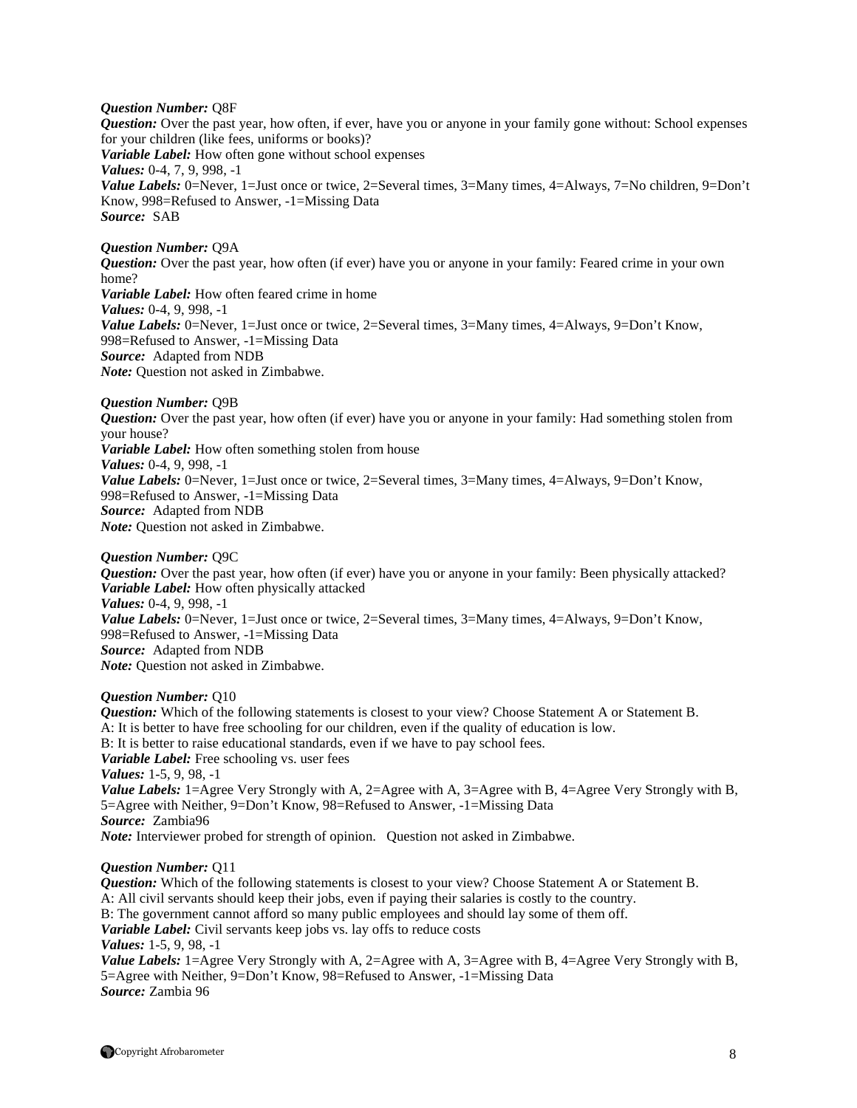#### *Question Number:* Q8F

*Question:* Over the past year, how often, if ever, have you or anyone in your family gone without: School expenses for your children (like fees, uniforms or books)? *Variable Label:* How often gone without school expenses *Values:* 0-4, 7, 9, 998, -1 *Value Labels:* 0=Never, 1=Just once or twice, 2=Several times, 3=Many times, 4=Always, 7=No children, 9=Don't Know, 998=Refused to Answer, -1=Missing Data *Source:* SAB

#### *Question Number:* Q9A

*Question:* Over the past year, how often (if ever) have you or anyone in your family: Feared crime in your own home? *Variable Label:* How often feared crime in home *Values:* 0-4, 9, 998, -1 *Value Labels:* 0=Never, 1=Just once or twice, 2=Several times, 3=Many times, 4=Always, 9=Don't Know, 998=Refused to Answer, -1=Missing Data *Source:* Adapted from NDB *Note:* Question not asked in Zimbabwe.

#### *Question Number:* Q9B

*Question:* Over the past year, how often (if ever) have you or anyone in your family: Had something stolen from your house? *Variable Label:* How often something stolen from house *Values:* 0-4, 9, 998, -1 *Value Labels:* 0=Never, 1=Just once or twice, 2=Several times, 3=Many times, 4=Always, 9=Don't Know, 998=Refused to Answer, -1=Missing Data *Source:* Adapted from NDB *Note:* Question not asked in Zimbabwe.

#### *Question Number:* Q9C

*Question:* Over the past year, how often (if ever) have you or anyone in your family: Been physically attacked? *Variable Label:* How often physically attacked *Values:* 0-4, 9, 998, -1 *Value Labels:* 0=Never, 1=Just once or twice, 2=Several times, 3=Many times, 4=Always, 9=Don't Know, 998=Refused to Answer, -1=Missing Data *Source:* Adapted from NDB *Note:* Question not asked in Zimbabwe.

#### *Question Number:* Q10

*Question:* Which of the following statements is closest to your view? Choose Statement A or Statement B. A: It is better to have free schooling for our children, even if the quality of education is low. B: It is better to raise educational standards, even if we have to pay school fees. *Variable Label:* Free schooling vs. user fees *Values:* 1-5, 9, 98, -1 *Value Labels:* 1=Agree Very Strongly with A, 2=Agree with A, 3=Agree with B, 4=Agree Very Strongly with B, 5=Agree with Neither, 9=Don't Know, 98=Refused to Answer, -1=Missing Data *Source:* Zambia96 *Note:* Interviewer probed for strength of opinion. Question not asked in Zimbabwe.

#### *Question Number:* Q11

*Question:* Which of the following statements is closest to your view? Choose Statement A or Statement B. A: All civil servants should keep their jobs, even if paying their salaries is costly to the country. B: The government cannot afford so many public employees and should lay some of them off. *Variable Label:* Civil servants keep jobs vs. lay offs to reduce costs *Values:* 1-5, 9, 98, -1 *Value Labels:* 1=Agree Very Strongly with A, 2=Agree with A, 3=Agree with B, 4=Agree Very Strongly with B, 5=Agree with Neither, 9=Don't Know, 98=Refused to Answer, -1=Missing Data *Source:* Zambia 96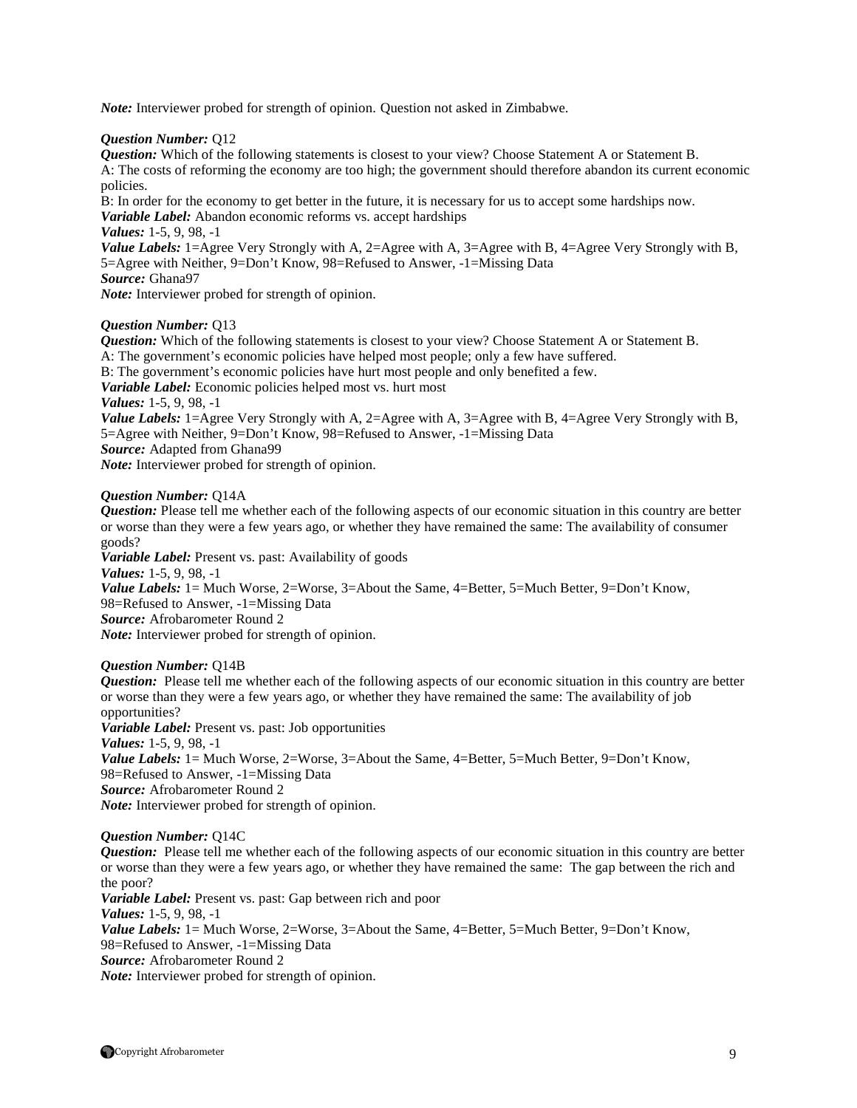*Note:* Interviewer probed for strength of opinion. Question not asked in Zimbabwe.

#### *Question Number:* Q12

*Question:* Which of the following statements is closest to your view? Choose Statement A or Statement B. A: The costs of reforming the economy are too high; the government should therefore abandon its current economic policies.

B: In order for the economy to get better in the future, it is necessary for us to accept some hardships now.

*Variable Label:* Abandon economic reforms vs. accept hardships

*Values:* 1-5, 9, 98, -1

*Value Labels:* 1=Agree Very Strongly with A, 2=Agree with A, 3=Agree with B, 4=Agree Very Strongly with B, 5=Agree with Neither, 9=Don't Know, 98=Refused to Answer, -1=Missing Data *Source:* Ghana97

*Note:* Interviewer probed for strength of opinion.

#### *Question Number:* Q13

*Question:* Which of the following statements is closest to your view? Choose Statement A or Statement B. A: The government's economic policies have helped most people; only a few have suffered.

B: The government's economic policies have hurt most people and only benefited a few.

*Variable Label:* Economic policies helped most vs. hurt most

*Values:* 1-5, 9, 98, -1

*Value Labels:* 1=Agree Very Strongly with A, 2=Agree with A, 3=Agree with B, 4=Agree Very Strongly with B, 5=Agree with Neither, 9=Don't Know, 98=Refused to Answer, -1=Missing Data

*Source:* Adapted from Ghana99

*Note:* Interviewer probed for strength of opinion.

#### *Question Number:* Q14A

*Question:* Please tell me whether each of the following aspects of our economic situation in this country are better or worse than they were a few years ago, or whether they have remained the same: The availability of consumer goods?

*Variable Label:* Present vs. past: Availability of goods *Values:* 1-5, 9, 98, -1 *Value Labels:* 1= Much Worse, 2=Worse, 3=About the Same, 4=Better, 5=Much Better, 9=Don't Know, 98=Refused to Answer, -1=Missing Data *Source:* Afrobarometer Round 2 *Note:* Interviewer probed for strength of opinion.

#### *Question Number:* Q14B

*Question:* Please tell me whether each of the following aspects of our economic situation in this country are better or worse than they were a few years ago, or whether they have remained the same: The availability of job opportunities?

*Variable Label:* Present vs. past: Job opportunities *Values:* 1-5, 9, 98, -1 *Value Labels:* 1= Much Worse, 2=Worse, 3=About the Same, 4=Better, 5=Much Better, 9=Don't Know, 98=Refused to Answer, -1=Missing Data *Source:* Afrobarometer Round 2 *Note:* Interviewer probed for strength of opinion.

*Question Number:* Q14C

*Question:* Please tell me whether each of the following aspects of our economic situation in this country are better or worse than they were a few years ago, or whether they have remained the same: The gap between the rich and the poor? *Variable Label:* Present vs. past: Gap between rich and poor *Values:* 1-5, 9, 98, -1 *Value Labels:* 1= Much Worse, 2=Worse, 3=About the Same, 4=Better, 5=Much Better, 9=Don't Know, 98=Refused to Answer, -1=Missing Data *Source:* Afrobarometer Round 2 *Note:* Interviewer probed for strength of opinion.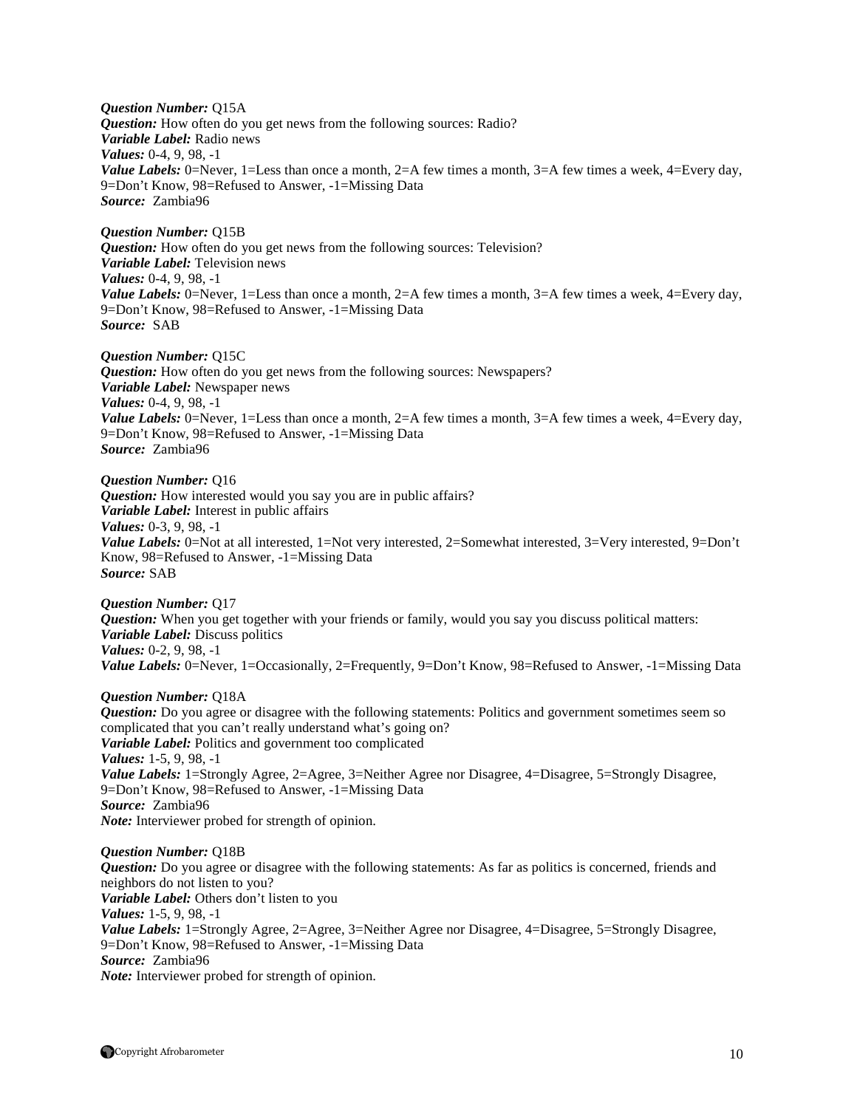*Question Number:* Q15A *Question:* How often do you get news from the following sources: Radio? *Variable Label:* Radio news *Values:* 0-4, 9, 98, -1 *Value Labels:* 0=Never, 1=Less than once a month, 2=A few times a month, 3=A few times a week, 4=Every day, 9=Don't Know, 98=Refused to Answer, -1=Missing Data *Source:* Zambia96

*Question Number:* Q15B *Question:* How often do you get news from the following sources: Television? *Variable Label:* Television news *Values:* 0-4, 9, 98, -1 *Value Labels:* 0=Never, 1=Less than once a month, 2=A few times a month, 3=A few times a week, 4=Every day, 9=Don't Know, 98=Refused to Answer, -1=Missing Data *Source:* SAB

*Question Number:* Q15C *Question:* How often do you get news from the following sources: Newspapers? *Variable Label:* Newspaper news *Values:* 0-4, 9, 98, -1 *Value Labels:* 0=Never, 1=Less than once a month, 2=A few times a month, 3=A few times a week, 4=Every day, 9=Don't Know, 98=Refused to Answer, -1=Missing Data *Source:* Zambia96

*Question Number:* Q16 *Question:* How interested would you say you are in public affairs? *Variable Label:* Interest in public affairs *Values:* 0-3, 9, 98, -1 *Value Labels:* 0=Not at all interested, 1=Not very interested, 2=Somewhat interested, 3=Very interested, 9=Don't Know, 98=Refused to Answer, -1=Missing Data *Source:* SAB

*Question Number:* Q17 *Question:* When you get together with your friends or family, would you say you discuss political matters: *Variable Label:* Discuss politics *Values:* 0-2, 9, 98, -1 *Value Labels:* 0=Never, 1=Occasionally, 2=Frequently, 9=Don't Know, 98=Refused to Answer, -1=Missing Data

*Question Number:* Q18A

*Question:* Do you agree or disagree with the following statements: Politics and government sometimes seem so complicated that you can't really understand what's going on? *Variable Label:* Politics and government too complicated *Values:* 1-5, 9, 98, -1 *Value Labels:* 1=Strongly Agree, 2=Agree, 3=Neither Agree nor Disagree, 4=Disagree, 5=Strongly Disagree, 9=Don't Know, 98=Refused to Answer, -1=Missing Data *Source:* Zambia96 *Note:* Interviewer probed for strength of opinion.

*Question Number:* Q18B *Question:* Do you agree or disagree with the following statements: As far as politics is concerned, friends and neighbors do not listen to you? *Variable Label:* Others don't listen to you *Values:* 1-5, 9, 98, -1 *Value Labels:* 1=Strongly Agree, 2=Agree, 3=Neither Agree nor Disagree, 4=Disagree, 5=Strongly Disagree, 9=Don't Know, 98=Refused to Answer, -1=Missing Data *Source:* Zambia96 *Note:* Interviewer probed for strength of opinion.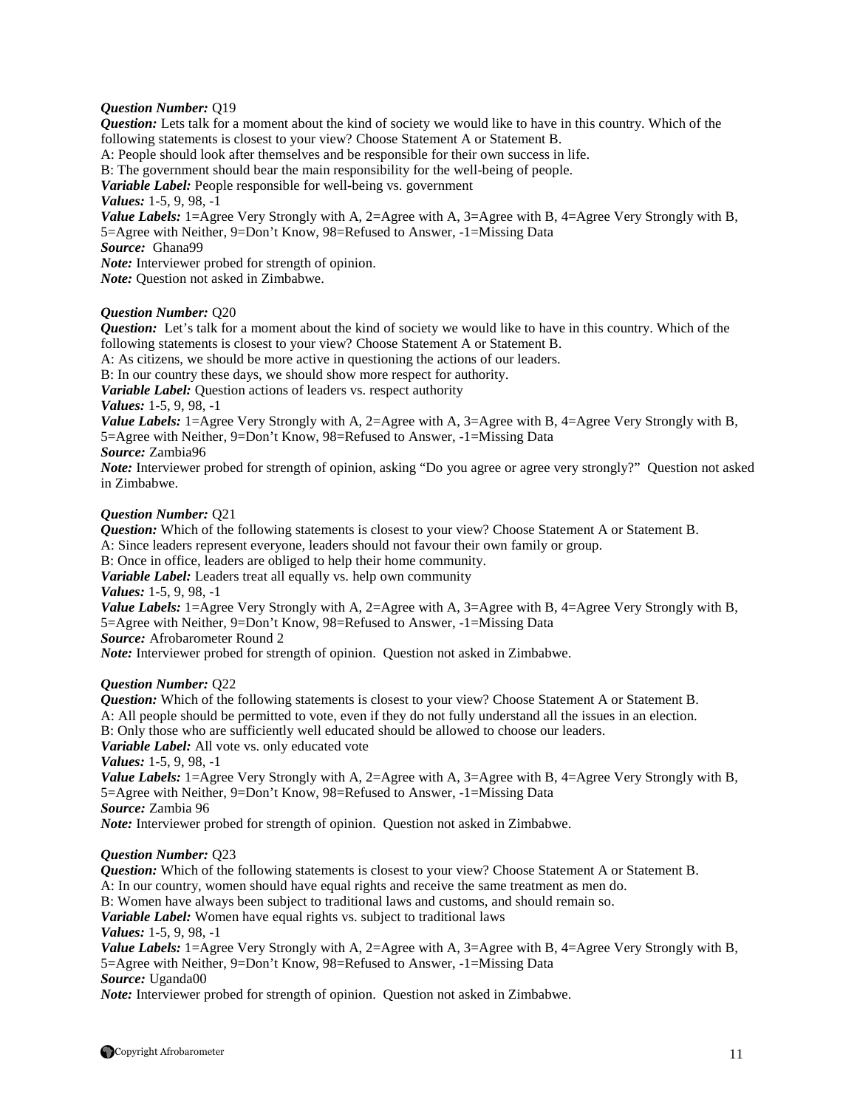#### *Question Number:* Q19

*Question:* Lets talk for a moment about the kind of society we would like to have in this country. Which of the following statements is closest to your view? Choose Statement A or Statement B. A: People should look after themselves and be responsible for their own success in life. B: The government should bear the main responsibility for the well-being of people. *Variable Label:* People responsible for well-being vs. government *Values:* 1-5, 9, 98, -1 *Value Labels:* 1=Agree Very Strongly with A, 2=Agree with A, 3=Agree with B, 4=Agree Very Strongly with B, 5=Agree with Neither, 9=Don't Know, 98=Refused to Answer, -1=Missing Data *Source:* Ghana99 *Note:* Interviewer probed for strength of opinion. *Note:* Question not asked in Zimbabwe.

#### *Question Number:* Q20

*Question:* Let's talk for a moment about the kind of society we would like to have in this country. Which of the following statements is closest to your view? Choose Statement A or Statement B.

A: As citizens, we should be more active in questioning the actions of our leaders.

B: In our country these days, we should show more respect for authority.

*Variable Label:* Question actions of leaders vs. respect authority

*Values:* 1-5, 9, 98, -1

*Value Labels:* 1=Agree Very Strongly with A, 2=Agree with A, 3=Agree with B, 4=Agree Very Strongly with B, 5=Agree with Neither, 9=Don't Know, 98=Refused to Answer, -1=Missing Data

*Source:* Zambia96

*Note:* Interviewer probed for strength of opinion, asking "Do you agree or agree very strongly?" Question not asked in Zimbabwe.

#### *Question Number:* Q21

*Question:* Which of the following statements is closest to your view? Choose Statement A or Statement B.

A: Since leaders represent everyone, leaders should not favour their own family or group.

B: Once in office, leaders are obliged to help their home community.

*Variable Label:* Leaders treat all equally vs. help own community

*Values:* 1-5, 9, 98, -1

*Value Labels:* 1=Agree Very Strongly with A, 2=Agree with A, 3=Agree with B, 4=Agree Very Strongly with B, 5=Agree with Neither, 9=Don't Know, 98=Refused to Answer, -1=Missing Data *Source:* Afrobarometer Round 2

*Note:* Interviewer probed for strength of opinion. Question not asked in Zimbabwe.

#### *Question Number:* Q22

*Question:* Which of the following statements is closest to your view? Choose Statement A or Statement B. A: All people should be permitted to vote, even if they do not fully understand all the issues in an election.

B: Only those who are sufficiently well educated should be allowed to choose our leaders.

*Variable Label:* All vote vs. only educated vote

*Values:* 1-5, 9, 98, -1

*Value Labels:* 1=Agree Very Strongly with A, 2=Agree with A, 3=Agree with B, 4=Agree Very Strongly with B, 5=Agree with Neither, 9=Don't Know, 98=Refused to Answer, -1=Missing Data *Source:* Zambia 96

*Note:* Interviewer probed for strength of opinion. Question not asked in Zimbabwe.

#### *Question Number:* Q23

*Question:* Which of the following statements is closest to your view? Choose Statement A or Statement B.

A: In our country, women should have equal rights and receive the same treatment as men do.

B: Women have always been subject to traditional laws and customs, and should remain so.

*Variable Label:* Women have equal rights vs. subject to traditional laws

*Values:* 1-5, 9, 98, -1

*Value Labels:* 1=Agree Very Strongly with A, 2=Agree with A, 3=Agree with B, 4=Agree Very Strongly with B, 5=Agree with Neither, 9=Don't Know, 98=Refused to Answer, -1=Missing Data *Source:* Uganda00

*Note:* Interviewer probed for strength of opinion. Question not asked in Zimbabwe.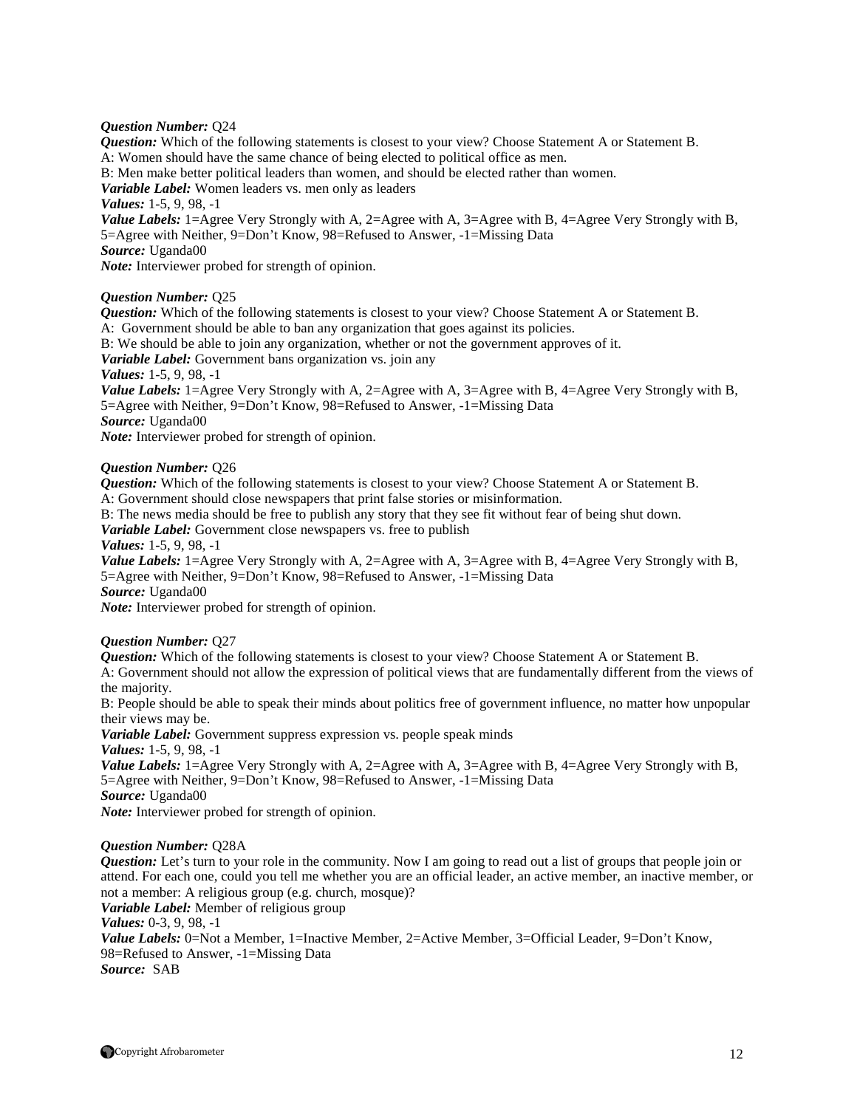#### *Question Number:* Q24

*Question:* Which of the following statements is closest to your view? Choose Statement A or Statement B. A: Women should have the same chance of being elected to political office as men. B: Men make better political leaders than women, and should be elected rather than women. *Variable Label:* Women leaders vs. men only as leaders *Values:* 1-5, 9, 98, -1 *Value Labels:* 1=Agree Very Strongly with A, 2=Agree with A, 3=Agree with B, 4=Agree Very Strongly with B, 5=Agree with Neither, 9=Don't Know, 98=Refused to Answer, -1=Missing Data *Source:* Uganda00 *Note:* Interviewer probed for strength of opinion.

#### *Question Number:* Q25

*Question:* Which of the following statements is closest to your view? Choose Statement A or Statement B. A: Government should be able to ban any organization that goes against its policies. B: We should be able to join any organization, whether or not the government approves of it. *Variable Label:* Government bans organization vs. join any *Values:* 1-5, 9, 98, -1 *Value Labels:* 1=Agree Very Strongly with A, 2=Agree with A, 3=Agree with B, 4=Agree Very Strongly with B, 5=Agree with Neither, 9=Don't Know, 98=Refused to Answer, -1=Missing Data *Source:* Uganda00 *Note:* Interviewer probed for strength of opinion.

#### *Question Number:* Q26

*Question:* Which of the following statements is closest to your view? Choose Statement A or Statement B. A: Government should close newspapers that print false stories or misinformation.

B: The news media should be free to publish any story that they see fit without fear of being shut down.

*Variable Label:* Government close newspapers vs. free to publish

*Values:* 1-5, 9, 98, -1

*Value Labels:* 1=Agree Very Strongly with A, 2=Agree with A, 3=Agree with B, 4=Agree Very Strongly with B, 5=Agree with Neither, 9=Don't Know, 98=Refused to Answer, -1=Missing Data *Source:* Uganda00

*Note:* Interviewer probed for strength of opinion.

#### *Question Number:* Q27

*Question:* Which of the following statements is closest to your view? Choose Statement A or Statement B.

A: Government should not allow the expression of political views that are fundamentally different from the views of the majority.

B: People should be able to speak their minds about politics free of government influence, no matter how unpopular their views may be.

*Variable Label:* Government suppress expression vs. people speak minds *Values:* 1-5, 9, 98, -1

*Value Labels:* 1=Agree Very Strongly with A, 2=Agree with A, 3=Agree with B, 4=Agree Very Strongly with B, 5=Agree with Neither, 9=Don't Know, 98=Refused to Answer, -1=Missing Data *Source:* Uganda00

*Note:* Interviewer probed for strength of opinion.

#### *Question Number:* Q28A

*Question:* Let's turn to your role in the community. Now I am going to read out a list of groups that people join or attend. For each one, could you tell me whether you are an official leader, an active member, an inactive member, or not a member: A religious group (e.g. church, mosque)? *Variable Label:* Member of religious group *Values:* 0-3, 9, 98, -1

Value Labels: 0=Not a Member, 1=Inactive Member, 2=Active Member, 3=Official Leader, 9=Don't Know, 98=Refused to Answer, -1=Missing Data *Source:* SAB

Copyright Afrobarometer 12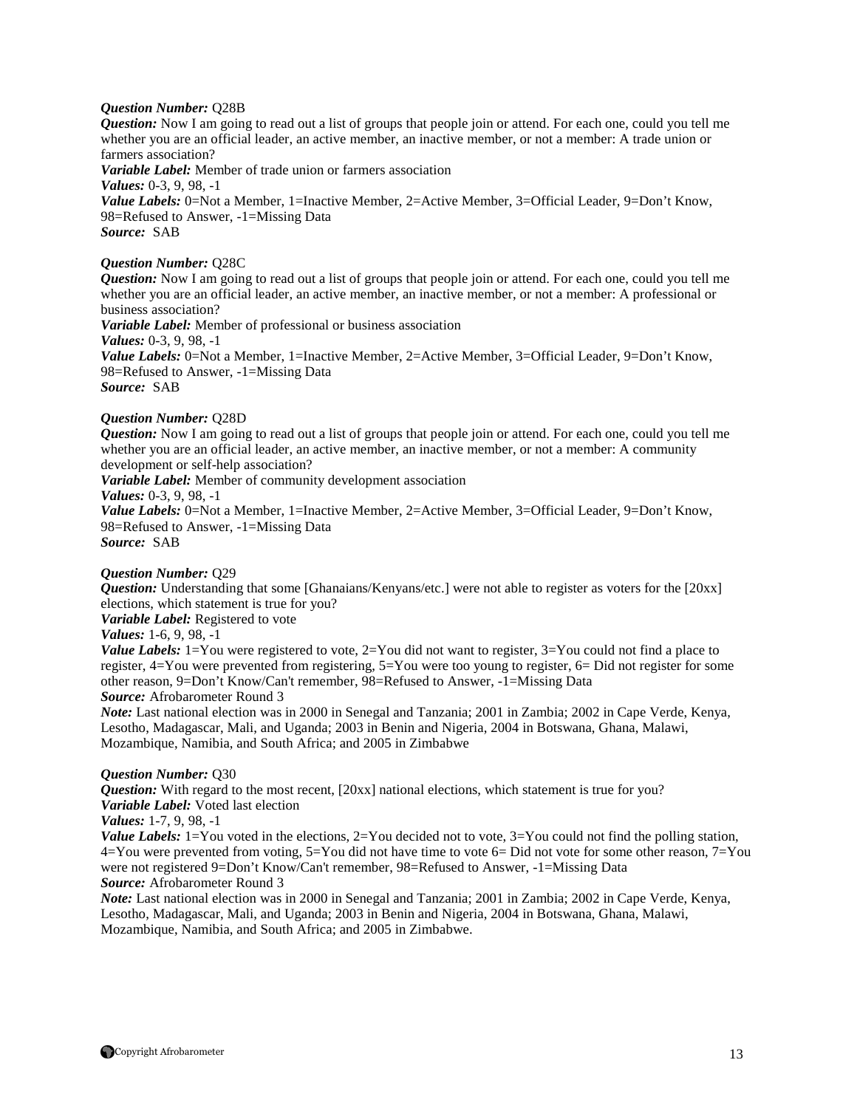#### *Question Number:* Q28B

*Question:* Now I am going to read out a list of groups that people join or attend. For each one, could you tell me whether you are an official leader, an active member, an inactive member, or not a member: A trade union or farmers association?

*Variable Label:* Member of trade union or farmers association *Values:* 0-3, 9, 98, -1 Value Labels: 0=Not a Member, 1=Inactive Member, 2=Active Member, 3=Official Leader, 9=Don't Know, 98=Refused to Answer, -1=Missing Data *Source:* SAB

#### *Question Number:* Q28C

*Question:* Now I am going to read out a list of groups that people join or attend. For each one, could you tell me whether you are an official leader, an active member, an inactive member, or not a member: A professional or business association? *Variable Label:* Member of professional or business association *Values:* 0-3, 9, 98, -1 *Value Labels:* 0=Not a Member, 1=Inactive Member, 2=Active Member, 3=Official Leader, 9=Don't Know, 98=Refused to Answer, -1=Missing Data *Source:* SAB

# *Question Number:* Q28D

*Question:* Now I am going to read out a list of groups that people join or attend. For each one, could you tell me whether you are an official leader, an active member, an inactive member, or not a member: A community development or self-help association? *Variable Label:* Member of community development association *Values:* 0-3, 9, 98, -1 *Value Labels:* 0=Not a Member, 1=Inactive Member, 2=Active Member, 3=Official Leader, 9=Don't Know,

98=Refused to Answer, -1=Missing Data *Source:* SAB

#### *Question Number:* Q29

*Question:* Understanding that some [Ghanaians/Kenyans/etc.] were not able to register as voters for the [20xx] elections, which statement is true for you?

*Variable Label:* Registered to vote

# *Values:* 1-6, 9, 98, -1

*Value Labels:* 1=You were registered to vote, 2=You did not want to register, 3=You could not find a place to register, 4=You were prevented from registering, 5=You were too young to register, 6= Did not register for some other reason, 9=Don't Know/Can't remember, 98=Refused to Answer, -1=Missing Data

*Source:* Afrobarometer Round 3

*Note:* Last national election was in 2000 in Senegal and Tanzania; 2001 in Zambia; 2002 in Cape Verde, Kenya, Lesotho, Madagascar, Mali, and Uganda; 2003 in Benin and Nigeria, 2004 in Botswana, Ghana, Malawi, Mozambique, Namibia, and South Africa; and 2005 in Zimbabwe

#### *Question Number:* Q30

*Question:* With regard to the most recent, [20xx] national elections, which statement is true for you? *Variable Label:* Voted last election

*Values:* 1-7, 9, 98, -1

*Value Labels:* 1=You voted in the elections, 2=You decided not to vote, 3=You could not find the polling station, 4=You were prevented from voting, 5=You did not have time to vote 6= Did not vote for some other reason, 7=You were not registered 9=Don't Know/Can't remember, 98=Refused to Answer, -1=Missing Data *Source:* Afrobarometer Round 3

*Note:* Last national election was in 2000 in Senegal and Tanzania; 2001 in Zambia; 2002 in Cape Verde, Kenya, Lesotho, Madagascar, Mali, and Uganda; 2003 in Benin and Nigeria, 2004 in Botswana, Ghana, Malawi, Mozambique, Namibia, and South Africa; and 2005 in Zimbabwe.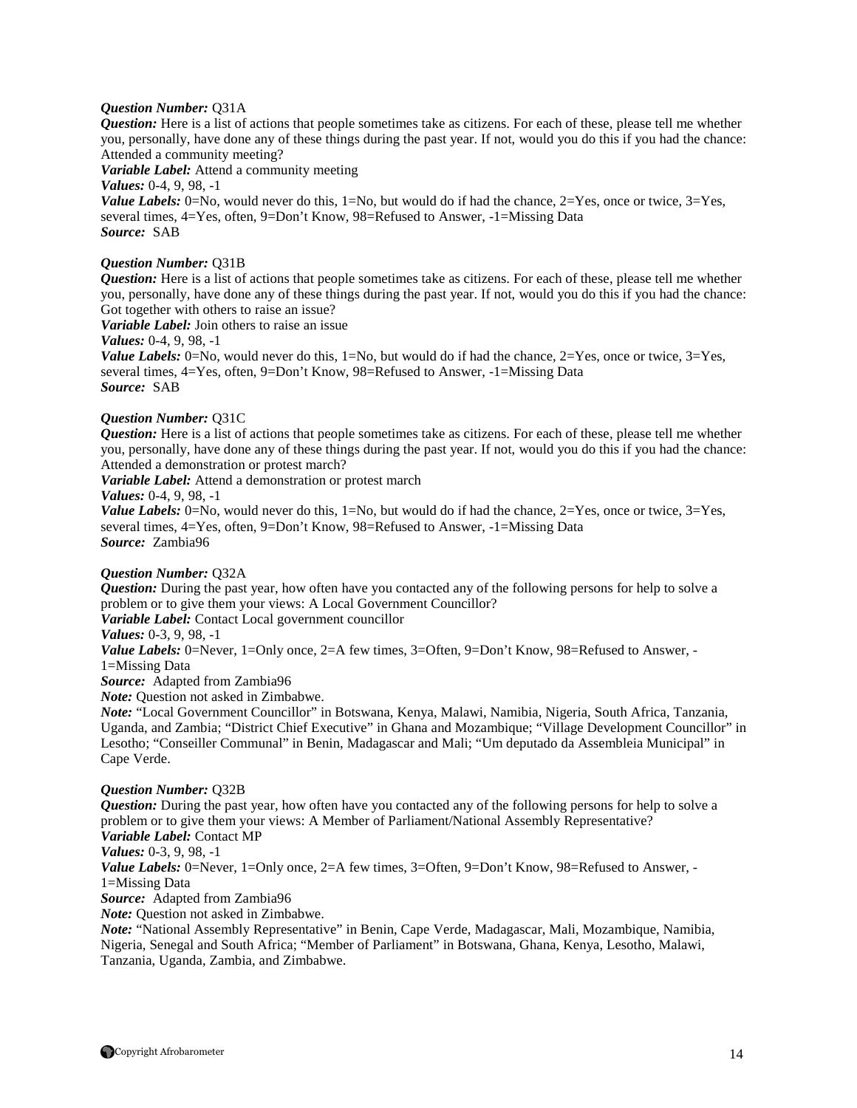#### *Question Number:* Q31A

*Question:* Here is a list of actions that people sometimes take as citizens. For each of these, please tell me whether you, personally, have done any of these things during the past year. If not, would you do this if you had the chance: Attended a community meeting?

*Variable Label:* Attend a community meeting

*Values:* 0-4, 9, 98, -1

*Value Labels:* 0=No, would never do this, 1=No, but would do if had the chance, 2=Yes, once or twice, 3=Yes, several times, 4=Yes, often, 9=Don't Know, 98=Refused to Answer, -1=Missing Data *Source:* SAB

#### *Question Number:* Q31B

*Question:* Here is a list of actions that people sometimes take as citizens. For each of these, please tell me whether you, personally, have done any of these things during the past year. If not, would you do this if you had the chance: Got together with others to raise an issue?

*Variable Label:* Join others to raise an issue

*Values:* 0-4, 9, 98, -1

*Value Labels:* 0=No, would never do this,  $1=N_0$ , but would do if had the chance,  $2=Y$ es, once or twice,  $3=Y$ es, several times, 4=Yes, often, 9=Don't Know, 98=Refused to Answer, -1=Missing Data *Source:* SAB

#### *Question Number:* Q31C

*Question:* Here is a list of actions that people sometimes take as citizens. For each of these, please tell me whether you, personally, have done any of these things during the past year. If not, would you do this if you had the chance: Attended a demonstration or protest march?

*Variable Label:* Attend a demonstration or protest march

*Values:* 0-4, 9, 98, -1

*Value Labels:* 0=No, would never do this, 1=No, but would do if had the chance,  $2=Yes$ , once or twice,  $3=Yes$ , several times, 4=Yes, often, 9=Don't Know, 98=Refused to Answer, -1=Missing Data *Source:* Zambia96

#### *Question Number:* Q32A

*Question:* During the past year, how often have you contacted any of the following persons for help to solve a problem or to give them your views: A Local Government Councillor?

*Variable Label:* Contact Local government councillor

#### *Values:* 0-3, 9, 98, -1

*Value Labels:* 0=Never, 1=Only once, 2=A few times, 3=Often, 9=Don't Know, 98=Refused to Answer, -1=Missing Data

*Source:* Adapted from Zambia96

*Note:* Question not asked in Zimbabwe.

*Note:* "Local Government Councillor" in Botswana, Kenya, Malawi, Namibia, Nigeria, South Africa, Tanzania, Uganda, and Zambia; "District Chief Executive" in Ghana and Mozambique; "Village Development Councillor" in Lesotho; "Conseiller Communal" in Benin, Madagascar and Mali; "Um deputado da Assembleia Municipal" in Cape Verde.

#### *Question Number:* Q32B

*Question:* During the past year, how often have you contacted any of the following persons for help to solve a problem or to give them your views: A Member of Parliament/National Assembly Representative? *Variable Label:* Contact MP *Values:* 0-3, 9, 98, -1

*Value Labels:* 0=Never, 1=Only once, 2=A few times, 3=Often, 9=Don't Know, 98=Refused to Answer, -1=Missing Data

*Source:* Adapted from Zambia96

*Note:* Question not asked in Zimbabwe.

*Note:* "National Assembly Representative" in Benin, Cape Verde, Madagascar, Mali, Mozambique, Namibia, Nigeria, Senegal and South Africa; "Member of Parliament" in Botswana, Ghana, Kenya, Lesotho, Malawi, Tanzania, Uganda, Zambia, and Zimbabwe.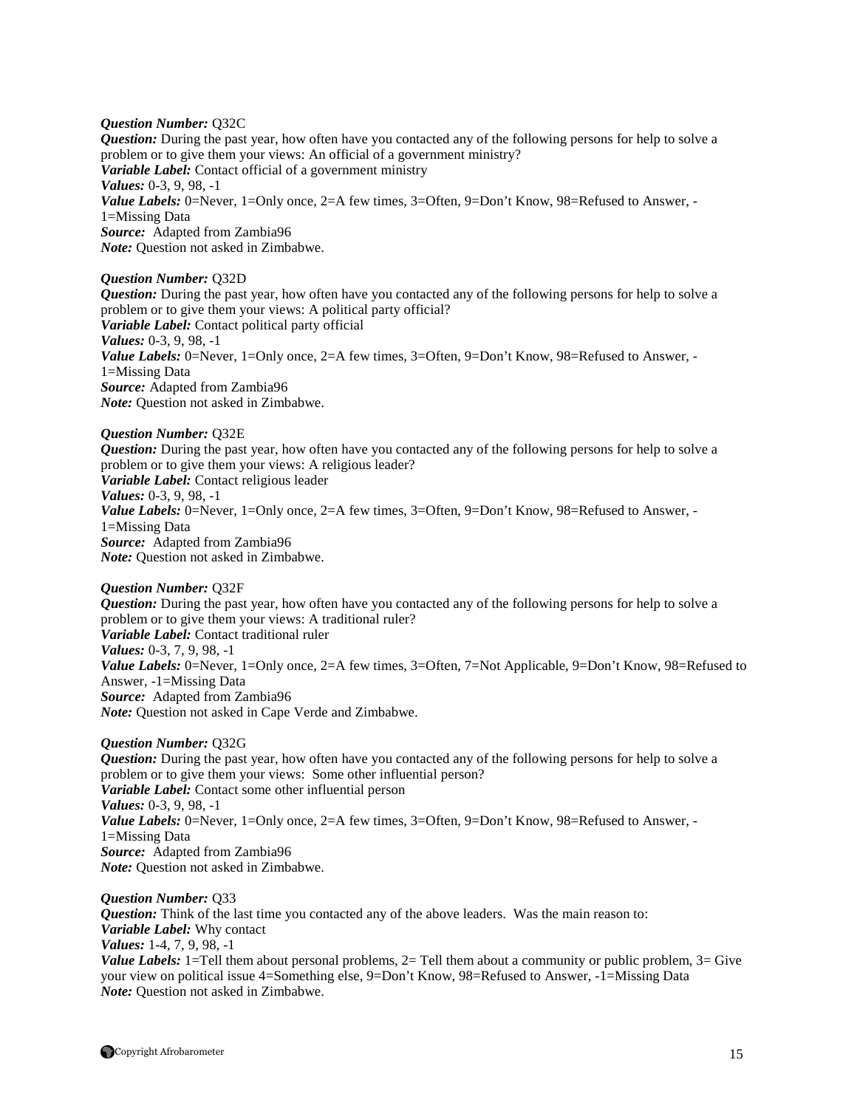*Question Number:* Q32C *Question:* During the past year, how often have you contacted any of the following persons for help to solve a problem or to give them your views: An official of a government ministry? *Variable Label:* Contact official of a government ministry *Values:* 0-3, 9, 98, -1 Value Labels: 0=Never, 1=Only once, 2=A few times, 3=Often, 9=Don't Know, 98=Refused to Answer, -1=Missing Data *Source:* Adapted from Zambia96 *Note:* Question not asked in Zimbabwe.

*Question Number:* Q32D

*Question:* During the past year, how often have you contacted any of the following persons for help to solve a problem or to give them your views: A political party official? *Variable Label:* Contact political party official *Values:* 0-3, 9, 98, -1 *Value Labels:* 0=Never, 1=Only once, 2=A few times, 3=Often, 9=Don't Know, 98=Refused to Answer, -1=Missing Data *Source:* Adapted from Zambia96 *Note:* Question not asked in Zimbabwe.

*Question Number:* Q32E *Question:* During the past year, how often have you contacted any of the following persons for help to solve a problem or to give them your views: A religious leader? *Variable Label:* Contact religious leader *Values:* 0-3, 9, 98, -1 *Value Labels:* 0=Never, 1=Only once, 2=A few times, 3=Often, 9=Don't Know, 98=Refused to Answer, -1=Missing Data *Source:* Adapted from Zambia96 *Note:* Question not asked in Zimbabwe.

*Question Number:* Q32F *Question:* During the past year, how often have you contacted any of the following persons for help to solve a problem or to give them your views: A traditional ruler? *Variable Label:* Contact traditional ruler *Values:* 0-3, 7, 9, 98, -1 *Value Labels:* 0=Never, 1=Only once, 2=A few times, 3=Often, 7=Not Applicable, 9=Don't Know, 98=Refused to Answer, -1=Missing Data *Source:* Adapted from Zambia96 *Note:* Question not asked in Cape Verde and Zimbabwe.

*Question Number:* Q32G *Question:* During the past year, how often have you contacted any of the following persons for help to solve a problem or to give them your views: Some other influential person? *Variable Label:* Contact some other influential person *Values:* 0-3, 9, 98, -1 *Value Labels:* 0=Never, 1=Only once, 2=A few times, 3=Often, 9=Don't Know, 98=Refused to Answer, -1=Missing Data *Source:* Adapted from Zambia96 *Note:* Question not asked in Zimbabwe.

*Question Number:* Q33 *Question:* Think of the last time you contacted any of the above leaders. Was the main reason to: *Variable Label:* Why contact *Values:* 1-4, 7, 9, 98, -1 *Value Labels:* 1=Tell them about personal problems, 2= Tell them about a community or public problem, 3= Give your view on political issue 4=Something else, 9=Don't Know, 98=Refused to Answer, -1=Missing Data *Note:* Question not asked in Zimbabwe.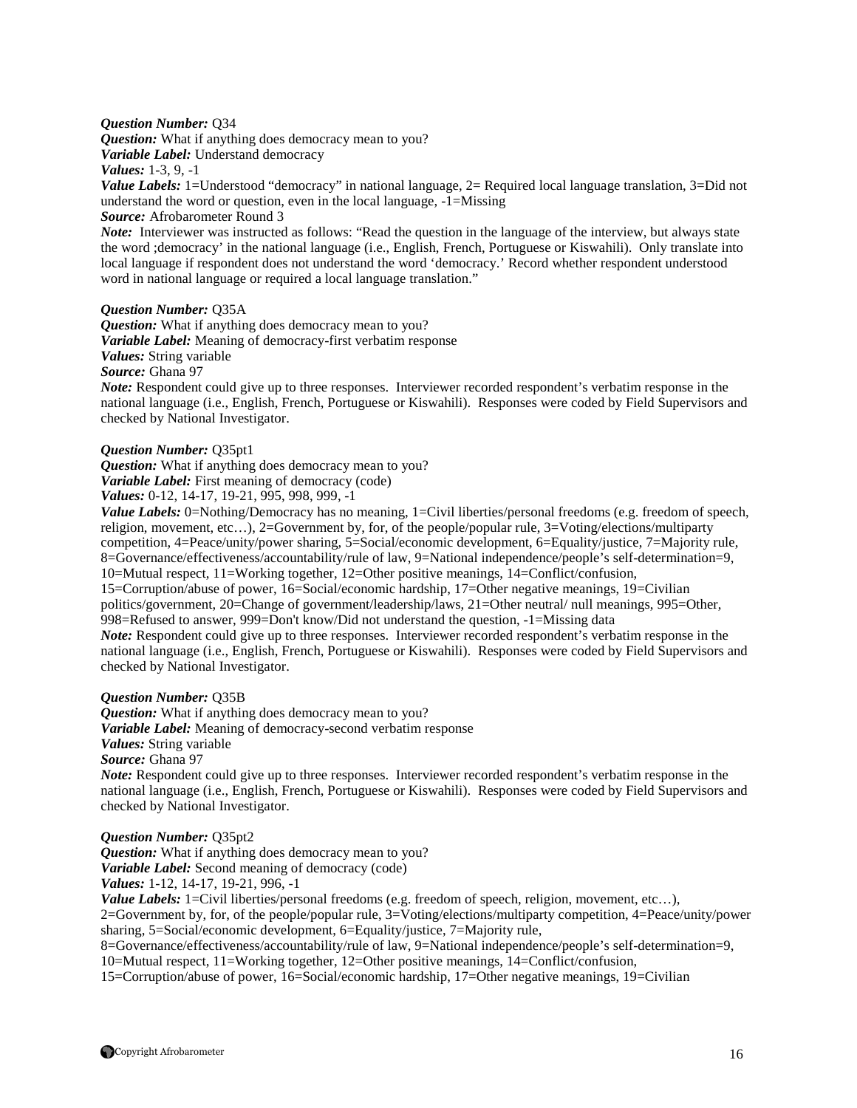#### *Question Number:* Q34

*Question:* What if anything does democracy mean to you?

*Variable Label:* Understand democracy

*Values:* 1-3, 9, -1

*Value Labels:* 1=Understood "democracy" in national language, 2= Required local language translation, 3=Did not understand the word or question, even in the local language, -1=Missing

# *Source:* Afrobarometer Round 3

*Note:* Interviewer was instructed as follows: "Read the question in the language of the interview, but always state the word ;democracy' in the national language (i.e., English, French, Portuguese or Kiswahili). Only translate into local language if respondent does not understand the word 'democracy.' Record whether respondent understood word in national language or required a local language translation."

#### *Question Number:* Q35A

*Question:* What if anything does democracy mean to you? *Variable Label:* Meaning of democracy-first verbatim response *Values:* String variable *Source:* Ghana 97

*Note:* Respondent could give up to three responses. Interviewer recorded respondent's verbatim response in the national language (i.e., English, French, Portuguese or Kiswahili). Responses were coded by Field Supervisors and checked by National Investigator.

#### *Question Number:* Q35pt1

*Question:* What if anything does democracy mean to you? *Variable Label:* First meaning of democracy (code) *Values:* 0-12, 14-17, 19-21, 995, 998, 999, -1

*Value Labels:* 0=Nothing/Democracy has no meaning, 1=Civil liberties/personal freedoms (e.g. freedom of speech, religion, movement, etc…), 2=Government by, for, of the people/popular rule, 3=Voting/elections/multiparty competition, 4=Peace/unity/power sharing, 5=Social/economic development, 6=Equality/justice, 7=Majority rule, 8=Governance/effectiveness/accountability/rule of law, 9=National independence/people's self-determination=9, 10=Mutual respect, 11=Working together, 12=Other positive meanings, 14=Conflict/confusion,

15=Corruption/abuse of power, 16=Social/economic hardship, 17=Other negative meanings, 19=Civilian politics/government, 20=Change of government/leadership/laws, 21=Other neutral/ null meanings, 995=Other, 998=Refused to answer, 999=Don't know/Did not understand the question, -1=Missing data

*Note:* Respondent could give up to three responses. Interviewer recorded respondent's verbatim response in the national language (i.e., English, French, Portuguese or Kiswahili). Responses were coded by Field Supervisors and checked by National Investigator.

#### *Question Number:* Q35B

*Question:* What if anything does democracy mean to you?

*Variable Label:* Meaning of democracy-second verbatim response

*Values:* String variable

*Source:* Ghana 97

*Note:* Respondent could give up to three responses. Interviewer recorded respondent's verbatim response in the national language (i.e., English, French, Portuguese or Kiswahili). Responses were coded by Field Supervisors and checked by National Investigator.

#### *Question Number:* Q35pt2

*Question:* What if anything does democracy mean to you? *Variable Label:* Second meaning of democracy (code) *Values:* 1-12, 14-17, 19-21, 996, -1

*Value Labels:* 1=Civil liberties/personal freedoms (e.g. freedom of speech, religion, movement, etc...), 2=Government by, for, of the people/popular rule, 3=Voting/elections/multiparty competition, 4=Peace/unity/power sharing, 5=Social/economic development, 6=Equality/justice, 7=Majority rule,

8=Governance/effectiveness/accountability/rule of law, 9=National independence/people's self-determination=9, 10=Mutual respect, 11=Working together, 12=Other positive meanings, 14=Conflict/confusion,

15=Corruption/abuse of power, 16=Social/economic hardship, 17=Other negative meanings, 19=Civilian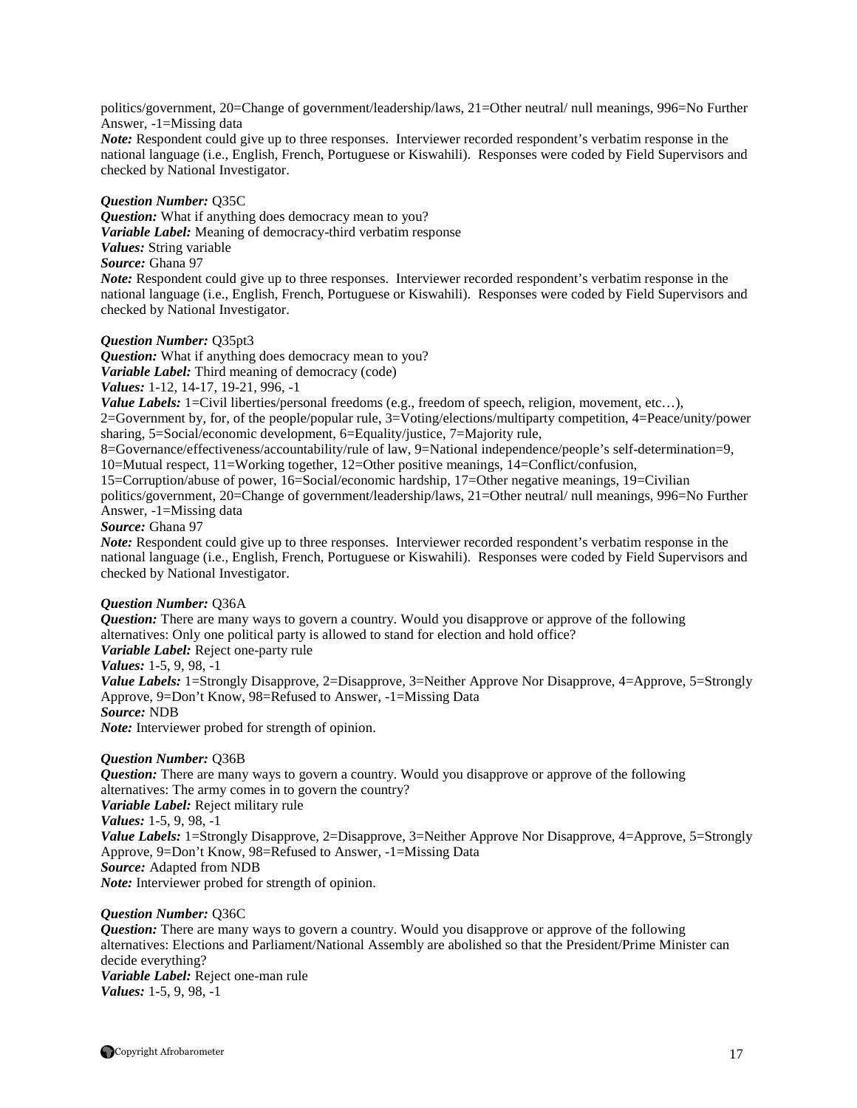politics/government, 20=Change of government/leadership/laws, 21=Other neutral/ null meanings, 996=No Further Answer, -1=Missing data

*Note:* Respondent could give up to three responses. Interviewer recorded respondent's verbatim response in the national language (i.e., English, French, Portuguese or Kiswahili). Responses were coded by Field Supervisors and checked by National Investigator.

#### *Question Number:* Q35C

*Question:* What if anything does democracy mean to you? *Variable Label:* Meaning of democracy-third verbatim response *Values:* String variable *Source:* Ghana 97 *Note:* Respondent could give up to three responses. Interviewer recorded respondent's verbatim response in the national language (i.e., English, French, Portuguese or Kiswahili). Responses were coded by Field Supervisors and checked by National Investigator.

#### *Question Number:* Q35pt3

*Question:* What if anything does democracy mean to you? *Variable Label:* Third meaning of democracy (code) *Values:* 1-12, 14-17, 19-21, 996, -1 *Value Labels:* 1=Civil liberties/personal freedoms (e.g., freedom of speech, religion, movement, etc...), 2=Government by, for, of the people/popular rule, 3=Voting/elections/multiparty competition, 4=Peace/unity/power sharing, 5=Social/economic development, 6=Equality/justice, 7=Majority rule, 8=Governance/effectiveness/accountability/rule of law, 9=National independence/people's self-determination=9, 10=Mutual respect, 11=Working together, 12=Other positive meanings, 14=Conflict/confusion, 15=Corruption/abuse of power, 16=Social/economic hardship, 17=Other negative meanings, 19=Civilian politics/government, 20=Change of government/leadership/laws, 21=Other neutral/ null meanings, 996=No Further

Answer, -1=Missing data

#### *Source:* Ghana 97

*Note:* Respondent could give up to three responses. Interviewer recorded respondent's verbatim response in the national language (i.e., English, French, Portuguese or Kiswahili). Responses were coded by Field Supervisors and checked by National Investigator.

#### *Question Number:* Q36A

*Question:* There are many ways to govern a country. Would you disapprove or approve of the following alternatives: Only one political party is allowed to stand for election and hold office? *Variable Label:* Reject one-party rule *Values:* 1-5, 9, 98, -1 *Value Labels:* 1=Strongly Disapprove, 2=Disapprove, 3=Neither Approve Nor Disapprove, 4=Approve, 5=Strongly Approve, 9=Don't Know, 98=Refused to Answer, -1=Missing Data *Source:* NDB *Note:* Interviewer probed for strength of opinion.

#### *Question Number:* Q36B

*Question:* There are many ways to govern a country. Would you disapprove or approve of the following alternatives: The army comes in to govern the country? *Variable Label:* Reject military rule *Values:* 1-5, 9, 98, -1 *Value Labels:* 1=Strongly Disapprove, 2=Disapprove, 3=Neither Approve Nor Disapprove, 4=Approve, 5=Strongly Approve, 9=Don't Know, 98=Refused to Answer, -1=Missing Data *Source:* Adapted from NDB *Note:* Interviewer probed for strength of opinion.

#### *Question Number:* Q36C

*Question:* There are many ways to govern a country. Would you disapprove or approve of the following alternatives: Elections and Parliament/National Assembly are abolished so that the President/Prime Minister can decide everything? *Variable Label:* Reject one-man rule *Values:* 1-5, 9, 98, -1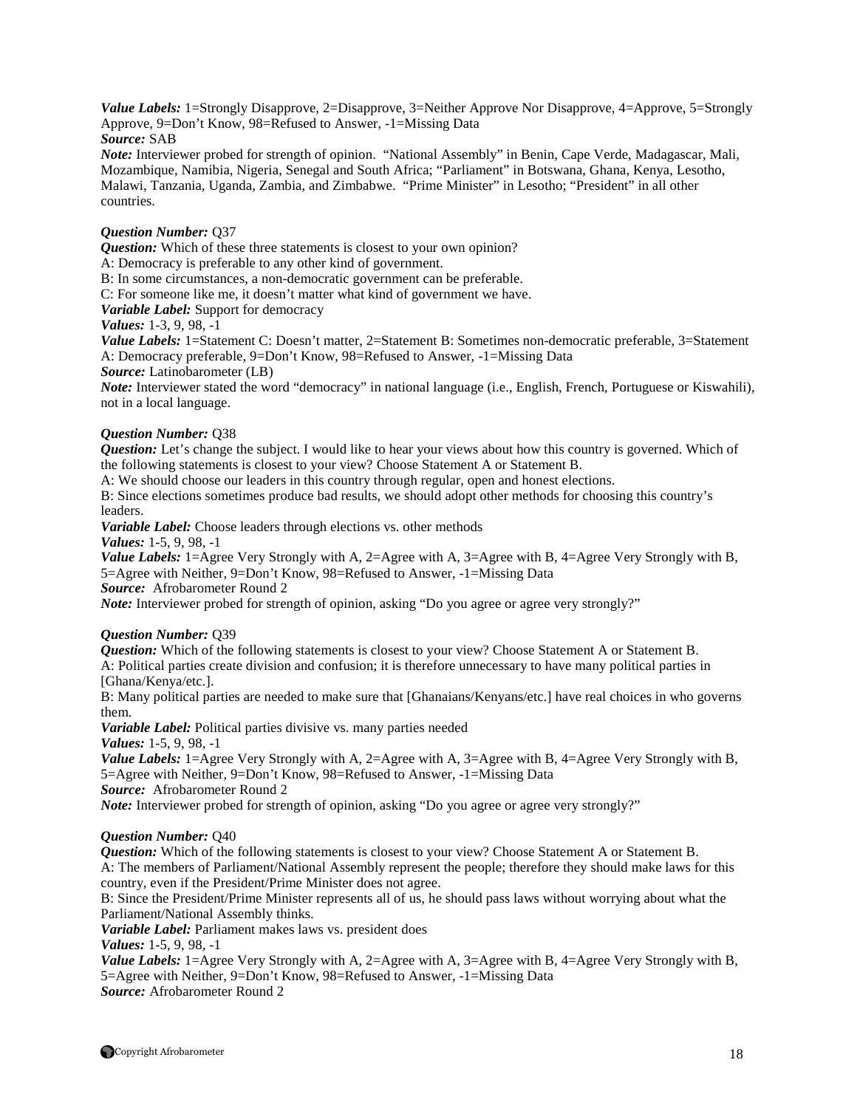*Value Labels:* 1=Strongly Disapprove, 2=Disapprove, 3=Neither Approve Nor Disapprove, 4=Approve, 5=Strongly Approve, 9=Don't Know, 98=Refused to Answer, -1=Missing Data

*Source:* SAB

*Note:* Interviewer probed for strength of opinion. "National Assembly" in Benin, Cape Verde, Madagascar, Mali, Mozambique, Namibia, Nigeria, Senegal and South Africa; "Parliament" in Botswana, Ghana, Kenya, Lesotho, Malawi, Tanzania, Uganda, Zambia, and Zimbabwe. "Prime Minister" in Lesotho; "President" in all other countries.

#### *Question Number:* Q37

*Question:* Which of these three statements is closest to your own opinion?

A: Democracy is preferable to any other kind of government.

B: In some circumstances, a non-democratic government can be preferable.

C: For someone like me, it doesn't matter what kind of government we have.

*Variable Label:* Support for democracy

*Values:* 1-3, 9, 98, -1

*Value Labels:* 1=Statement C: Doesn't matter, 2=Statement B: Sometimes non-democratic preferable, 3=Statement A: Democracy preferable, 9=Don't Know, 98=Refused to Answer, -1=Missing Data

*Source:* Latinobarometer (LB)

*Note:* Interviewer stated the word "democracy" in national language (i.e., English, French, Portuguese or Kiswahili), not in a local language.

#### *Question Number:* Q38

*Question:* Let's change the subject. I would like to hear your views about how this country is governed. Which of the following statements is closest to your view? Choose Statement A or Statement B.

A: We should choose our leaders in this country through regular, open and honest elections.

B: Since elections sometimes produce bad results, we should adopt other methods for choosing this country's leaders.

*Variable Label:* Choose leaders through elections vs. other methods

*Values:* 1-5, 9, 98, -1

*Value Labels:* 1=Agree Very Strongly with A, 2=Agree with A, 3=Agree with B, 4=Agree Very Strongly with B, 5=Agree with Neither, 9=Don't Know, 98=Refused to Answer, -1=Missing Data *Source:* Afrobarometer Round 2

*Note:* Interviewer probed for strength of opinion, asking "Do you agree or agree very strongly?"

#### *Question Number:* Q39

*Question:* Which of the following statements is closest to your view? Choose Statement A or Statement B. A: Political parties create division and confusion; it is therefore unnecessary to have many political parties in [Ghana/Kenya/etc.].

B: Many political parties are needed to make sure that [Ghanaians/Kenyans/etc.] have real choices in who governs them.

*Variable Label:* Political parties divisive vs. many parties needed

*Values:* 1-5, 9, 98, -1

*Value Labels:* 1=Agree Very Strongly with A, 2=Agree with A, 3=Agree with B, 4=Agree Very Strongly with B, 5=Agree with Neither, 9=Don't Know, 98=Refused to Answer, -1=Missing Data

*Source:* Afrobarometer Round 2

*Note:* Interviewer probed for strength of opinion, asking "Do you agree or agree very strongly?"

#### *Question Number:* Q40

*Question:* Which of the following statements is closest to your view? Choose Statement A or Statement B. A: The members of Parliament/National Assembly represent the people; therefore they should make laws for this country, even if the President/Prime Minister does not agree.

B: Since the President/Prime Minister represents all of us, he should pass laws without worrying about what the Parliament/National Assembly thinks.

*Variable Label:* Parliament makes laws vs. president does

*Values:* 1-5, 9, 98, -1

*Value Labels:* 1=Agree Very Strongly with A, 2=Agree with A, 3=Agree with B, 4=Agree Very Strongly with B, 5=Agree with Neither, 9=Don't Know, 98=Refused to Answer, -1=Missing Data *Source:* Afrobarometer Round 2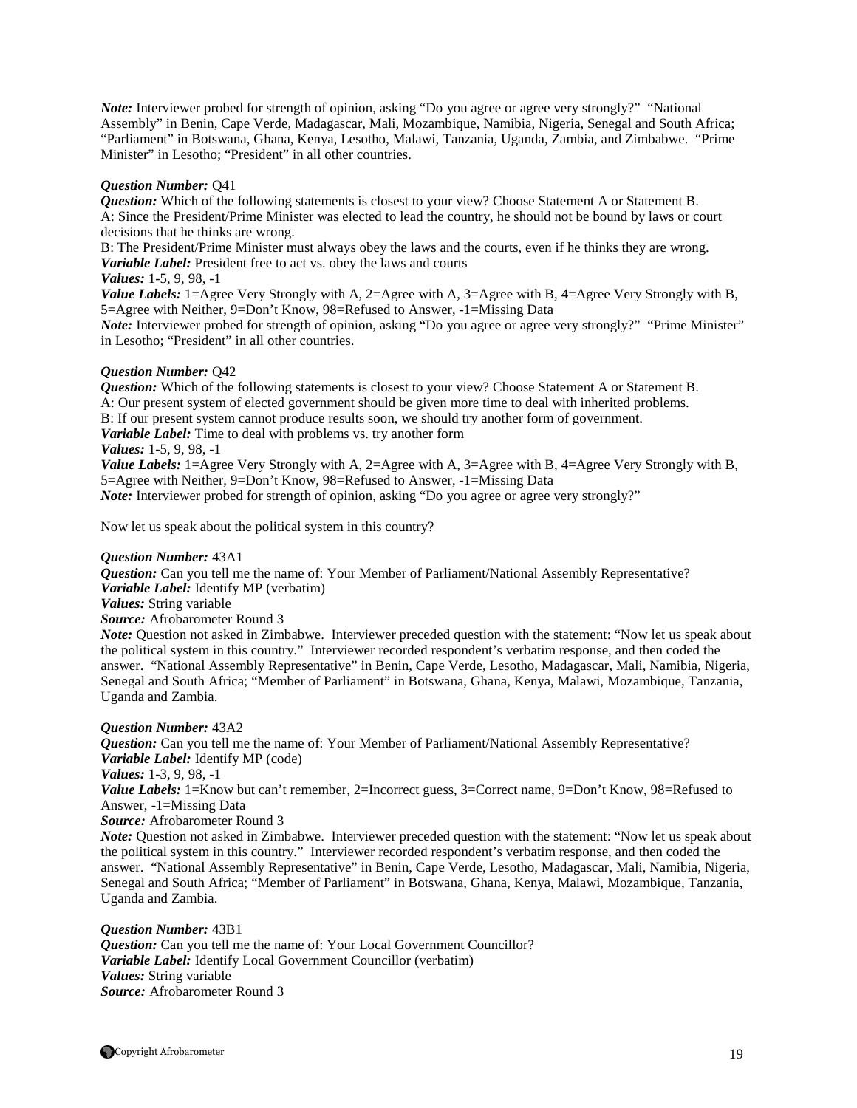*Note:* Interviewer probed for strength of opinion, asking "Do you agree or agree very strongly?" "National Assembly" in Benin, Cape Verde, Madagascar, Mali, Mozambique, Namibia, Nigeria, Senegal and South Africa; "Parliament" in Botswana, Ghana, Kenya, Lesotho, Malawi, Tanzania, Uganda, Zambia, and Zimbabwe. "Prime Minister" in Lesotho; "President" in all other countries.

#### *Question Number:* Q41

*Question:* Which of the following statements is closest to your view? Choose Statement A or Statement B. A: Since the President/Prime Minister was elected to lead the country, he should not be bound by laws or court decisions that he thinks are wrong.

B: The President/Prime Minister must always obey the laws and the courts, even if he thinks they are wrong. *Variable Label:* President free to act vs. obey the laws and courts

*Values:* 1-5, 9, 98, -1

*Value Labels:* 1=Agree Very Strongly with A, 2=Agree with A, 3=Agree with B, 4=Agree Very Strongly with B, 5=Agree with Neither, 9=Don't Know, 98=Refused to Answer, -1=Missing Data

*Note:* Interviewer probed for strength of opinion, asking "Do you agree or agree very strongly?" "Prime Minister" in Lesotho; "President" in all other countries.

#### *Question Number:* Q42

*Question:* Which of the following statements is closest to your view? Choose Statement A or Statement B. A: Our present system of elected government should be given more time to deal with inherited problems. B: If our present system cannot produce results soon, we should try another form of government. *Variable Label:* Time to deal with problems vs. try another form *Values:* 1-5, 9, 98, -1

*Value Labels:* 1=Agree Very Strongly with A, 2=Agree with A, 3=Agree with B, 4=Agree Very Strongly with B, 5=Agree with Neither, 9=Don't Know, 98=Refused to Answer, -1=Missing Data

*Note:* Interviewer probed for strength of opinion, asking "Do you agree or agree very strongly?"

Now let us speak about the political system in this country?

#### *Question Number:* 43A1

*Question:* Can you tell me the name of: Your Member of Parliament/National Assembly Representative? *Variable Label:* Identify MP (verbatim)

*Values:* String variable

*Source:* Afrobarometer Round 3

*Note:* Question not asked in Zimbabwe. Interviewer preceded question with the statement: "Now let us speak about the political system in this country." Interviewer recorded respondent's verbatim response, and then coded the answer. "National Assembly Representative" in Benin, Cape Verde, Lesotho, Madagascar, Mali, Namibia, Nigeria, Senegal and South Africa; "Member of Parliament" in Botswana, Ghana, Kenya, Malawi, Mozambique, Tanzania, Uganda and Zambia.

#### *Question Number:* 43A2

*Question:* Can you tell me the name of: Your Member of Parliament/National Assembly Representative? *Variable Label:* Identify MP (code) *Values:* 1-3, 9, 98, -1

*Value Labels:* 1=Know but can't remember, 2=Incorrect guess, 3=Correct name, 9=Don't Know, 98=Refused to Answer, -1=Missing Data

*Source:* Afrobarometer Round 3

*Note:* Question not asked in Zimbabwe. Interviewer preceded question with the statement: "Now let us speak about the political system in this country." Interviewer recorded respondent's verbatim response, and then coded the answer. "National Assembly Representative" in Benin, Cape Verde, Lesotho, Madagascar, Mali, Namibia, Nigeria, Senegal and South Africa; "Member of Parliament" in Botswana, Ghana, Kenya, Malawi, Mozambique, Tanzania, Uganda and Zambia.

*Question Number:* 43B1 *Question:* Can you tell me the name of: Your Local Government Councillor? *Variable Label:* Identify Local Government Councillor (verbatim) *Values:* String variable *Source:* Afrobarometer Round 3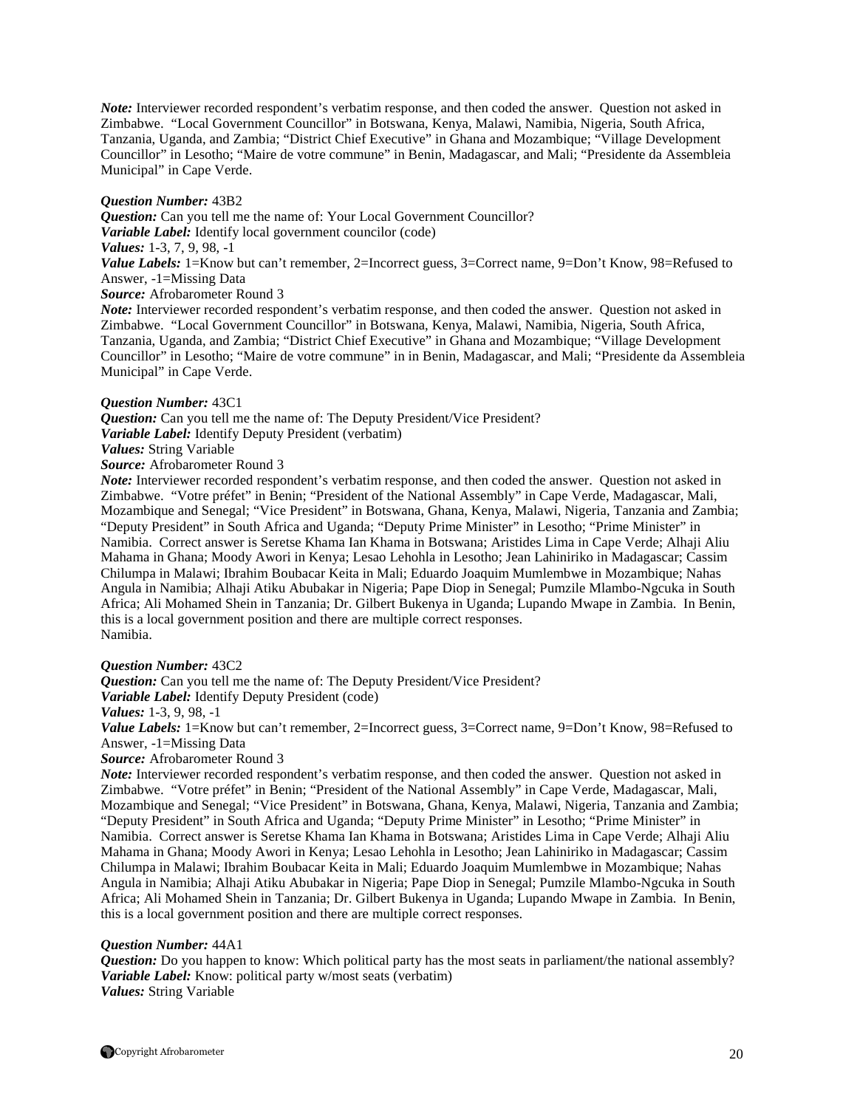*Note:* Interviewer recorded respondent's verbatim response, and then coded the answer. Question not asked in Zimbabwe. "Local Government Councillor" in Botswana, Kenya, Malawi, Namibia, Nigeria, South Africa, Tanzania, Uganda, and Zambia; "District Chief Executive" in Ghana and Mozambique; "Village Development Councillor" in Lesotho; "Maire de votre commune" in Benin, Madagascar, and Mali; "Presidente da Assembleia Municipal" in Cape Verde.

#### *Question Number:* 43B2

*Question:* Can you tell me the name of: Your Local Government Councillor? *Variable Label:* Identify local government councilor (code) *Values:* 1-3, 7, 9, 98, -1 *Value Labels:* 1=Know but can't remember, 2=Incorrect guess, 3=Correct name, 9=Don't Know, 98=Refused to Answer, -1=Missing Data *Source:* Afrobarometer Round 3

*Note*: Interviewer recorded respondent's verbatim response, and then coded the answer. Ouestion not asked in Zimbabwe. "Local Government Councillor" in Botswana, Kenya, Malawi, Namibia, Nigeria, South Africa, Tanzania, Uganda, and Zambia; "District Chief Executive" in Ghana and Mozambique; "Village Development Councillor" in Lesotho; "Maire de votre commune" in in Benin, Madagascar, and Mali; "Presidente da Assembleia Municipal" in Cape Verde.

#### *Question Number:* 43C1

*Question:* Can you tell me the name of: The Deputy President/Vice President?

*Variable Label:* Identify Deputy President (verbatim)

*Values:* String Variable

*Source:* Afrobarometer Round 3

*Note:* Interviewer recorded respondent's verbatim response, and then coded the answer. Ouestion not asked in Zimbabwe. "Votre préfet" in Benin; "President of the National Assembly" in Cape Verde, Madagascar, Mali, Mozambique and Senegal; "Vice President" in Botswana, Ghana, Kenya, Malawi, Nigeria, Tanzania and Zambia; "Deputy President" in South Africa and Uganda; "Deputy Prime Minister" in Lesotho; "Prime Minister" in Namibia. Correct answer is Seretse Khama Ian Khama in Botswana; Aristides Lima in Cape Verde; Alhaji Aliu Mahama in Ghana; Moody Awori in Kenya; Lesao Lehohla in Lesotho; Jean Lahiniriko in Madagascar; Cassim Chilumpa in Malawi; Ibrahim Boubacar Keita in Mali; Eduardo Joaquim Mumlembwe in Mozambique; Nahas Angula in Namibia; Alhaji Atiku Abubakar in Nigeria; Pape Diop in Senegal; Pumzile Mlambo-Ngcuka in South Africa; Ali Mohamed Shein in Tanzania; Dr. Gilbert Bukenya in Uganda; Lupando Mwape in Zambia. In Benin, this is a local government position and there are multiple correct responses. Namibia.

#### *Question Number:* 43C2

*Question:* Can you tell me the name of: The Deputy President/Vice President?

*Variable Label:* Identify Deputy President (code)

*Values:* 1-3, 9, 98, -1

*Value Labels:* 1=Know but can't remember, 2=Incorrect guess, 3=Correct name, 9=Don't Know, 98=Refused to Answer, -1=Missing Data

*Source:* Afrobarometer Round 3

*Note:* Interviewer recorded respondent's verbatim response, and then coded the answer. Question not asked in Zimbabwe. "Votre préfet" in Benin; "President of the National Assembly" in Cape Verde, Madagascar, Mali, Mozambique and Senegal; "Vice President" in Botswana, Ghana, Kenya, Malawi, Nigeria, Tanzania and Zambia; "Deputy President" in South Africa and Uganda; "Deputy Prime Minister" in Lesotho; "Prime Minister" in Namibia. Correct answer is Seretse Khama Ian Khama in Botswana; Aristides Lima in Cape Verde; Alhaji Aliu Mahama in Ghana; Moody Awori in Kenya; Lesao Lehohla in Lesotho; Jean Lahiniriko in Madagascar; Cassim Chilumpa in Malawi; Ibrahim Boubacar Keita in Mali; Eduardo Joaquim Mumlembwe in Mozambique; Nahas Angula in Namibia; Alhaji Atiku Abubakar in Nigeria; Pape Diop in Senegal; Pumzile Mlambo-Ngcuka in South Africa; Ali Mohamed Shein in Tanzania; Dr. Gilbert Bukenya in Uganda; Lupando Mwape in Zambia. In Benin, this is a local government position and there are multiple correct responses.

#### *Question Number:* 44A1

*Question:* Do you happen to know: Which political party has the most seats in parliament/the national assembly? *Variable Label:* Know: political party w/most seats (verbatim) *Values:* String Variable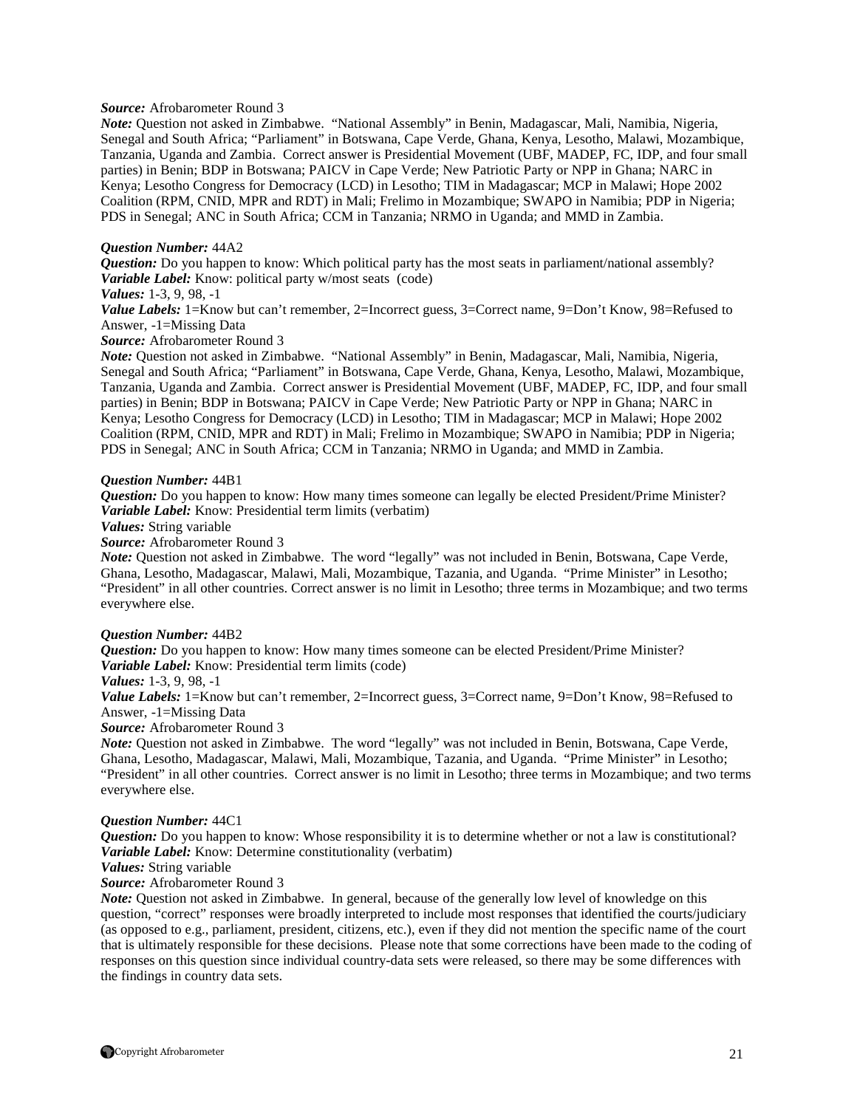#### *Source:* Afrobarometer Round 3

*Note:* Question not asked in Zimbabwe. "National Assembly" in Benin, Madagascar, Mali, Namibia, Nigeria, Senegal and South Africa; "Parliament" in Botswana, Cape Verde, Ghana, Kenya, Lesotho, Malawi, Mozambique, Tanzania, Uganda and Zambia. Correct answer is Presidential Movement (UBF, MADEP, FC, IDP, and four small parties) in Benin; BDP in Botswana; PAICV in Cape Verde; New Patriotic Party or NPP in Ghana; NARC in Kenya; Lesotho Congress for Democracy (LCD) in Lesotho; TIM in Madagascar; MCP in Malawi; Hope 2002 Coalition (RPM, CNID, MPR and RDT) in Mali; Frelimo in Mozambique; SWAPO in Namibia; PDP in Nigeria; PDS in Senegal; ANC in South Africa; CCM in Tanzania; NRMO in Uganda; and MMD in Zambia.

#### *Question Number:* 44A2

*Question:* Do you happen to know: Which political party has the most seats in parliament/national assembly? *Variable Label:* Know: political party w/most seats (code)

#### *Values:* 1-3, 9, 98, -1

*Value Labels:* 1=Know but can't remember, 2=Incorrect guess, 3=Correct name, 9=Don't Know, 98=Refused to Answer, -1=Missing Data

*Source:* Afrobarometer Round 3

*Note:* Question not asked in Zimbabwe. "National Assembly" in Benin, Madagascar, Mali, Namibia, Nigeria, Senegal and South Africa; "Parliament" in Botswana, Cape Verde, Ghana, Kenya, Lesotho, Malawi, Mozambique, Tanzania, Uganda and Zambia. Correct answer is Presidential Movement (UBF, MADEP, FC, IDP, and four small parties) in Benin; BDP in Botswana; PAICV in Cape Verde; New Patriotic Party or NPP in Ghana; NARC in Kenya; Lesotho Congress for Democracy (LCD) in Lesotho; TIM in Madagascar; MCP in Malawi; Hope 2002 Coalition (RPM, CNID, MPR and RDT) in Mali; Frelimo in Mozambique; SWAPO in Namibia; PDP in Nigeria; PDS in Senegal; ANC in South Africa; CCM in Tanzania; NRMO in Uganda; and MMD in Zambia.

#### *Question Number:* 44B1

*Question:* Do you happen to know: How many times someone can legally be elected President/Prime Minister? *Variable Label:* Know: Presidential term limits (verbatim)

#### *Values:* String variable

#### *Source:* Afrobarometer Round 3

*Note:* Question not asked in Zimbabwe. The word "legally" was not included in Benin, Botswana, Cape Verde, Ghana, Lesotho, Madagascar, Malawi, Mali, Mozambique, Tazania, and Uganda. "Prime Minister" in Lesotho; "President" in all other countries. Correct answer is no limit in Lesotho; three terms in Mozambique; and two terms everywhere else.

#### *Question Number:* 44B2

*Question:* Do you happen to know: How many times someone can be elected President/Prime Minister? *Variable Label:* Know: Presidential term limits (code)

#### *Values:* 1-3, 9, 98, -1

*Value Labels:* 1=Know but can't remember, 2=Incorrect guess, 3=Correct name, 9=Don't Know, 98=Refused to Answer, -1=Missing Data

#### *Source:* Afrobarometer Round 3

*Note:* Question not asked in Zimbabwe. The word "legally" was not included in Benin, Botswana, Cape Verde, Ghana, Lesotho, Madagascar, Malawi, Mali, Mozambique, Tazania, and Uganda. "Prime Minister" in Lesotho; "President" in all other countries. Correct answer is no limit in Lesotho; three terms in Mozambique; and two terms everywhere else.

#### *Question Number:* 44C1

*Question:* Do you happen to know: Whose responsibility it is to determine whether or not a law is constitutional? *Variable Label:* Know: Determine constitutionality (verbatim)

#### *Values:* String variable

#### *Source:* Afrobarometer Round 3

*Note:* Question not asked in Zimbabwe. In general, because of the generally low level of knowledge on this question, "correct" responses were broadly interpreted to include most responses that identified the courts/judiciary (as opposed to e.g., parliament, president, citizens, etc.), even if they did not mention the specific name of the court that is ultimately responsible for these decisions. Please note that some corrections have been made to the coding of responses on this question since individual country-data sets were released, so there may be some differences with the findings in country data sets.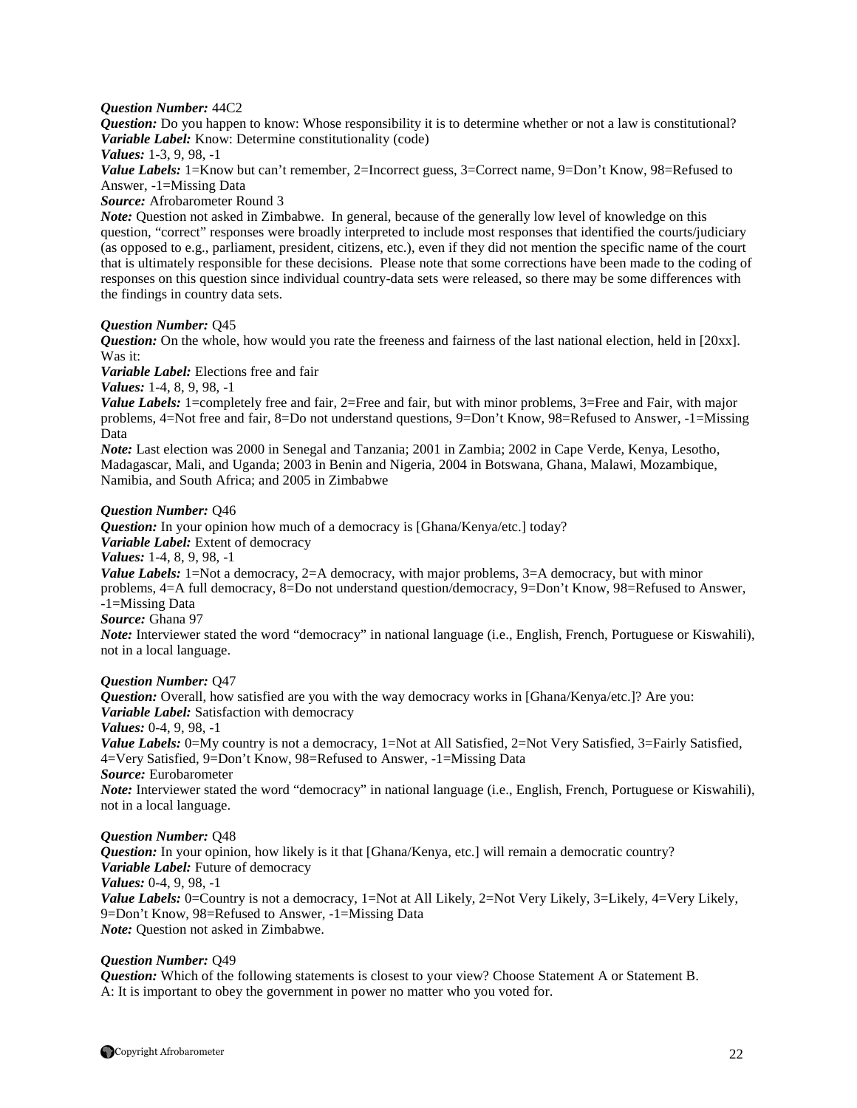#### *Question Number:* 44C2

*Question:* Do you happen to know: Whose responsibility it is to determine whether or not a law is constitutional? *Variable Label:* Know: Determine constitutionality (code)

*Values:* 1-3, 9, 98, -1

*Value Labels:* 1=Know but can't remember, 2=Incorrect guess, 3=Correct name, 9=Don't Know, 98=Refused to Answer, -1=Missing Data

*Source:* Afrobarometer Round 3

*Note:* Question not asked in Zimbabwe. In general, because of the generally low level of knowledge on this question, "correct" responses were broadly interpreted to include most responses that identified the courts/judiciary (as opposed to e.g., parliament, president, citizens, etc.), even if they did not mention the specific name of the court that is ultimately responsible for these decisions. Please note that some corrections have been made to the coding of responses on this question since individual country-data sets were released, so there may be some differences with the findings in country data sets.

#### *Question Number:* Q45

*Question:* On the whole, how would you rate the freeness and fairness of the last national election, held in [20xx]. Was it:

*Variable Label:* Elections free and fair

*Values:* 1-4, 8, 9, 98, -1

*Value Labels:* 1=completely free and fair, 2=Free and fair, but with minor problems, 3=Free and Fair, with major problems, 4=Not free and fair, 8=Do not understand questions, 9=Don't Know, 98=Refused to Answer, -1=Missing Data

*Note:* Last election was 2000 in Senegal and Tanzania; 2001 in Zambia; 2002 in Cape Verde, Kenya, Lesotho, Madagascar, Mali, and Uganda; 2003 in Benin and Nigeria, 2004 in Botswana, Ghana, Malawi, Mozambique, Namibia, and South Africa; and 2005 in Zimbabwe

#### *Question Number:* Q46

*Question:* In your opinion how much of a democracy is [Ghana/Kenya/etc.] today? *Variable Label:* Extent of democracy *Values:* 1-4, 8, 9, 98, -1 *Value Labels:* 1=Not a democracy, 2=A democracy, with major problems, 3=A democracy, but with minor problems, 4=A full democracy, 8=Do not understand question/democracy, 9=Don't Know, 98=Refused to Answer, -1=Missing Data *Source:* Ghana 97

*Note:* Interviewer stated the word "democracy" in national language (i.e., English, French, Portuguese or Kiswahili), not in a local language.

#### *Question Number:* Q47

*Question:* Overall, how satisfied are you with the way democracy works in [Ghana/Kenya/etc.]? Are you: *Variable Label:* Satisfaction with democracy *Values:* 0-4, 9, 98, -1 *Value Labels:* 0=My country is not a democracy, 1=Not at All Satisfied, 2=Not Very Satisfied, 3=Fairly Satisfied, 4=Very Satisfied, 9=Don't Know, 98=Refused to Answer, -1=Missing Data *Source:* Eurobarometer *Note:* Interviewer stated the word "democracy" in national language (i.e., English, French, Portuguese or Kiswahili), not in a local language.

#### *Question Number:* Q48

*Question:* In your opinion, how likely is it that [Ghana/Kenya, etc.] will remain a democratic country? *Variable Label:* Future of democracy *Values:* 0-4, 9, 98, -1 *Value Labels:* 0=Country is not a democracy, 1=Not at All Likely, 2=Not Very Likely, 3=Likely, 4=Very Likely, 9=Don't Know, 98=Refused to Answer, -1=Missing Data *Note:* Question not asked in Zimbabwe.

#### *Question Number:* Q49

*Question:* Which of the following statements is closest to your view? Choose Statement A or Statement B. A: It is important to obey the government in power no matter who you voted for.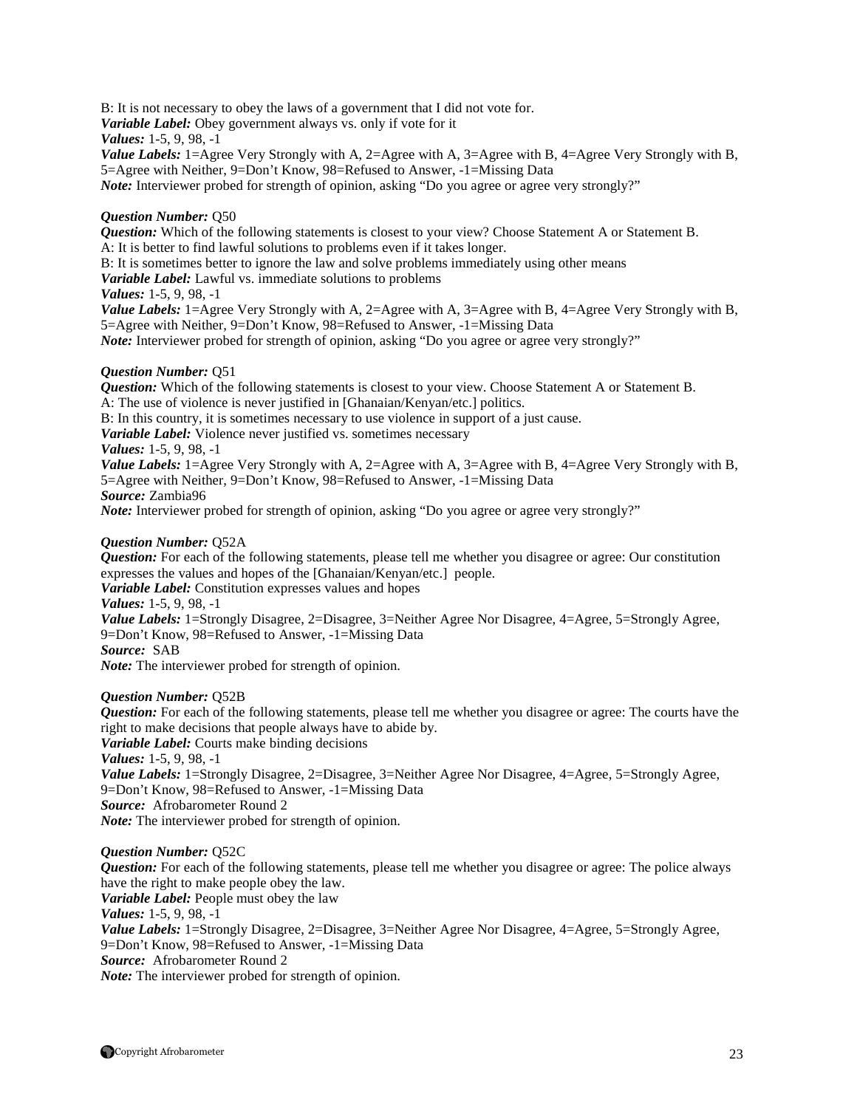B: It is not necessary to obey the laws of a government that I did not vote for.

*Variable Label:* Obey government always vs. only if vote for it

*Values:* 1-5, 9, 98, -1

*Value Labels:* 1=Agree Very Strongly with A, 2=Agree with A, 3=Agree with B, 4=Agree Very Strongly with B, 5=Agree with Neither, 9=Don't Know, 98=Refused to Answer, -1=Missing Data *Note:* Interviewer probed for strength of opinion, asking "Do you agree or agree very strongly?"

# *Question Number:* Q50

*Question:* Which of the following statements is closest to your view? Choose Statement A or Statement B.

A: It is better to find lawful solutions to problems even if it takes longer.

B: It is sometimes better to ignore the law and solve problems immediately using other means

*Variable Label:* Lawful vs. immediate solutions to problems

# *Values:* 1-5, 9, 98, -1

*Value Labels:* 1=Agree Very Strongly with A, 2=Agree with A, 3=Agree with B, 4=Agree Very Strongly with B, 5=Agree with Neither, 9=Don't Know, 98=Refused to Answer, -1=Missing Data *Note:* Interviewer probed for strength of opinion, asking "Do you agree or agree very strongly?"

# *Question Number:* Q51

*Question:* Which of the following statements is closest to your view. Choose Statement A or Statement B. A: The use of violence is never justified in [Ghanaian/Kenyan/etc.] politics.

B: In this country, it is sometimes necessary to use violence in support of a just cause.

*Variable Label:* Violence never justified vs. sometimes necessary

*Values:* 1-5, 9, 98, -1

*Value Labels:* 1=Agree Very Strongly with A, 2=Agree with A, 3=Agree with B, 4=Agree Very Strongly with B, 5=Agree with Neither, 9=Don't Know, 98=Refused to Answer, -1=Missing Data *Source:* Zambia96

*Note:* Interviewer probed for strength of opinion, asking "Do you agree or agree very strongly?"

# *Question Number:* Q52A

*Question:* For each of the following statements, please tell me whether you disagree or agree: Our constitution expresses the values and hopes of the [Ghanaian/Kenyan/etc.] people.

*Variable Label:* Constitution expresses values and hopes

*Values:* 1-5, 9, 98, -1

*Value Labels:* 1=Strongly Disagree, 2=Disagree, 3=Neither Agree Nor Disagree, 4=Agree, 5=Strongly Agree, 9=Don't Know, 98=Refused to Answer, -1=Missing Data

*Source:* SAB

*Note:* The interviewer probed for strength of opinion.

# *Question Number:* Q52B

*Question:* For each of the following statements, please tell me whether you disagree or agree: The courts have the right to make decisions that people always have to abide by.

*Variable Label:* Courts make binding decisions

*Values:* 1-5, 9, 98, -1

*Value Labels:* 1=Strongly Disagree, 2=Disagree, 3=Neither Agree Nor Disagree, 4=Agree, 5=Strongly Agree, 9=Don't Know, 98=Refused to Answer, -1=Missing Data

*Source:* Afrobarometer Round 2

*Note:* The interviewer probed for strength of opinion.

# *Question Number:* Q52C

*Question:* For each of the following statements, please tell me whether you disagree or agree: The police always have the right to make people obey the law.

*Variable Label:* People must obey the law

*Values:* 1-5, 9, 98, -1

*Value Labels:* 1=Strongly Disagree, 2=Disagree, 3=Neither Agree Nor Disagree, 4=Agree, 5=Strongly Agree, 9=Don't Know, 98=Refused to Answer, -1=Missing Data *Source:* Afrobarometer Round 2

*Note:* The interviewer probed for strength of opinion.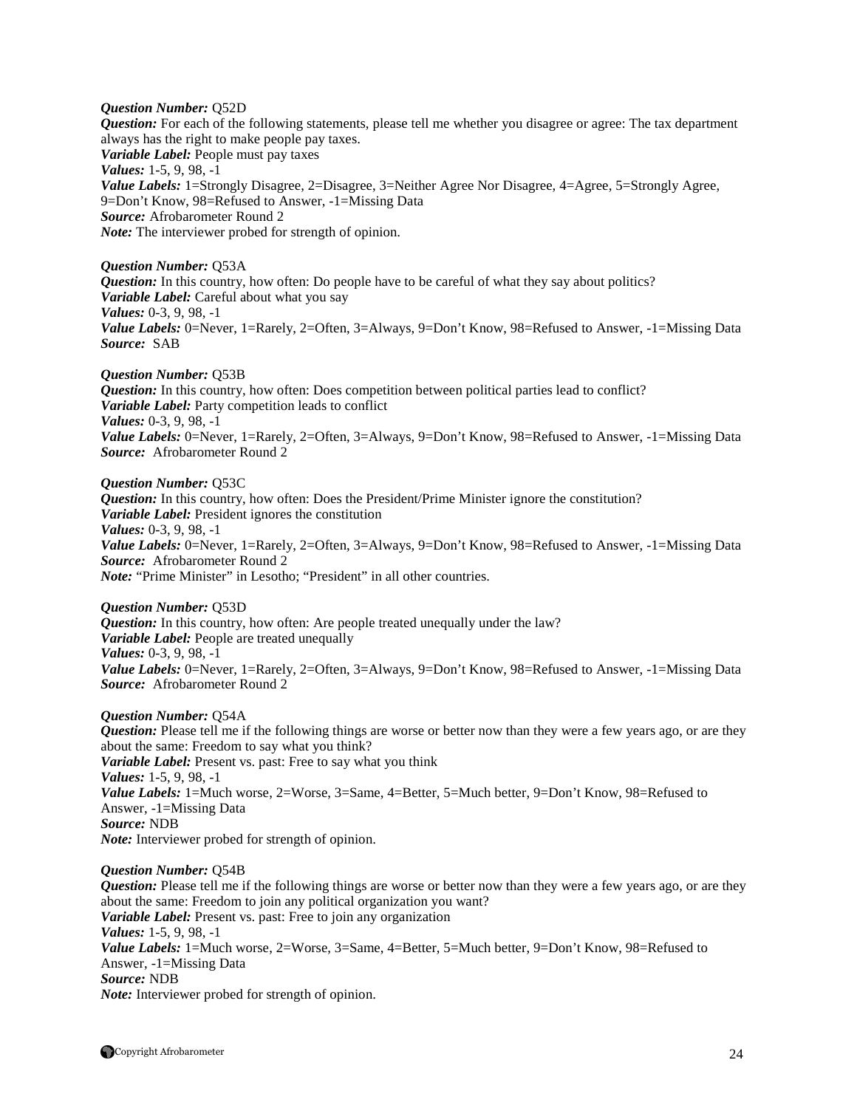*Question Number:* Q52D *Question:* For each of the following statements, please tell me whether you disagree or agree: The tax department always has the right to make people pay taxes. *Variable Label:* People must pay taxes *Values:* 1-5, 9, 98, -1 *Value Labels:* 1=Strongly Disagree, 2=Disagree, 3=Neither Agree Nor Disagree, 4=Agree, 5=Strongly Agree, 9=Don't Know, 98=Refused to Answer, -1=Missing Data *Source:* Afrobarometer Round 2 *Note:* The interviewer probed for strength of opinion.

*Question Number:* Q53A *Question:* In this country, how often: Do people have to be careful of what they say about politics? *Variable Label:* Careful about what you say *Values:* 0-3, 9, 98, -1 *Value Labels:* 0=Never, 1=Rarely, 2=Often, 3=Always, 9=Don't Know, 98=Refused to Answer, -1=Missing Data *Source:* SAB

*Question Number:* Q53B *Question:* In this country, how often: Does competition between political parties lead to conflict? *Variable Label:* Party competition leads to conflict *Values:* 0-3, 9, 98, -1 *Value Labels:* 0=Never, 1=Rarely, 2=Often, 3=Always, 9=Don't Know, 98=Refused to Answer, -1=Missing Data *Source:* Afrobarometer Round 2

*Question Number:* Q53C

*Question:* In this country, how often: Does the President/Prime Minister ignore the constitution? *Variable Label:* President ignores the constitution *Values:* 0-3, 9, 98, -1 *Value Labels:* 0=Never, 1=Rarely, 2=Often, 3=Always, 9=Don't Know, 98=Refused to Answer, -1=Missing Data *Source:* Afrobarometer Round 2 *Note:* "Prime Minister" in Lesotho; "President" in all other countries.

*Question Number:* Q53D *Question:* In this country, how often: Are people treated unequally under the law? *Variable Label:* People are treated unequally *Values:* 0-3, 9, 98, -1 Value Labels: 0=Never, 1=Rarely, 2=Often, 3=Always, 9=Don't Know, 98=Refused to Answer, -1=Missing Data *Source:* Afrobarometer Round 2

*Question Number:* Q54A

*Question:* Please tell me if the following things are worse or better now than they were a few years ago, or are they about the same: Freedom to say what you think? *Variable Label:* Present vs. past: Free to say what you think *Values:* 1-5, 9, 98, -1 Value Labels: 1=Much worse, 2=Worse, 3=Same, 4=Better, 5=Much better, 9=Don't Know, 98=Refused to Answer, -1=Missing Data *Source:* NDB *Note:* Interviewer probed for strength of opinion.

*Question Number:* Q54B

*Question:* Please tell me if the following things are worse or better now than they were a few years ago, or are they about the same: Freedom to join any political organization you want? *Variable Label:* Present vs. past: Free to join any organization *Values:* 1-5, 9, 98, -1 *Value Labels:* 1=Much worse, 2=Worse, 3=Same, 4=Better, 5=Much better, 9=Don't Know, 98=Refused to Answer, -1=Missing Data *Source:* NDB *Note:* Interviewer probed for strength of opinion.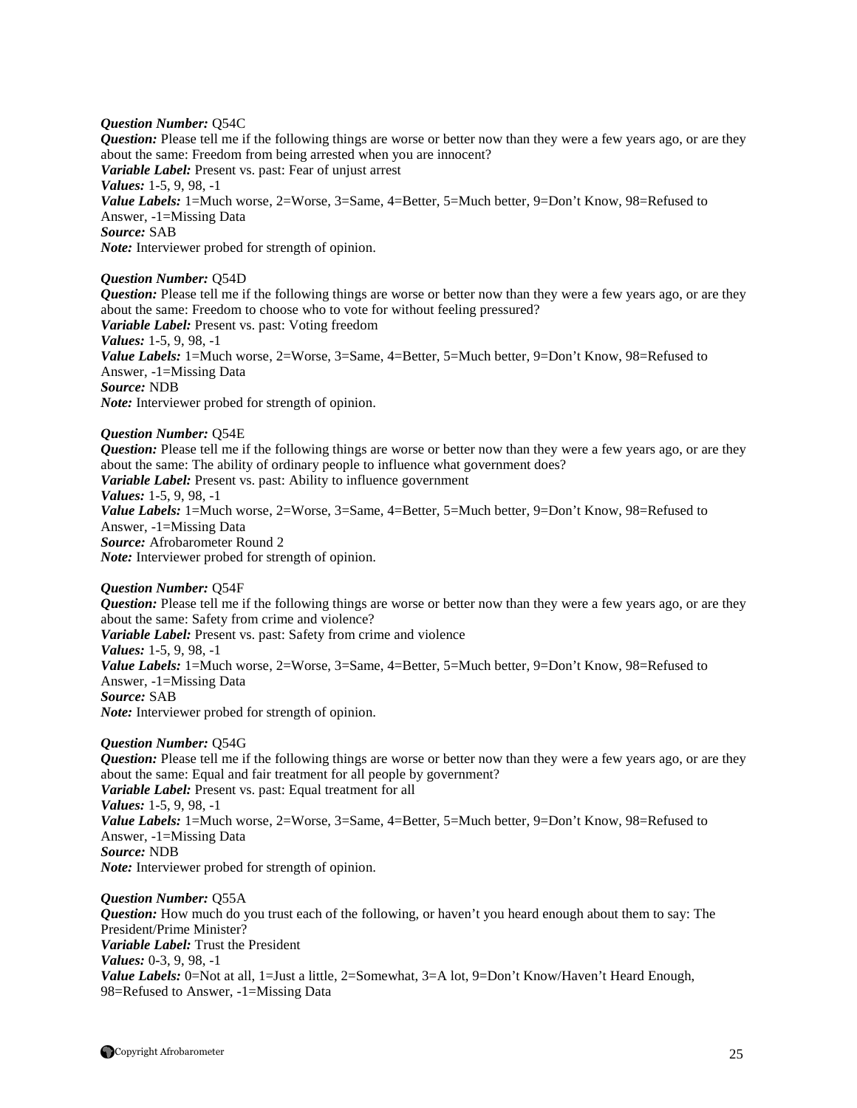#### *Question Number:* Q54C

*Question:* Please tell me if the following things are worse or better now than they were a few years ago, or are they about the same: Freedom from being arrested when you are innocent? *Variable Label:* Present vs. past: Fear of unjust arrest *Values:* 1-5, 9, 98, -1 Value Labels: 1=Much worse, 2=Worse, 3=Same, 4=Better, 5=Much better, 9=Don't Know, 98=Refused to Answer, -1=Missing Data *Source:* SAB *Note:* Interviewer probed for strength of opinion.

*Question Number:* Q54D

*Question:* Please tell me if the following things are worse or better now than they were a few years ago, or are they about the same: Freedom to choose who to vote for without feeling pressured? *Variable Label:* Present vs. past: Voting freedom *Values:* 1-5, 9, 98, -1 Value Labels: 1=Much worse, 2=Worse, 3=Same, 4=Better, 5=Much better, 9=Don't Know, 98=Refused to Answer, -1=Missing Data *Source:* NDB *Note:* Interviewer probed for strength of opinion.

*Question Number:* Q54E

*Question:* Please tell me if the following things are worse or better now than they were a few years ago, or are they about the same: The ability of ordinary people to influence what government does? *Variable Label:* Present vs. past: Ability to influence government *Values:* 1-5, 9, 98, -1 *Value Labels:* 1=Much worse, 2=Worse, 3=Same, 4=Better, 5=Much better, 9=Don't Know, 98=Refused to Answer, -1=Missing Data *Source:* Afrobarometer Round 2 *Note:* Interviewer probed for strength of opinion.

*Question Number:* Q54F *Question:* Please tell me if the following things are worse or better now than they were a few years ago, or are they about the same: Safety from crime and violence? *Variable Label:* Present vs. past: Safety from crime and violence *Values:* 1-5, 9, 98, -1 *Value Labels:* 1=Much worse, 2=Worse, 3=Same, 4=Better, 5=Much better, 9=Don't Know, 98=Refused to Answer, -1=Missing Data *Source:* SAB *Note:* Interviewer probed for strength of opinion.

*Question Number:* Q54G

*Question:* Please tell me if the following things are worse or better now than they were a few years ago, or are they about the same: Equal and fair treatment for all people by government? *Variable Label:* Present vs. past: Equal treatment for all *Values:* 1-5, 9, 98, -1 *Value Labels:* 1=Much worse, 2=Worse, 3=Same, 4=Better, 5=Much better, 9=Don't Know, 98=Refused to Answer, -1=Missing Data *Source:* NDB *Note:* Interviewer probed for strength of opinion.

*Question Number:* Q55A *Question:* How much do you trust each of the following, or haven't you heard enough about them to say: The President/Prime Minister? *Variable Label:* Trust the President *Values:* 0-3, 9, 98, -1 *Value Labels:* 0=Not at all, 1=Just a little, 2=Somewhat, 3=A lot, 9=Don't Know/Haven't Heard Enough, 98=Refused to Answer, -1=Missing Data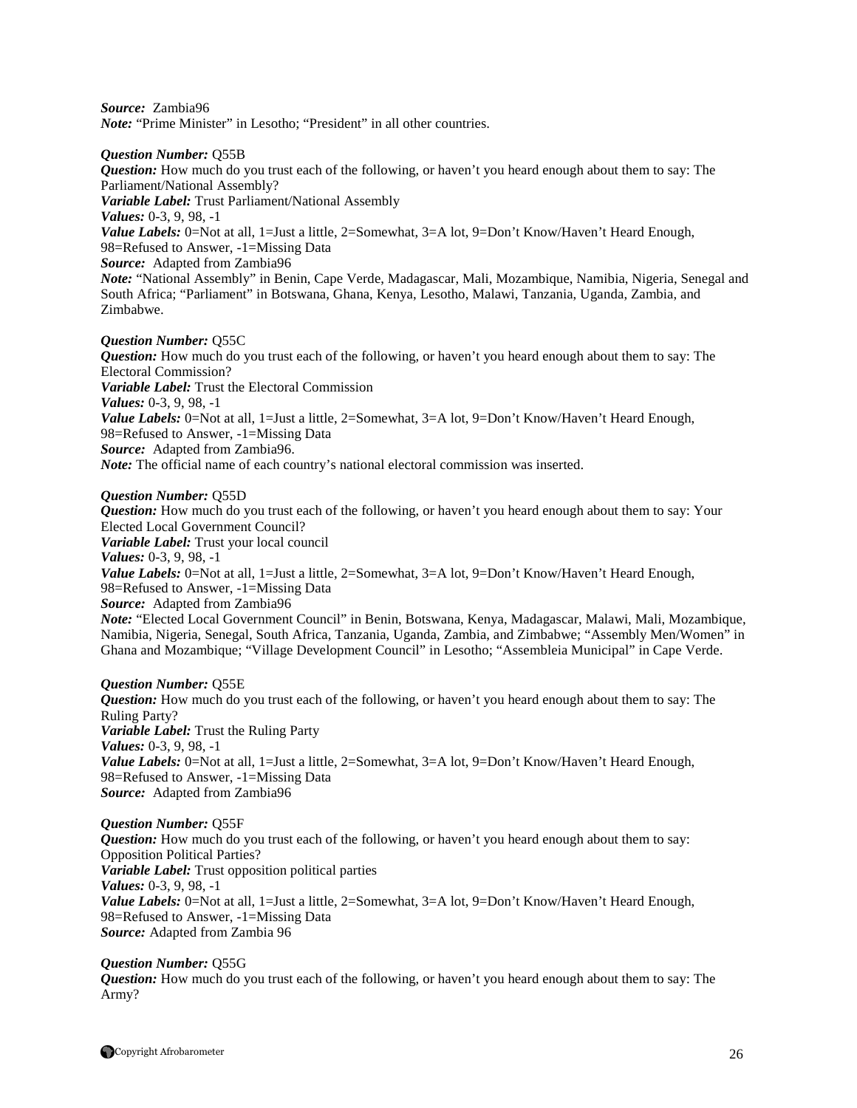*Source:* Zambia96

*Note:* "Prime Minister" in Lesotho; "President" in all other countries.

#### *Question Number:* Q55B

*Question:* How much do you trust each of the following, or haven't you heard enough about them to say: The Parliament/National Assembly? *Variable Label:* Trust Parliament/National Assembly *Values:* 0-3, 9, 98, -1 *Value Labels:* 0=Not at all, 1=Just a little, 2=Somewhat, 3=A lot, 9=Don't Know/Haven't Heard Enough, 98=Refused to Answer, -1=Missing Data *Source:* Adapted from Zambia96 *Note:* "National Assembly" in Benin, Cape Verde, Madagascar, Mali, Mozambique, Namibia, Nigeria, Senegal and South Africa; "Parliament" in Botswana, Ghana, Kenya, Lesotho, Malawi, Tanzania, Uganda, Zambia, and Zimbabwe.

#### *Question Number:* Q55C

*Question:* How much do you trust each of the following, or haven't you heard enough about them to say: The Electoral Commission? *Variable Label:* Trust the Electoral Commission *Values:* 0-3, 9, 98, -1 *Value Labels:* 0=Not at all, 1=Just a little, 2=Somewhat, 3=A lot, 9=Don't Know/Haven't Heard Enough, 98=Refused to Answer, -1=Missing Data *Source:* Adapted from Zambia96. *Note:* The official name of each country's national electoral commission was inserted.

#### *Question Number:* Q55D

*Question:* How much do you trust each of the following, or haven't you heard enough about them to say: Your Elected Local Government Council? *Variable Label:* Trust your local council *Values:* 0-3, 9, 98, -1 *Value Labels:* 0=Not at all, 1=Just a little, 2=Somewhat, 3=A lot, 9=Don't Know/Haven't Heard Enough, 98=Refused to Answer, -1=Missing Data *Source:* Adapted from Zambia96 *Note:* "Elected Local Government Council" in Benin, Botswana, Kenya, Madagascar, Malawi, Mali, Mozambique, Namibia, Nigeria, Senegal, South Africa, Tanzania, Uganda, Zambia, and Zimbabwe; "Assembly Men/Women" in Ghana and Mozambique; "Village Development Council" in Lesotho; "Assembleia Municipal" in Cape Verde.

#### *Question Number:* Q55E

*Question:* How much do you trust each of the following, or haven't you heard enough about them to say: The Ruling Party? *Variable Label:* Trust the Ruling Party *Values:* 0-3, 9, 98, -1 Value Labels: 0=Not at all, 1=Just a little, 2=Somewhat, 3=A lot, 9=Don't Know/Haven't Heard Enough, 98=Refused to Answer, -1=Missing Data *Source:* Adapted from Zambia96

#### *Question Number:* Q55F **Question:** How much do you trust each of the following, or haven't you heard enough about them to say: Opposition Political Parties? *Variable Label:* Trust opposition political parties *Values:* 0-3, 9, 98, -1 *Value Labels:* 0=Not at all, 1=Just a little, 2=Somewhat, 3=A lot, 9=Don't Know/Haven't Heard Enough, 98=Refused to Answer, -1=Missing Data *Source:* Adapted from Zambia 96

#### *Question Number:* Q55G

*Question:* How much do you trust each of the following, or haven't you heard enough about them to say: The Army?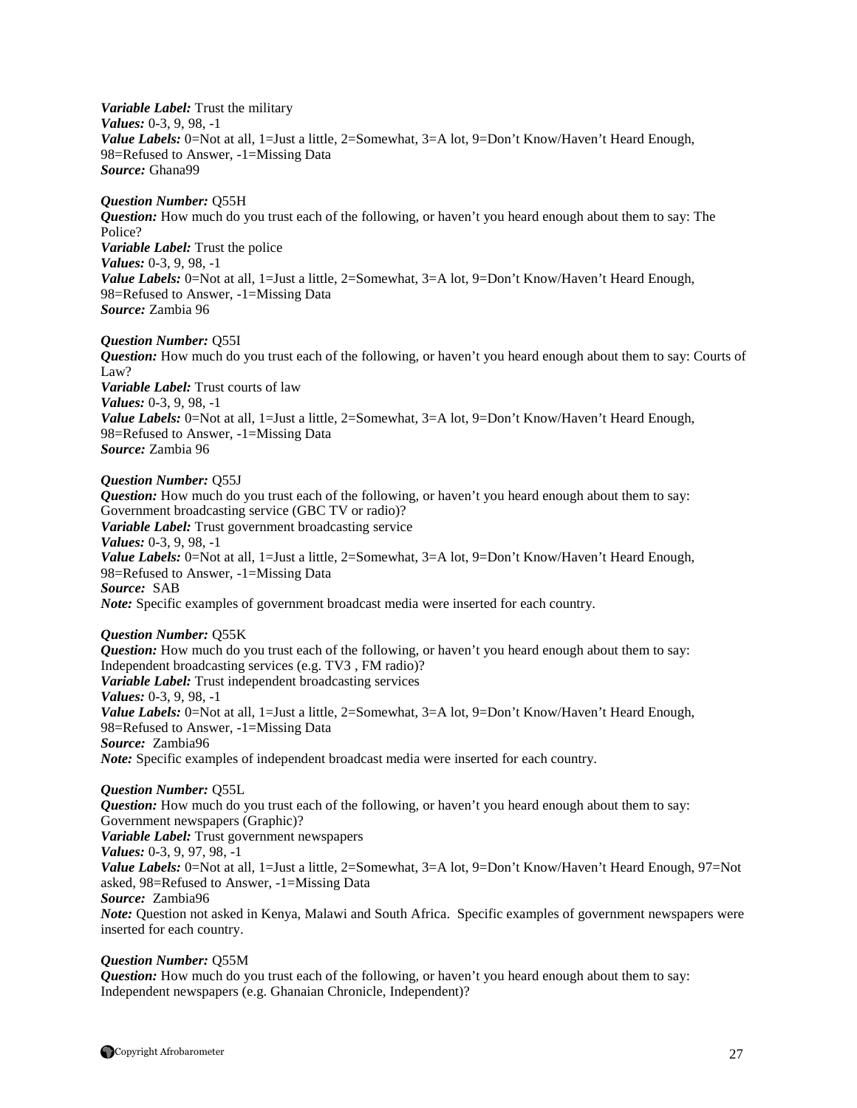*Variable Label:* Trust the military *Values:* 0-3, 9, 98, -1 Value Labels: 0=Not at all, 1=Just a little, 2=Somewhat, 3=A lot, 9=Don't Know/Haven't Heard Enough, 98=Refused to Answer, -1=Missing Data *Source:* Ghana99

#### *Question Number:* Q55H

*Question:* How much do you trust each of the following, or haven't you heard enough about them to say: The Police? *Variable Label:* Trust the police *Values:* 0-3, 9, 98, -1 *Value Labels:* 0=Not at all, 1=Just a little, 2=Somewhat, 3=A lot, 9=Don't Know/Haven't Heard Enough, 98=Refused to Answer, -1=Missing Data *Source:* Zambia 96

#### *Question Number:* Q55I

*Question:* How much do you trust each of the following, or haven't you heard enough about them to say: Courts of Law? *Variable Label:* Trust courts of law *Values:* 0-3, 9, 98, -1 *Value Labels:* 0=Not at all, 1=Just a little, 2=Somewhat, 3=A lot, 9=Don't Know/Haven't Heard Enough, 98=Refused to Answer, -1=Missing Data *Source:* Zambia 96

# *Question Number:* Q55J

*Question:* How much do you trust each of the following, or haven't you heard enough about them to say: Government broadcasting service (GBC TV or radio)? *Variable Label:* Trust government broadcasting service *Values:* 0-3, 9, 98, -1 *Value Labels:* 0=Not at all, 1=Just a little, 2=Somewhat, 3=A lot, 9=Don't Know/Haven't Heard Enough, 98=Refused to Answer, -1=Missing Data *Source:* SAB

# *Note:* Specific examples of government broadcast media were inserted for each country.

#### *Question Number:* Q55K

*Question:* How much do you trust each of the following, or haven't you heard enough about them to say: Independent broadcasting services (e.g. TV3 , FM radio)? *Variable Label:* Trust independent broadcasting services *Values:* 0-3, 9, 98, -1 *Value Labels:* 0=Not at all, 1=Just a little, 2=Somewhat, 3=A lot, 9=Don't Know/Haven't Heard Enough, 98=Refused to Answer, -1=Missing Data *Source:* Zambia96 *Note:* Specific examples of independent broadcast media were inserted for each country.

*Question Number:* Q55L *Question:* How much do you trust each of the following, or haven't you heard enough about them to say: Government newspapers (Graphic)? *Variable Label:* Trust government newspapers *Values:* 0-3, 9, 97, 98, -1 *Value Labels:* 0=Not at all, 1=Just a little, 2=Somewhat, 3=A lot, 9=Don't Know/Haven't Heard Enough, 97=Not asked, 98=Refused to Answer, -1=Missing Data *Source:* Zambia96 *Note:* Question not asked in Kenya, Malawi and South Africa. Specific examples of government newspapers were inserted for each country.

#### *Question Number:* Q55M

*Question:* How much do you trust each of the following, or haven't you heard enough about them to say: Independent newspapers (e.g. Ghanaian Chronicle, Independent)?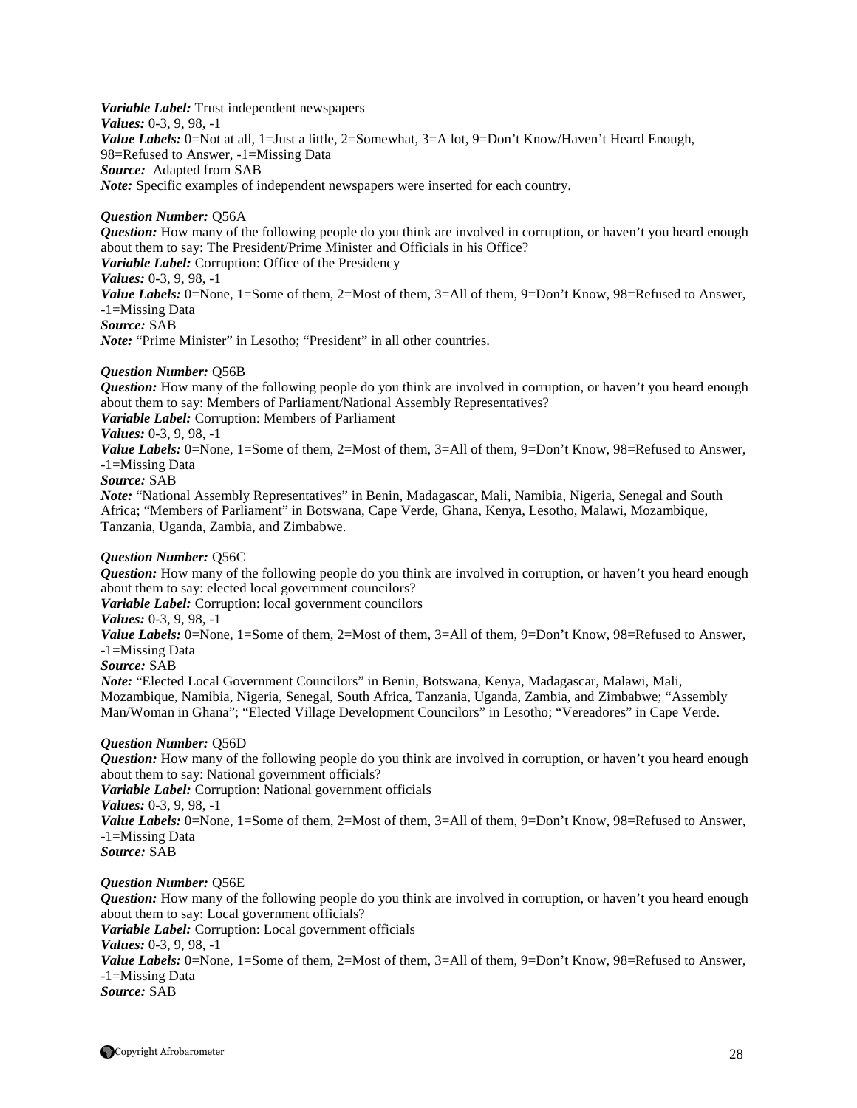*Variable Label:* Trust independent newspapers *Values:* 0-3, 9, 98, -1 Value Labels: 0=Not at all, 1=Just a little, 2=Somewhat, 3=A lot, 9=Don't Know/Haven't Heard Enough, 98=Refused to Answer, -1=Missing Data *Source:* Adapted from SAB *Note:* Specific examples of independent newspapers were inserted for each country.

#### *Question Number:* Q56A

*Question:* How many of the following people do you think are involved in corruption, or haven't you heard enough about them to say: The President/Prime Minister and Officials in his Office? *Variable Label:* Corruption: Office of the Presidency *Values:* 0-3, 9, 98, -1 *Value Labels:* 0=None, 1=Some of them, 2=Most of them, 3=All of them, 9=Don't Know, 98=Refused to Answer, -1=Missing Data *Source:* SAB *Note:* "Prime Minister" in Lesotho; "President" in all other countries.

#### *Question Number:* Q56B

*Question:* How many of the following people do you think are involved in corruption, or haven't you heard enough about them to say: Members of Parliament/National Assembly Representatives?

*Variable Label:* Corruption: Members of Parliament

#### *Values:* 0-3, 9, 98, -1

*Value Labels:* 0=None, 1=Some of them, 2=Most of them, 3=All of them, 9=Don't Know, 98=Refused to Answer, -1=Missing Data

#### *Source:* SAB

*Note:* "National Assembly Representatives" in Benin, Madagascar, Mali, Namibia, Nigeria, Senegal and South Africa; "Members of Parliament" in Botswana, Cape Verde, Ghana, Kenya, Lesotho, Malawi, Mozambique, Tanzania, Uganda, Zambia, and Zimbabwe.

#### *Question Number:* Q56C

*Question:* How many of the following people do you think are involved in corruption, or haven't you heard enough about them to say: elected local government councilors?

*Variable Label:* Corruption: local government councilors

*Values:* 0-3, 9, 98, -1

*Value Labels:* 0=None, 1=Some of them, 2=Most of them, 3=All of them, 9=Don't Know, 98=Refused to Answer, -1=Missing Data

*Source:* SAB

*Note:* "Elected Local Government Councilors" in Benin, Botswana, Kenya, Madagascar, Malawi, Mali, Mozambique, Namibia, Nigeria, Senegal, South Africa, Tanzania, Uganda, Zambia, and Zimbabwe; "Assembly Man/Woman in Ghana"; "Elected Village Development Councilors" in Lesotho; "Vereadores" in Cape Verde.

#### *Question Number:* Q56D

*Question:* How many of the following people do you think are involved in corruption, or haven't you heard enough about them to say: National government officials?

*Variable Label:* Corruption: National government officials

*Values:* 0-3, 9, 98, -1

*Value Labels:* 0=None, 1=Some of them, 2=Most of them, 3=All of them, 9=Don't Know, 98=Refused to Answer, -1=Missing Data

*Source:* SAB

*Question Number:* Q56E

*Question:* How many of the following people do you think are involved in corruption, or haven't you heard enough about them to say: Local government officials?

*Variable Label:* Corruption: Local government officials

*Values:* 0-3, 9, 98, -1

*Value Labels:* 0=None, 1=Some of them, 2=Most of them, 3=All of them, 9=Don't Know, 98=Refused to Answer, -1=Missing Data

*Source:* SAB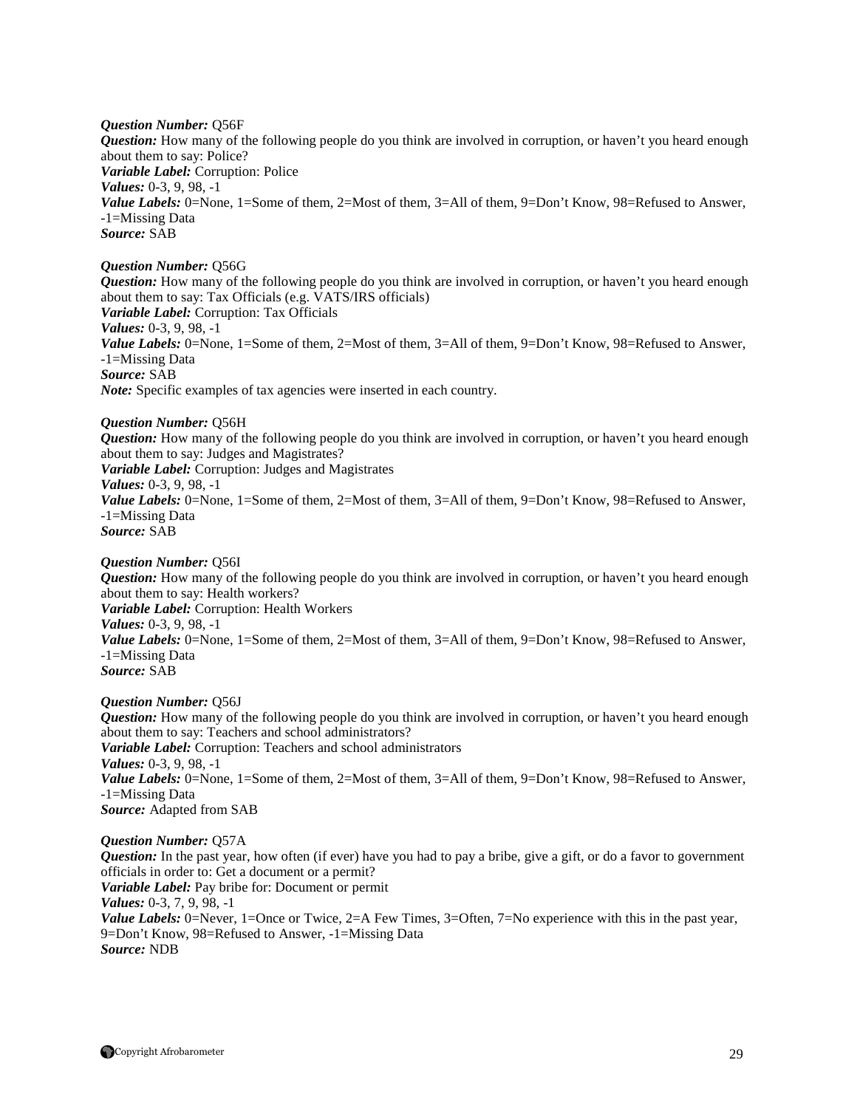*Question Number:* Q56F *Question:* How many of the following people do you think are involved in corruption, or haven't you heard enough about them to say: Police? *Variable Label:* Corruption: Police *Values:* 0-3, 9, 98, -1 *Value Labels:* 0=None, 1=Some of them, 2=Most of them, 3=All of them, 9=Don't Know, 98=Refused to Answer, -1=Missing Data *Source:* SAB

#### *Question Number:* Q56G

*Question:* How many of the following people do you think are involved in corruption, or haven't you heard enough about them to say: Tax Officials (e.g. VATS/IRS officials) *Variable Label:* Corruption: Tax Officials *Values:* 0-3, 9, 98, -1 *Value Labels:* 0=None, 1=Some of them, 2=Most of them, 3=All of them, 9=Don't Know, 98=Refused to Answer, -1=Missing Data *Source:* SAB *Note:* Specific examples of tax agencies were inserted in each country.

#### *Question Number:* Q56H

*Question:* How many of the following people do you think are involved in corruption, or haven't you heard enough about them to say: Judges and Magistrates? *Variable Label:* Corruption: Judges and Magistrates *Values:* 0-3, 9, 98, -1 Value Labels: 0=None, 1=Some of them, 2=Most of them, 3=All of them, 9=Don't Know, 98=Refused to Answer, -1=Missing Data *Source:* SAB

#### *Question Number:* Q56I

*Question:* How many of the following people do you think are involved in corruption, or haven't you heard enough about them to say: Health workers? *Variable Label:* Corruption: Health Workers *Values:* 0-3, 9, 98, -1 Value Labels: 0=None, 1=Some of them, 2=Most of them, 3=All of them, 9=Don't Know, 98=Refused to Answer, -1=Missing Data *Source:* SAB

#### *Question Number:* Q56J

*Question:* How many of the following people do you think are involved in corruption, or haven't you heard enough about them to say: Teachers and school administrators? *Variable Label:* Corruption: Teachers and school administrators *Values:* 0-3, 9, 98, -1 *Value Labels:* 0=None, 1=Some of them, 2=Most of them, 3=All of them, 9=Don't Know, 98=Refused to Answer, -1=Missing Data *Source:* Adapted from SAB

#### *Question Number:* Q57A

*Question:* In the past year, how often (if ever) have you had to pay a bribe, give a gift, or do a favor to government officials in order to: Get a document or a permit? *Variable Label:* Pay bribe for: Document or permit *Values:* 0-3, 7, 9, 98, -1 *Value Labels:* 0=Never, 1=Once or Twice, 2=A Few Times, 3=Often, 7=No experience with this in the past year, 9=Don't Know, 98=Refused to Answer, -1=Missing Data *Source:* NDB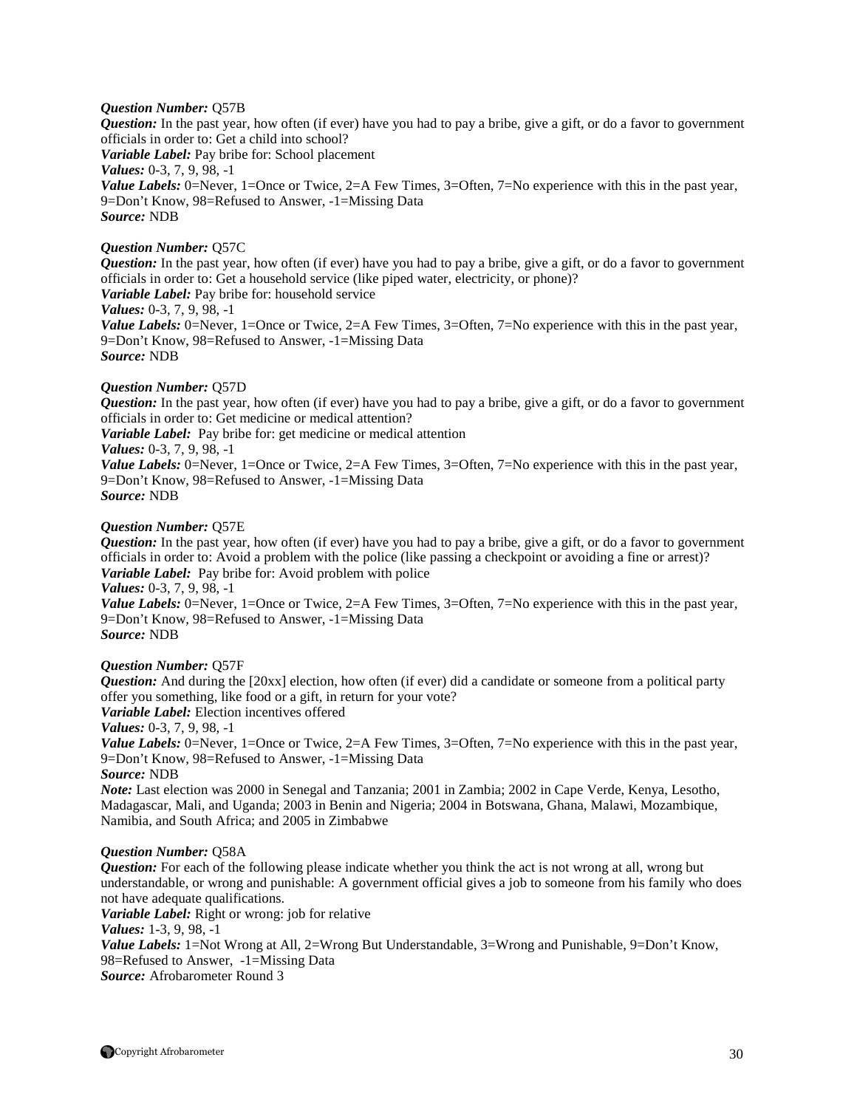#### *Question Number:* Q57B

*Question:* In the past year, how often (if ever) have you had to pay a bribe, give a gift, or do a favor to government officials in order to: Get a child into school? *Variable Label:* Pay bribe for: School placement *Values:* 0-3, 7, 9, 98, -1 *Value Labels:* 0=Never, 1=Once or Twice, 2=A Few Times, 3=Often, 7=No experience with this in the past year, 9=Don't Know, 98=Refused to Answer, -1=Missing Data *Source:* NDB

#### *Question Number:* Q57C

*Question:* In the past year, how often (if ever) have you had to pay a bribe, give a gift, or do a favor to government officials in order to: Get a household service (like piped water, electricity, or phone)?

*Variable Label:* Pay bribe for: household service

#### *Values:* 0-3, 7, 9, 98, -1

*Value Labels:* 0=Never, 1=Once or Twice, 2=A Few Times, 3=Often, 7=No experience with this in the past year, 9=Don't Know, 98=Refused to Answer, -1=Missing Data *Source:* NDB

#### *Question Number:* Q57D

*Question:* In the past year, how often (if ever) have you had to pay a bribe, give a gift, or do a favor to government officials in order to: Get medicine or medical attention?

*Variable Label:* Pay bribe for: get medicine or medical attention

*Values:* 0-3, 7, 9, 98, -1

*Value Labels:* 0=Never, 1=Once or Twice, 2=A Few Times, 3=Often, 7=No experience with this in the past year, 9=Don't Know, 98=Refused to Answer, -1=Missing Data *Source:* NDB

#### *Question Number:* Q57E

*Question:* In the past year, how often (if ever) have you had to pay a bribe, give a gift, or do a favor to government officials in order to: Avoid a problem with the police (like passing a checkpoint or avoiding a fine or arrest)? *Variable Label:* Pay bribe for: Avoid problem with police *Values:* 0-3, 7, 9, 98, -1

*Value Labels:* 0=Never, 1=Once or Twice, 2=A Few Times, 3=Often, 7=No experience with this in the past year, 9=Don't Know, 98=Refused to Answer, -1=Missing Data *Source:* NDB

#### *Question Number:* Q57F

*Question:* And during the [20xx] election, how often (if ever) did a candidate or someone from a political party offer you something, like food or a gift, in return for your vote? *Variable Label:* Election incentives offered *Values:* 0-3, 7, 9, 98, -1 *Value Labels:* 0=Never, 1=Once or Twice, 2=A Few Times, 3=Often, 7=No experience with this in the past year, 9=Don't Know, 98=Refused to Answer, -1=Missing Data

*Source:* NDB

*Note:* Last election was 2000 in Senegal and Tanzania; 2001 in Zambia; 2002 in Cape Verde, Kenya, Lesotho, Madagascar, Mali, and Uganda; 2003 in Benin and Nigeria; 2004 in Botswana, Ghana, Malawi, Mozambique, Namibia, and South Africa; and 2005 in Zimbabwe

#### *Question Number:* Q58A

*Question:* For each of the following please indicate whether you think the act is not wrong at all, wrong but understandable, or wrong and punishable: A government official gives a job to someone from his family who does not have adequate qualifications.

*Variable Label:* Right or wrong: job for relative

*Values:* 1-3, 9, 98, -1

*Value Labels:* 1=Not Wrong at All, 2=Wrong But Understandable, 3=Wrong and Punishable, 9=Don't Know, 98=Refused to Answer, -1=Missing Data *Source:* Afrobarometer Round 3

Copyright Afrobarometer 30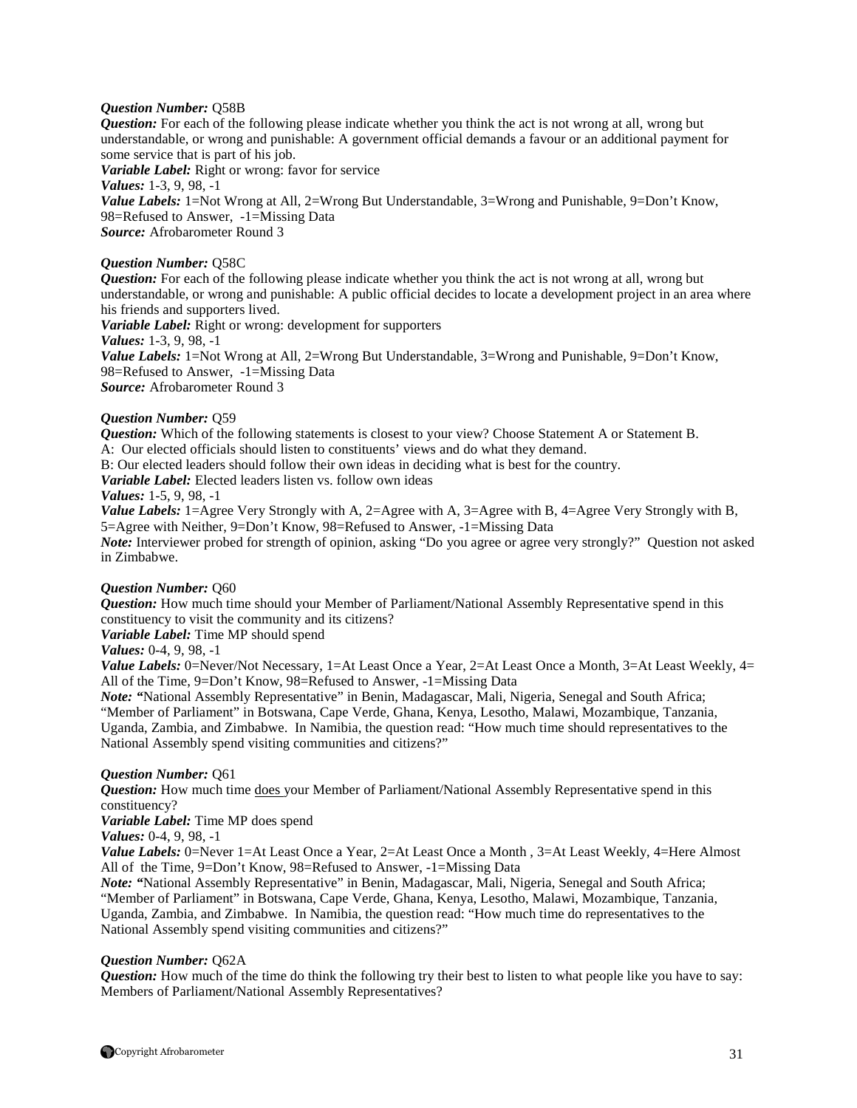#### *Question Number:* Q58B

*Question:* For each of the following please indicate whether you think the act is not wrong at all, wrong but understandable, or wrong and punishable: A government official demands a favour or an additional payment for some service that is part of his job.

*Variable Label:* Right or wrong: favor for service *Values:* 1-3, 9, 98, -1 *Value Labels:* 1=Not Wrong at All, 2=Wrong But Understandable, 3=Wrong and Punishable, 9=Don't Know, 98=Refused to Answer, -1=Missing Data *Source:* Afrobarometer Round 3

#### *Question Number:* Q58C

*Question:* For each of the following please indicate whether you think the act is not wrong at all, wrong but understandable, or wrong and punishable: A public official decides to locate a development project in an area where his friends and supporters lived. *Variable Label:* Right or wrong: development for supporters *Values:* 1-3, 9, 98, -1 *Value Labels:* 1=Not Wrong at All, 2=Wrong But Understandable, 3=Wrong and Punishable, 9=Don't Know,

98=Refused to Answer, -1=Missing Data *Source:* Afrobarometer Round 3

#### *Question Number:* Q59

*Question:* Which of the following statements is closest to your view? Choose Statement A or Statement B. A: Our elected officials should listen to constituents' views and do what they demand.

B: Our elected leaders should follow their own ideas in deciding what is best for the country.

*Variable Label:* Elected leaders listen vs. follow own ideas

#### *Values:* 1-5, 9, 98, -1

*Value Labels:* 1=Agree Very Strongly with A, 2=Agree with A, 3=Agree with B, 4=Agree Very Strongly with B, 5=Agree with Neither, 9=Don't Know, 98=Refused to Answer, -1=Missing Data *Note:* Interviewer probed for strength of opinion, asking "Do you agree or agree very strongly?" Question not asked in Zimbabwe.

#### *Question Number:* Q60

*Question:* How much time should your Member of Parliament/National Assembly Representative spend in this constituency to visit the community and its citizens?

*Variable Label:* Time MP should spend

*Values:* 0-4, 9, 98, -1

*Value Labels:* 0=Never/Not Necessary, 1=At Least Once a Year, 2=At Least Once a Month, 3=At Least Weekly, 4= All of the Time, 9=Don't Know, 98=Refused to Answer, -1=Missing Data

*Note: "*National Assembly Representative" in Benin, Madagascar, Mali, Nigeria, Senegal and South Africa; "Member of Parliament" in Botswana, Cape Verde, Ghana, Kenya, Lesotho, Malawi, Mozambique, Tanzania, Uganda, Zambia, and Zimbabwe. In Namibia, the question read: "How much time should representatives to the National Assembly spend visiting communities and citizens?"

#### *Question Number:* Q61

*Question:* How much time does your Member of Parliament/National Assembly Representative spend in this constituency?

*Variable Label:* Time MP does spend

*Values:* 0-4, 9, 98, -1

*Value Labels:* 0=Never 1=At Least Once a Year, 2=At Least Once a Month, 3=At Least Weekly, 4=Here Almost All of the Time, 9=Don't Know, 98=Refused to Answer, -1=Missing Data

*Note:* "National Assembly Representative" in Benin, Madagascar, Mali, Nigeria, Senegal and South Africa; "Member of Parliament" in Botswana, Cape Verde, Ghana, Kenya, Lesotho, Malawi, Mozambique, Tanzania, Uganda, Zambia, and Zimbabwe. In Namibia, the question read: "How much time do representatives to the National Assembly spend visiting communities and citizens?"

# *Question Number:* Q62A

*Question:* How much of the time do think the following try their best to listen to what people like you have to say: Members of Parliament/National Assembly Representatives?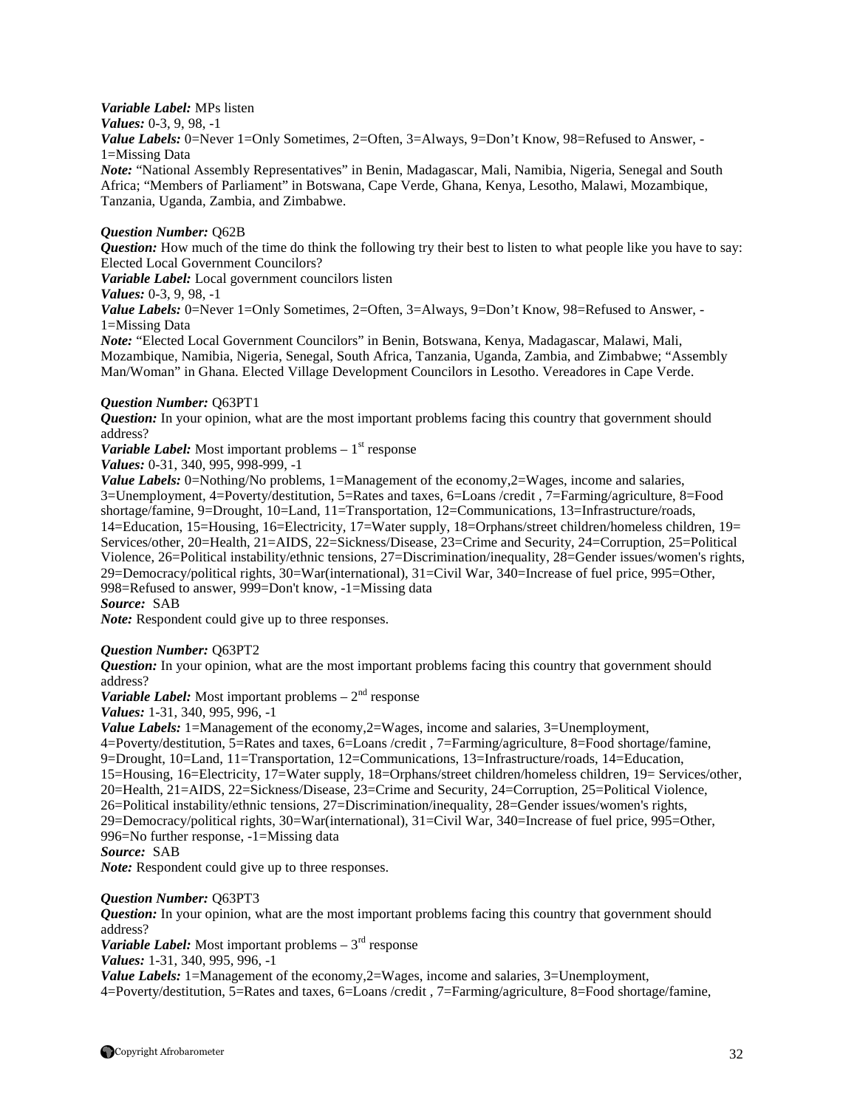#### *Variable Label:* MPs listen

*Values:* 0-3, 9, 98, -1

Value Labels: 0=Never 1=Only Sometimes, 2=Often, 3=Always, 9=Don't Know, 98=Refused to Answer, -1=Missing Data

*Note:* "National Assembly Representatives" in Benin, Madagascar, Mali, Namibia, Nigeria, Senegal and South Africa; "Members of Parliament" in Botswana, Cape Verde, Ghana, Kenya, Lesotho, Malawi, Mozambique, Tanzania, Uganda, Zambia, and Zimbabwe.

#### *Question Number:* Q62B

*Question:* How much of the time do think the following try their best to listen to what people like you have to say: Elected Local Government Councilors?

*Variable Label:* Local government councilors listen

*Values:* 0-3, 9, 98, -1

Value Labels: 0=Never 1=Only Sometimes, 2=Often, 3=Always, 9=Don't Know, 98=Refused to Answer, -1=Missing Data

*Note:* "Elected Local Government Councilors" in Benin, Botswana, Kenya, Madagascar, Malawi, Mali, Mozambique, Namibia, Nigeria, Senegal, South Africa, Tanzania, Uganda, Zambia, and Zimbabwe; "Assembly Man/Woman" in Ghana. Elected Village Development Councilors in Lesotho. Vereadores in Cape Verde.

#### *Question Number:* Q63PT1

*Question:* In your opinion, what are the most important problems facing this country that government should address?

*Variable Label:* Most important problems  $-1$ <sup>st</sup> response

*Values:* 0-31, 340, 995, 998-999, -1

*Value Labels:* 0=Nothing/No problems, 1=Management of the economy, 2=Wages, income and salaries, 3=Unemployment, 4=Poverty/destitution, 5=Rates and taxes, 6=Loans /credit , 7=Farming/agriculture, 8=Food shortage/famine, 9=Drought, 10=Land, 11=Transportation, 12=Communications, 13=Infrastructure/roads, 14=Education, 15=Housing, 16=Electricity, 17=Water supply, 18=Orphans/street children/homeless children, 19= Services/other, 20=Health, 21=AIDS, 22=Sickness/Disease, 23=Crime and Security, 24=Corruption, 25=Political Violence, 26=Political instability/ethnic tensions, 27=Discrimination/inequality, 28=Gender issues/women's rights, 29=Democracy/political rights, 30=War(international), 31=Civil War, 340=Increase of fuel price, 995=Other, 998=Refused to answer, 999=Don't know, -1=Missing data

*Source:* SAB

*Note:* Respondent could give up to three responses.

#### *Question Number:* Q63PT2

*Question:* In your opinion, what are the most important problems facing this country that government should address?

*Variable Label:* Most important problems  $-2<sup>nd</sup>$  response

*Values:* 1-31, 340, 995, 996, -1

*Value Labels:* 1=Management of the economy, 2=Wages, income and salaries, 3=Unemployment, 4=Poverty/destitution, 5=Rates and taxes, 6=Loans /credit , 7=Farming/agriculture, 8=Food shortage/famine, 9=Drought, 10=Land, 11=Transportation, 12=Communications, 13=Infrastructure/roads, 14=Education, 15=Housing, 16=Electricity, 17=Water supply, 18=Orphans/street children/homeless children, 19= Services/other, 20=Health, 21=AIDS, 22=Sickness/Disease, 23=Crime and Security, 24=Corruption, 25=Political Violence, 26=Political instability/ethnic tensions, 27=Discrimination/inequality, 28=Gender issues/women's rights, 29=Democracy/political rights, 30=War(international), 31=Civil War, 340=Increase of fuel price, 995=Other, 996=No further response, -1=Missing data *Source:* SAB

*Note:* Respondent could give up to three responses.

#### *Question Number:* Q63PT3

*Question:* In your opinion, what are the most important problems facing this country that government should address?

*Variable Label:* Most important problems  $-3<sup>rd</sup>$  response

*Values:* 1-31, 340, 995, 996, -1

*Value Labels:* 1=Management of the economy, 2=Wages, income and salaries, 3=Unemployment, 4=Poverty/destitution, 5=Rates and taxes, 6=Loans /credit , 7=Farming/agriculture, 8=Food shortage/famine,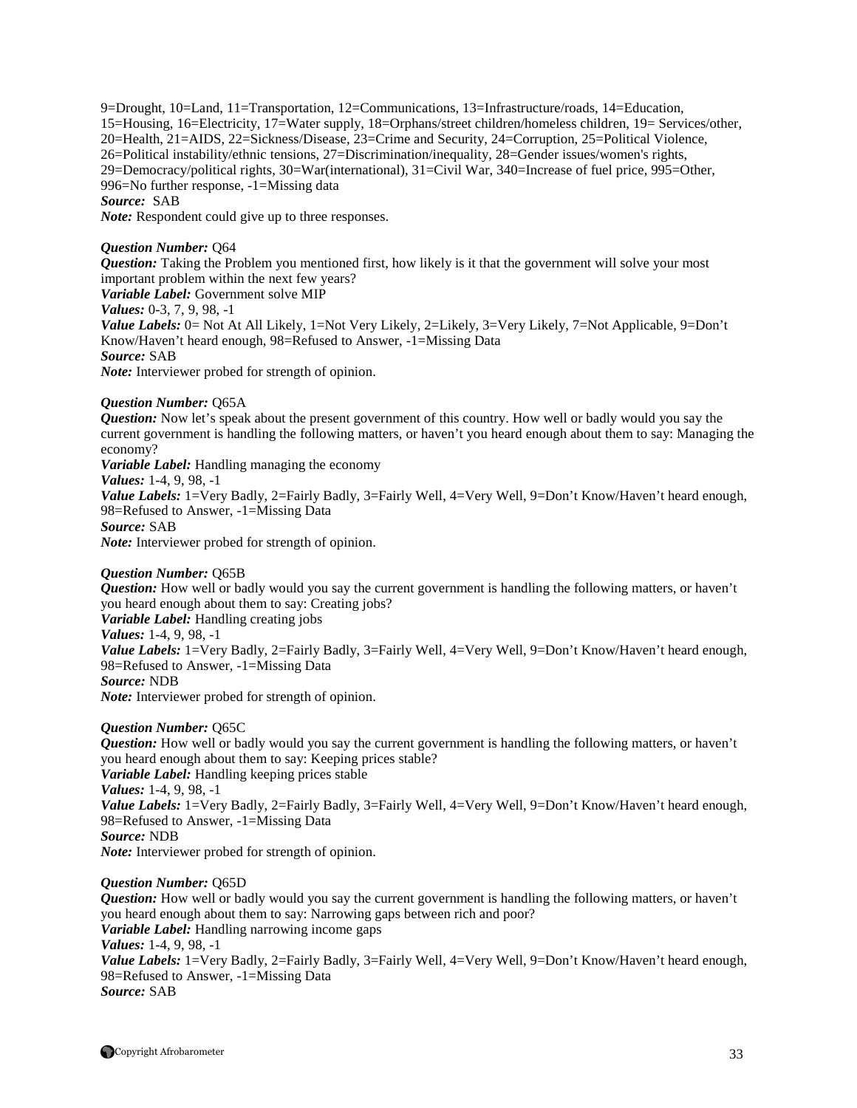9=Drought, 10=Land, 11=Transportation, 12=Communications, 13=Infrastructure/roads, 14=Education, 15=Housing, 16=Electricity, 17=Water supply, 18=Orphans/street children/homeless children, 19= Services/other, 20=Health, 21=AIDS, 22=Sickness/Disease, 23=Crime and Security, 24=Corruption, 25=Political Violence, 26=Political instability/ethnic tensions, 27=Discrimination/inequality, 28=Gender issues/women's rights, 29=Democracy/political rights, 30=War(international), 31=Civil War, 340=Increase of fuel price, 995=Other, 996=No further response, -1=Missing data *Source:* SAB

*Note:* Respondent could give up to three responses.

#### *Question Number:* Q64

*Question:* Taking the Problem you mentioned first, how likely is it that the government will solve your most important problem within the next few years?

*Variable Label:* Government solve MIP

*Values:* 0-3, 7, 9, 98, -1

*Value Labels:* 0= Not At All Likely, 1=Not Very Likely, 2=Likely, 3=Very Likely, 7=Not Applicable, 9=Don't Know/Haven't heard enough, 98=Refused to Answer, -1=Missing Data *Source:* SAB

*Note:* Interviewer probed for strength of opinion.

#### *Question Number:* Q65A

*Question:* Now let's speak about the present government of this country. How well or badly would you say the current government is handling the following matters, or haven't you heard enough about them to say: Managing the economy?

*Variable Label:* Handling managing the economy

*Values:* 1-4, 9, 98, -1

Value Labels: 1=Very Badly, 2=Fairly Badly, 3=Fairly Well, 4=Very Well, 9=Don't Know/Haven't heard enough, 98=Refused to Answer, -1=Missing Data

*Source:* SAB *Note:* Interviewer probed for strength of opinion.

#### *Question Number:* Q65B

*Question:* How well or badly would you say the current government is handling the following matters, or haven't you heard enough about them to say: Creating jobs?

*Variable Label:* Handling creating jobs

*Values:* 1-4, 9, 98, -1

*Value Labels:* 1=Very Badly, 2=Fairly Badly, 3=Fairly Well, 4=Very Well, 9=Don't Know/Haven't heard enough, 98=Refused to Answer, -1=Missing Data

# *Source:* NDB

*Note:* Interviewer probed for strength of opinion.

#### *Question Number:* Q65C

*Question:* How well or badly would you say the current government is handling the following matters, or haven't you heard enough about them to say: Keeping prices stable? *Variable Label:* Handling keeping prices stable *Values:* 1-4, 9, 98, -1 Value Labels: 1=Very Badly, 2=Fairly Badly, 3=Fairly Well, 4=Very Well, 9=Don't Know/Haven't heard enough, 98=Refused to Answer, -1=Missing Data *Source:* NDB *Note:* Interviewer probed for strength of opinion.

#### *Question Number:* Q65D

*Question:* How well or badly would you say the current government is handling the following matters, or haven't you heard enough about them to say: Narrowing gaps between rich and poor? *Variable Label:* Handling narrowing income gaps *Values:* 1-4, 9, 98, -1 *Value Labels:* 1=Very Badly, 2=Fairly Badly, 3=Fairly Well, 4=Very Well, 9=Don't Know/Haven't heard enough, 98=Refused to Answer, -1=Missing Data *Source:* SAB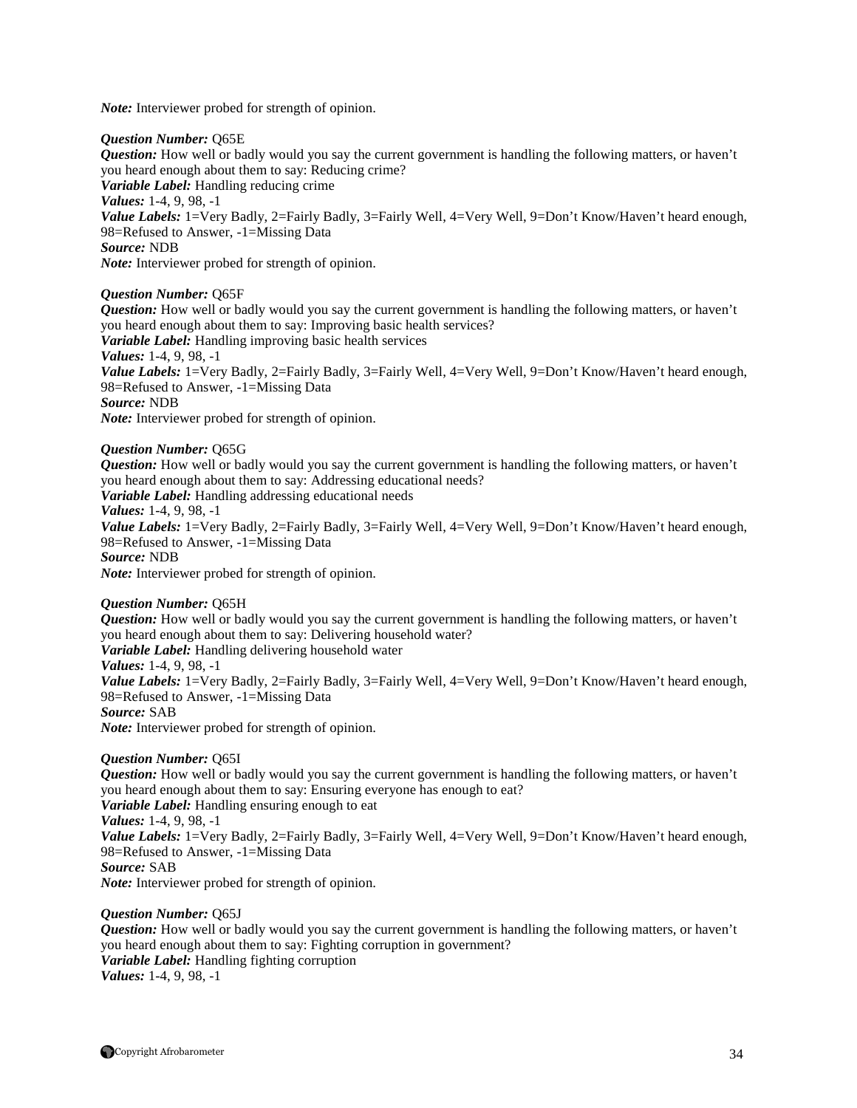*Note:* Interviewer probed for strength of opinion.

#### *Question Number:* Q65E

*Question:* How well or badly would you say the current government is handling the following matters, or haven't you heard enough about them to say: Reducing crime? *Variable Label:* Handling reducing crime *Values:* 1-4, 9, 98, -1 *Value Labels:* 1=Very Badly, 2=Fairly Badly, 3=Fairly Well, 4=Very Well, 9=Don't Know/Haven't heard enough, 98=Refused to Answer, -1=Missing Data *Source:* NDB *Note:* Interviewer probed for strength of opinion.

#### *Question Number:* Q65F

*Question:* How well or badly would you say the current government is handling the following matters, or haven't you heard enough about them to say: Improving basic health services? *Variable Label:* Handling improving basic health services *Values:* 1-4, 9, 98, -1 *Value Labels:* 1=Very Badly, 2=Fairly Badly, 3=Fairly Well, 4=Very Well, 9=Don't Know/Haven't heard enough, 98=Refused to Answer, -1=Missing Data *Source:* NDB *Note:* Interviewer probed for strength of opinion.

# *Question Number:* Q65G

*Question:* How well or badly would you say the current government is handling the following matters, or haven't you heard enough about them to say: Addressing educational needs? *Variable Label:* Handling addressing educational needs *Values:* 1-4, 9, 98, -1 *Value Labels:* 1=Very Badly, 2=Fairly Badly, 3=Fairly Well, 4=Very Well, 9=Don't Know/Haven't heard enough, 98=Refused to Answer, -1=Missing Data *Source:* NDB *Note:* Interviewer probed for strength of opinion.

# *Question Number:* Q65H

*Question:* How well or badly would you say the current government is handling the following matters, or haven't you heard enough about them to say: Delivering household water? *Variable Label:* Handling delivering household water *Values:* 1-4, 9, 98, -1 *Value Labels:* 1=Very Badly, 2=Fairly Badly, 3=Fairly Well, 4=Very Well, 9=Don't Know/Haven't heard enough, 98=Refused to Answer, -1=Missing Data *Source:* SAB *Note:* Interviewer probed for strength of opinion.

#### *Question Number:* Q65I

*Question:* How well or badly would you say the current government is handling the following matters, or haven't you heard enough about them to say: Ensuring everyone has enough to eat? *Variable Label:* Handling ensuring enough to eat *Values:* 1-4, 9, 98, -1 *Value Labels:* 1=Very Badly, 2=Fairly Badly, 3=Fairly Well, 4=Very Well, 9=Don't Know/Haven't heard enough, 98=Refused to Answer, -1=Missing Data *Source:* SAB *Note:* Interviewer probed for strength of opinion.

#### *Question Number:* Q65J

*Question:* How well or badly would you say the current government is handling the following matters, or haven't you heard enough about them to say: Fighting corruption in government? *Variable Label:* Handling fighting corruption *Values:* 1-4, 9, 98, -1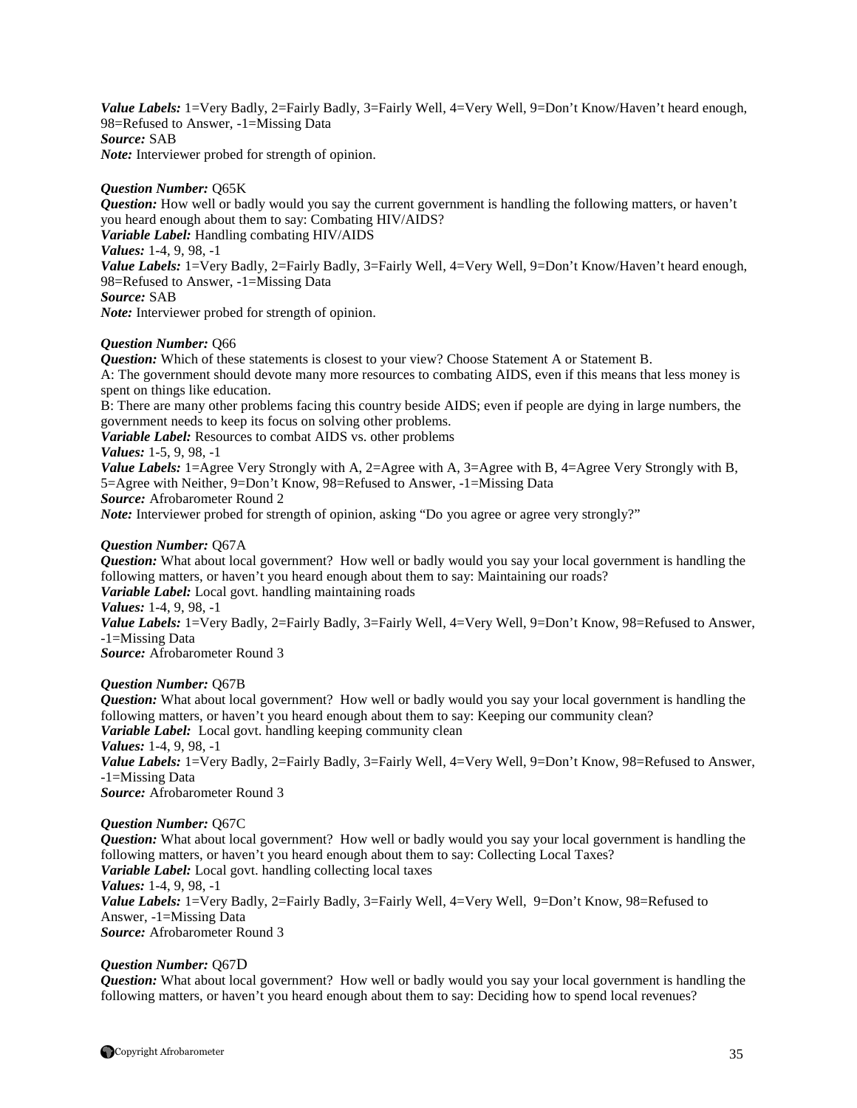*Value Labels:* 1=Very Badly, 2=Fairly Badly, 3=Fairly Well, 4=Very Well, 9=Don't Know/Haven't heard enough, 98=Refused to Answer, -1=Missing Data *Source:* SAB *Note:* Interviewer probed for strength of opinion.

#### *Question Number:* Q65K

*Question:* How well or badly would you say the current government is handling the following matters, or haven't you heard enough about them to say: Combating HIV/AIDS? *Variable Label:* Handling combating HIV/AIDS *Values:* 1-4, 9, 98, -1 *Value Labels:* 1=Very Badly, 2=Fairly Badly, 3=Fairly Well, 4=Very Well, 9=Don't Know/Haven't heard enough, 98=Refused to Answer, -1=Missing Data *Source:* SAB *Note:* Interviewer probed for strength of opinion.

#### *Question Number:* Q66

*Question:* Which of these statements is closest to your view? Choose Statement A or Statement B.

A: The government should devote many more resources to combating AIDS, even if this means that less money is spent on things like education.

B: There are many other problems facing this country beside AIDS; even if people are dying in large numbers, the government needs to keep its focus on solving other problems.

*Variable Label:* Resources to combat AIDS vs. other problems

*Values:* 1-5, 9, 98, -1

*Value Labels:* 1=Agree Very Strongly with A, 2=Agree with A, 3=Agree with B, 4=Agree Very Strongly with B, 5=Agree with Neither, 9=Don't Know, 98=Refused to Answer, -1=Missing Data

*Source:* Afrobarometer Round 2

*Note:* Interviewer probed for strength of opinion, asking "Do you agree or agree very strongly?"

#### *Question Number:* Q67A

*Question:* What about local government? How well or badly would you say your local government is handling the following matters, or haven't you heard enough about them to say: Maintaining our roads? *Variable Label:* Local govt. handling maintaining roads

*Values:* 1-4, 9, 98, -1

*Value Labels:* 1=Very Badly, 2=Fairly Badly, 3=Fairly Well, 4=Very Well, 9=Don't Know, 98=Refused to Answer, -1=Missing Data

*Source:* Afrobarometer Round 3

#### *Question Number:* Q67B

*Question:* What about local government? How well or badly would you say your local government is handling the following matters, or haven't you heard enough about them to say: Keeping our community clean? *Variable Label:* Local govt. handling keeping community clean *Values:* 1-4, 9, 98, -1 *Value Labels:* 1=Very Badly, 2=Fairly Badly, 3=Fairly Well, 4=Very Well, 9=Don't Know, 98=Refused to Answer, -1=Missing Data *Source:* Afrobarometer Round 3

*Question Number:* Q67C

*Question:* What about local government? How well or badly would you say your local government is handling the following matters, or haven't you heard enough about them to say: Collecting Local Taxes? *Variable Label:* Local govt. handling collecting local taxes *Values:* 1-4, 9, 98, -1 Value Labels: 1=Very Badly, 2=Fairly Badly, 3=Fairly Well, 4=Very Well, 9=Don't Know, 98=Refused to Answer, -1=Missing Data *Source:* Afrobarometer Round 3

#### *Question Number:* Q67D

*Question:* What about local government? How well or badly would you say your local government is handling the following matters, or haven't you heard enough about them to say: Deciding how to spend local revenues?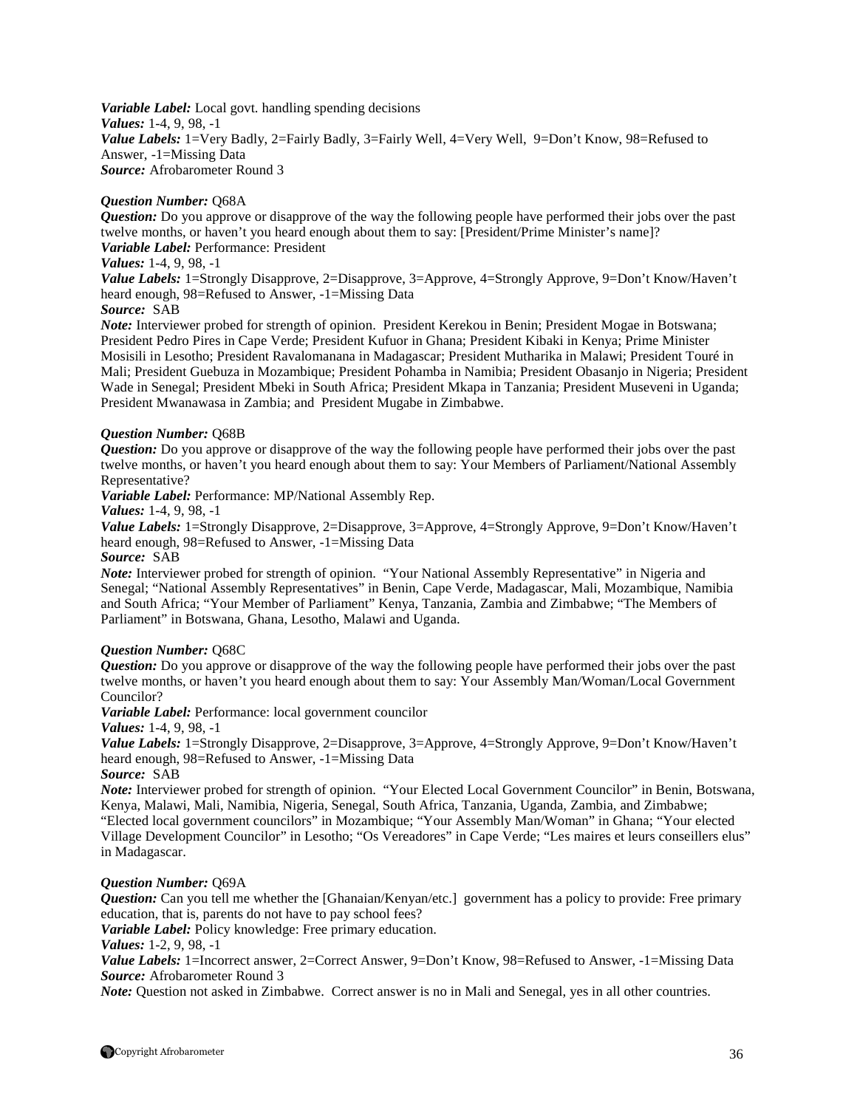*Variable Label:* Local govt. handling spending decisions *Values:* 1-4, 9, 98, -1 Value Labels: 1=Very Badly, 2=Fairly Badly, 3=Fairly Well, 4=Very Well, 9=Don't Know, 98=Refused to Answer, -1=Missing Data *Source:* Afrobarometer Round 3

#### *Question Number:* Q68A

*Question:* Do you approve or disapprove of the way the following people have performed their jobs over the past twelve months, or haven't you heard enough about them to say: [President/Prime Minister's name]? *Variable Label:* Performance: President

#### *Values:* 1-4, 9, 98, -1

*Value Labels:* 1=Strongly Disapprove, 2=Disapprove, 3=Approve, 4=Strongly Approve, 9=Don't Know/Haven't heard enough, 98=Refused to Answer, -1=Missing Data

#### *Source:* SAB

*Note:* Interviewer probed for strength of opinion. President Kerekou in Benin; President Mogae in Botswana; President Pedro Pires in Cape Verde; President Kufuor in Ghana; President Kibaki in Kenya; Prime Minister Mosisili in Lesotho; President Ravalomanana in Madagascar; President Mutharika in Malawi; President Touré in Mali; President Guebuza in Mozambique; President Pohamba in Namibia; President Obasanjo in Nigeria; President Wade in Senegal; President Mbeki in South Africa; President Mkapa in Tanzania; President Museveni in Uganda; President Mwanawasa in Zambia; and President Mugabe in Zimbabwe.

#### *Question Number:* Q68B

*Question:* Do you approve or disapprove of the way the following people have performed their jobs over the past twelve months, or haven't you heard enough about them to say: Your Members of Parliament/National Assembly Representative?

*Variable Label:* Performance: MP/National Assembly Rep.

#### *Values:* 1-4, 9, 98, -1

*Value Labels:* 1=Strongly Disapprove, 2=Disapprove, 3=Approve, 4=Strongly Approve, 9=Don't Know/Haven't heard enough, 98=Refused to Answer, -1=Missing Data

#### *Source:* SAB

*Note:* Interviewer probed for strength of opinion. "Your National Assembly Representative" in Nigeria and Senegal; "National Assembly Representatives" in Benin, Cape Verde, Madagascar, Mali, Mozambique, Namibia and South Africa; "Your Member of Parliament" Kenya, Tanzania, Zambia and Zimbabwe; "The Members of Parliament" in Botswana, Ghana, Lesotho, Malawi and Uganda.

#### *Question Number:* Q68C

*Question:* Do you approve or disapprove of the way the following people have performed their jobs over the past twelve months, or haven't you heard enough about them to say: Your Assembly Man/Woman/Local Government Councilor?

*Variable Label:* Performance: local government councilor

#### *Values:* 1-4, 9, 98, -1

*Value Labels:* 1=Strongly Disapprove, 2=Disapprove, 3=Approve, 4=Strongly Approve, 9=Don't Know/Haven't heard enough, 98=Refused to Answer, -1=Missing Data

# *Source:* SAB

*Note:* Interviewer probed for strength of opinion. "Your Elected Local Government Councilor" in Benin, Botswana, Kenya, Malawi, Mali, Namibia, Nigeria, Senegal, South Africa, Tanzania, Uganda, Zambia, and Zimbabwe; "Elected local government councilors" in Mozambique; "Your Assembly Man/Woman" in Ghana; "Your elected Village Development Councilor" in Lesotho; "Os Vereadores" in Cape Verde; "Les maires et leurs conseillers elus" in Madagascar.

#### *Question Number:* Q69A

*Question:* Can you tell me whether the [Ghanaian/Kenyan/etc.] government has a policy to provide: Free primary education, that is, parents do not have to pay school fees?

*Variable Label:* Policy knowledge: Free primary education.

*Values:* 1-2, 9, 98, -1

*Value Labels:* 1=Incorrect answer, 2=Correct Answer, 9=Don't Know, 98=Refused to Answer, -1=Missing Data *Source:* Afrobarometer Round 3

*Note:* Question not asked in Zimbabwe. Correct answer is no in Mali and Senegal, yes in all other countries.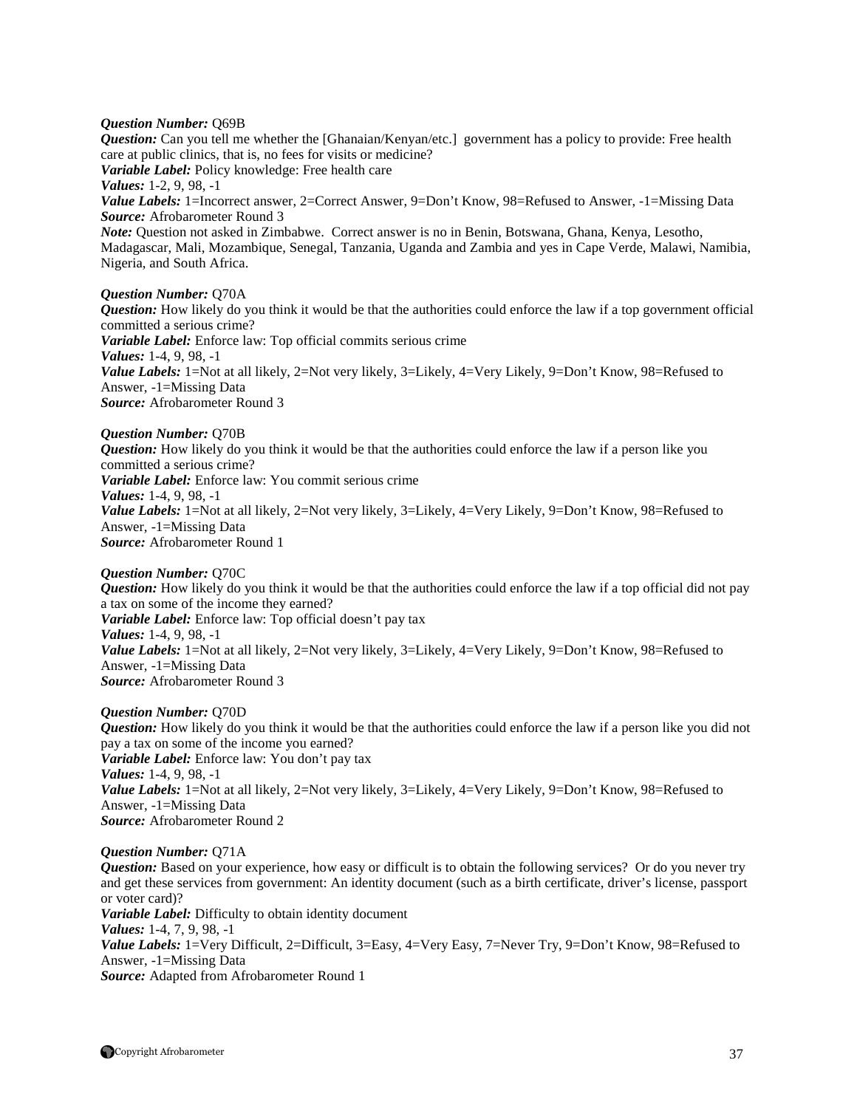#### *Question Number:* Q69B

*Question:* Can you tell me whether the [Ghanaian/Kenyan/etc.] government has a policy to provide: Free health care at public clinics, that is, no fees for visits or medicine? *Variable Label:* Policy knowledge: Free health care *Values:* 1-2, 9, 98, -1 *Value Labels:* 1=Incorrect answer, 2=Correct Answer, 9=Don't Know, 98=Refused to Answer, -1=Missing Data *Source:* Afrobarometer Round 3 *Note:* Question not asked in Zimbabwe. Correct answer is no in Benin, Botswana, Ghana, Kenya, Lesotho, Madagascar, Mali, Mozambique, Senegal, Tanzania, Uganda and Zambia and yes in Cape Verde, Malawi, Namibia, Nigeria, and South Africa.

#### *Question Number:* Q70A

*Question:* How likely do you think it would be that the authorities could enforce the law if a top government official committed a serious crime? *Variable Label:* Enforce law: Top official commits serious crime *Values:* 1-4, 9, 98, -1 *Value Labels:* 1=Not at all likely, 2=Not very likely, 3=Likely, 4=Very Likely, 9=Don't Know, 98=Refused to Answer, -1=Missing Data *Source:* Afrobarometer Round 3

#### *Question Number:* Q70B

*Question:* How likely do you think it would be that the authorities could enforce the law if a person like you committed a serious crime? *Variable Label:* Enforce law: You commit serious crime *Values:* 1-4, 9, 98, -1 *Value Labels:* 1=Not at all likely, 2=Not very likely, 3=Likely, 4=Very Likely, 9=Don't Know, 98=Refused to Answer, -1=Missing Data *Source:* Afrobarometer Round 1

*Question Number:* Q70C

*Question:* How likely do you think it would be that the authorities could enforce the law if a top official did not pay a tax on some of the income they earned? *Variable Label:* Enforce law: Top official doesn't pay tax *Values:* 1-4, 9, 98, -1 *Value Labels:* 1=Not at all likely, 2=Not very likely, 3=Likely, 4=Very Likely, 9=Don't Know, 98=Refused to Answer, -1=Missing Data *Source:* Afrobarometer Round 3

#### *Question Number:* Q70D

*Question:* How likely do you think it would be that the authorities could enforce the law if a person like you did not pay a tax on some of the income you earned? *Variable Label:* Enforce law: You don't pay tax *Values:* 1-4, 9, 98, -1 *Value Labels:* 1=Not at all likely, 2=Not very likely, 3=Likely, 4=Very Likely, 9=Don't Know, 98=Refused to Answer, -1=Missing Data *Source:* Afrobarometer Round 2

#### *Question Number:* Q71A

*Question:* Based on your experience, how easy or difficult is to obtain the following services? Or do you never try and get these services from government: An identity document (such as a birth certificate, driver's license, passport or voter card)? *Variable Label:* Difficulty to obtain identity document *Values:* 1-4, 7, 9, 98, -1 *Value Labels:* 1=Very Difficult, 2=Difficult, 3=Easy, 4=Very Easy, 7=Never Try, 9=Don't Know, 98=Refused to Answer, -1=Missing Data *Source:* Adapted from Afrobarometer Round 1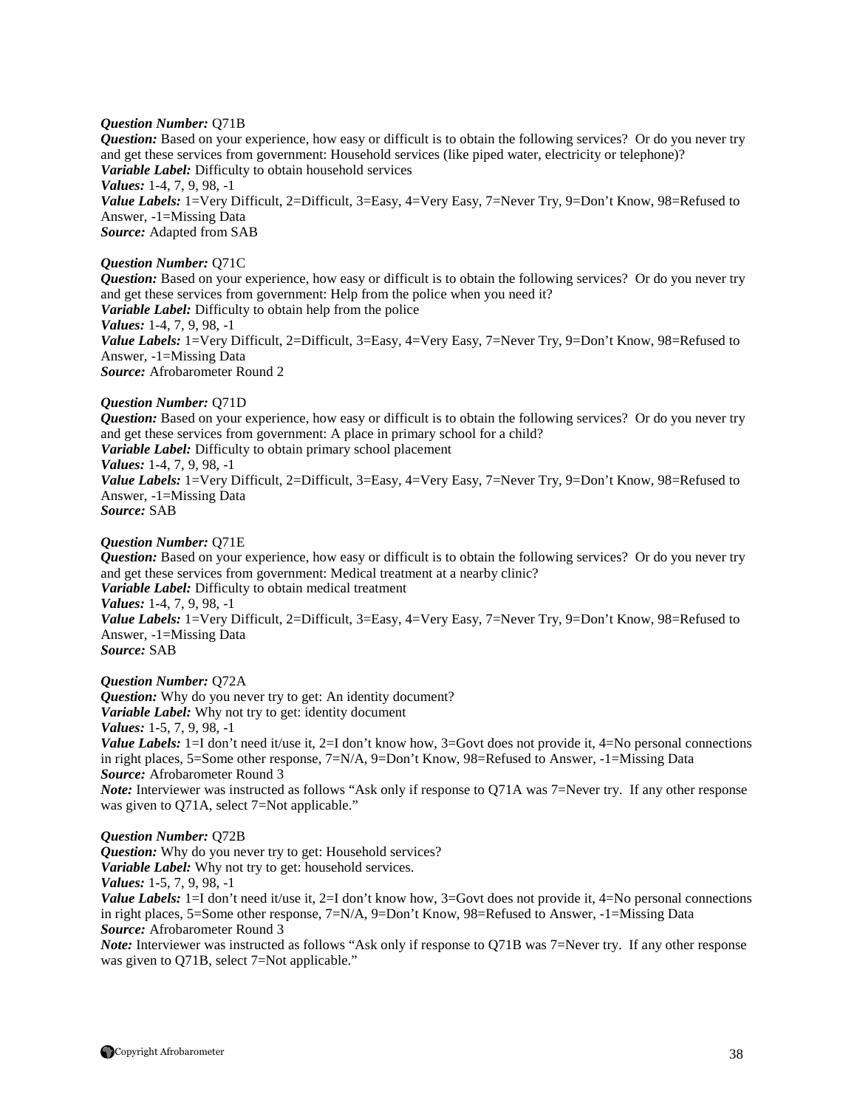#### *Question Number:* Q71B

*Question:* Based on your experience, how easy or difficult is to obtain the following services? Or do you never try and get these services from government: Household services (like piped water, electricity or telephone)? *Variable Label:* Difficulty to obtain household services *Values:* 1-4, 7, 9, 98, -1 Value Labels: 1=Very Difficult, 2=Difficult, 3=Easy, 4=Very Easy, 7=Never Try, 9=Don't Know, 98=Refused to Answer, -1=Missing Data

*Source:* Adapted from SAB

#### *Question Number:* Q71C

*Question:* Based on your experience, how easy or difficult is to obtain the following services? Or do you never try and get these services from government: Help from the police when you need it? *Variable Label:* Difficulty to obtain help from the police *Values:* 1-4, 7, 9, 98, -1

*Value Labels:* 1=Very Difficult, 2=Difficult, 3=Easy, 4=Very Easy, 7=Never Try, 9=Don't Know, 98=Refused to

Answer, -1=Missing Data *Source:* Afrobarometer Round 2

#### *Question Number:* Q71D

*Question:* Based on your experience, how easy or difficult is to obtain the following services? Or do you never try and get these services from government: A place in primary school for a child? *Variable Label:* Difficulty to obtain primary school placement

# *Values:* 1-4, 7, 9, 98, -1

*Value Labels:* 1=Very Difficult, 2=Difficult, 3=Easy, 4=Very Easy, 7=Never Try, 9=Don't Know, 98=Refused to Answer, -1=Missing Data

*Source:* SAB

#### *Question Number:* Q71E

*Question:* Based on your experience, how easy or difficult is to obtain the following services? Or do you never try and get these services from government: Medical treatment at a nearby clinic? *Variable Label:* Difficulty to obtain medical treatment *Values:* 1-4, 7, 9, 98, -1 *Value Labels:* 1=Very Difficult, 2=Difficult, 3=Easy, 4=Very Easy, 7=Never Try, 9=Don't Know, 98=Refused to Answer, -1=Missing Data *Source:* SAB

*Question Number:* Q72A

*Question:* Why do you never try to get: An identity document? *Variable Label:* Why not try to get: identity document *Values:* 1-5, 7, 9, 98, -1

*Value Labels:* 1=I don't need it/use it, 2=I don't know how, 3=Govt does not provide it, 4=No personal connections in right places, 5=Some other response, 7=N/A, 9=Don't Know, 98=Refused to Answer, -1=Missing Data *Source:* Afrobarometer Round 3

*Note:* Interviewer was instructed as follows "Ask only if response to O71A was 7=Never try. If any other response was given to Q71A, select 7=Not applicable."

#### *Question Number:* Q72B

*Question:* Why do you never try to get: Household services? *Variable Label:* Why not try to get: household services.

*Values:* 1-5, 7, 9, 98, -1

*Value Labels:* 1=I don't need it/use it, 2=I don't know how, 3=Govt does not provide it, 4=No personal connections in right places, 5=Some other response, 7=N/A, 9=Don't Know, 98=Refused to Answer, -1=Missing Data *Source:* Afrobarometer Round 3

*Note:* Interviewer was instructed as follows "Ask only if response to Q71B was 7=Never try. If any other response was given to Q71B, select 7=Not applicable."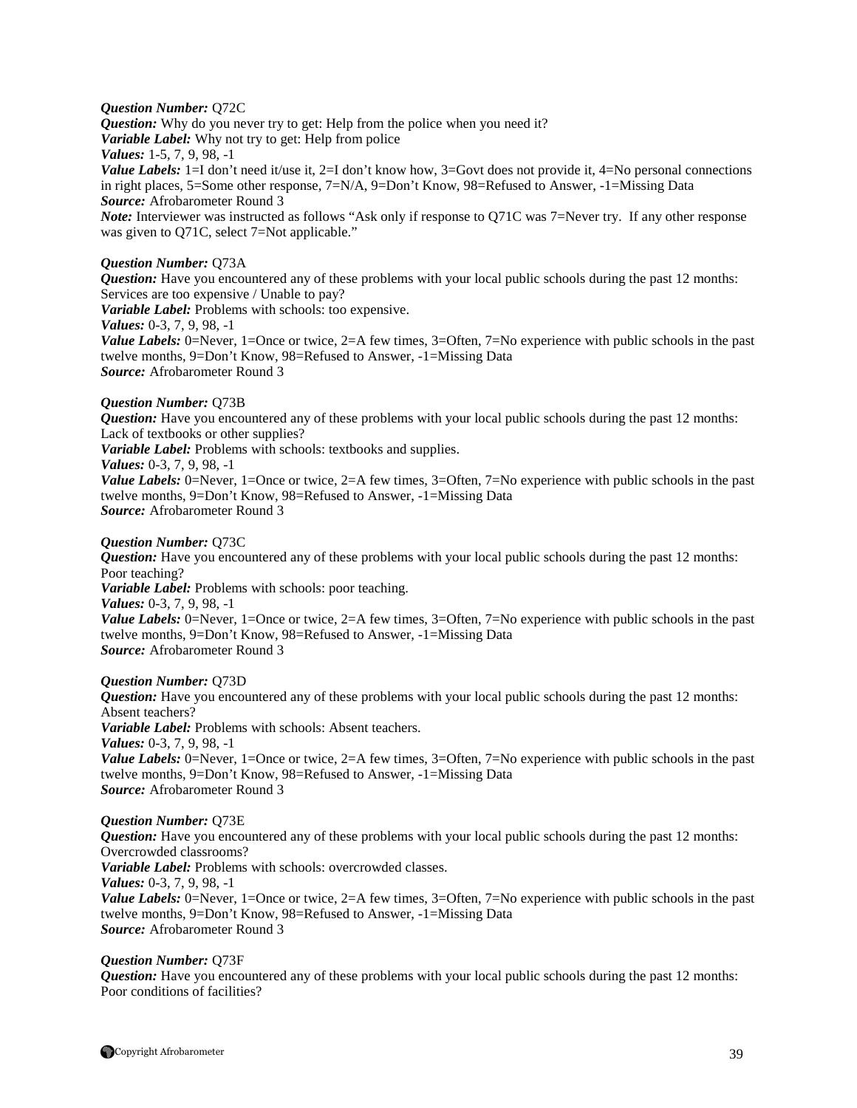#### *Question Number:* Q72C

**Question:** Why do you never try to get: Help from the police when you need it? *Variable Label:* Why not try to get: Help from police *Values:* 1-5, 7, 9, 98, -1 *Value Labels:* 1=I don't need it/use it, 2=I don't know how, 3=Govt does not provide it, 4=No personal connections in right places, 5=Some other response, 7=N/A, 9=Don't Know, 98=Refused to Answer, -1=Missing Data *Source:* Afrobarometer Round 3

*Note:* Interviewer was instructed as follows "Ask only if response to Q71C was 7=Never try. If any other response was given to Q71C, select 7=Not applicable."

#### *Question Number:* Q73A

*Question:* Have you encountered any of these problems with your local public schools during the past 12 months: Services are too expensive / Unable to pay?

*Variable Label:* Problems with schools: too expensive.

*Values:* 0-3, 7, 9, 98, -1

*Value Labels:* 0=Never, 1=Once or twice, 2=A few times, 3=Often, 7=No experience with public schools in the past twelve months, 9=Don't Know, 98=Refused to Answer, -1=Missing Data *Source:* Afrobarometer Round 3

#### *Question Number:* Q73B

*Question:* Have you encountered any of these problems with your local public schools during the past 12 months: Lack of textbooks or other supplies?

*Variable Label:* Problems with schools: textbooks and supplies.

#### *Values:* 0-3, 7, 9, 98, -1

*Value Labels:* 0=Never, 1=Once or twice, 2=A few times, 3=Often, 7=No experience with public schools in the past twelve months, 9=Don't Know, 98=Refused to Answer, -1=Missing Data *Source:* Afrobarometer Round 3

#### *Question Number:* Q73C

*Question:* Have you encountered any of these problems with your local public schools during the past 12 months: Poor teaching?

*Variable Label:* Problems with schools: poor teaching.

*Values:* 0-3, 7, 9, 98, -1

*Value Labels:* 0=Never, 1=Once or twice, 2=A few times, 3=Often, 7=No experience with public schools in the past twelve months, 9=Don't Know, 98=Refused to Answer, -1=Missing Data *Source:* Afrobarometer Round 3

#### *Question Number:* Q73D

*Question:* Have you encountered any of these problems with your local public schools during the past 12 months: Absent teachers?

*Variable Label:* Problems with schools: Absent teachers.

*Values:* 0-3, 7, 9, 98, -1

*Value Labels:* 0=Never, 1=Once or twice, 2=A few times, 3=Often, 7=No experience with public schools in the past twelve months, 9=Don't Know, 98=Refused to Answer, -1=Missing Data *Source:* Afrobarometer Round 3

#### *Question Number:* Q73E

*Question:* Have you encountered any of these problems with your local public schools during the past 12 months: Overcrowded classrooms?

*Variable Label:* Problems with schools: overcrowded classes.

*Values:* 0-3, 7, 9, 98, -1

*Value Labels:* 0=Never, 1=Once or twice, 2=A few times, 3=Often, 7=No experience with public schools in the past twelve months, 9=Don't Know, 98=Refused to Answer, -1=Missing Data *Source:* Afrobarometer Round 3

#### *Question Number:* Q73F

*Question:* Have you encountered any of these problems with your local public schools during the past 12 months: Poor conditions of facilities?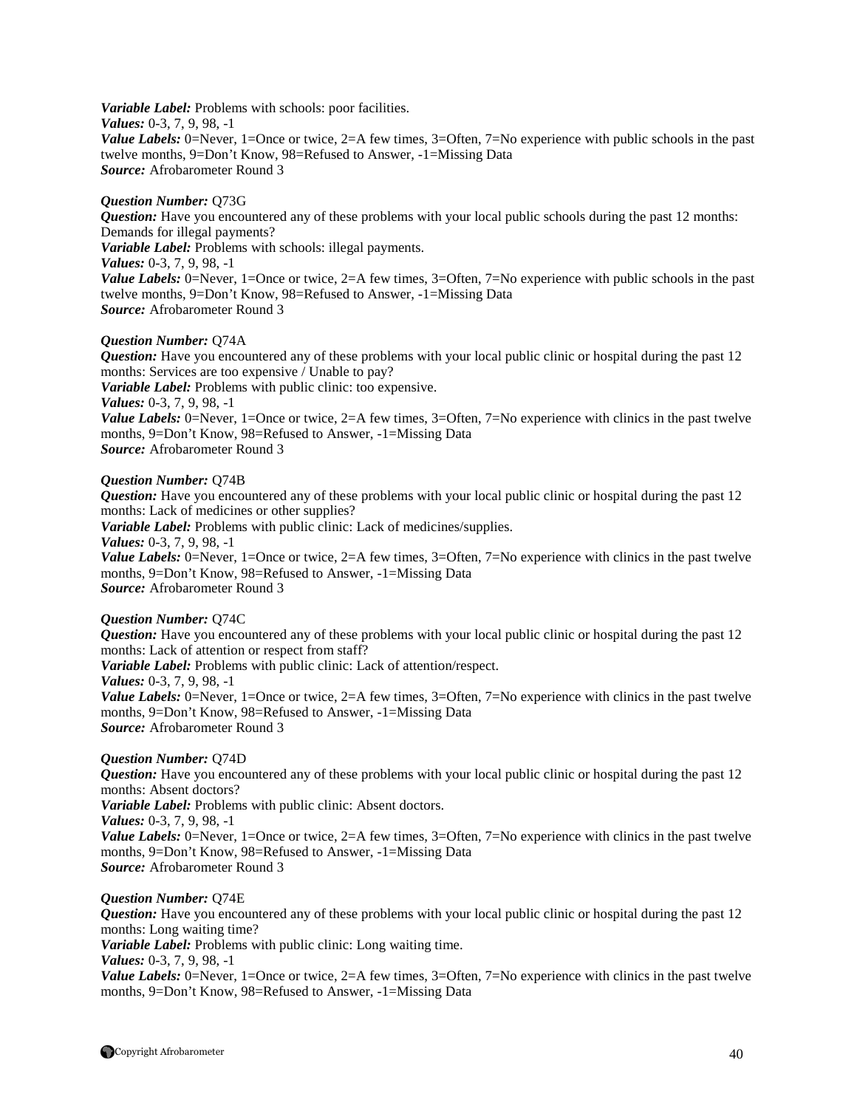*Variable Label:* Problems with schools: poor facilities. *Values:* 0-3, 7, 9, 98, -1 *Value Labels:* 0=Never, 1=Once or twice, 2=A few times, 3=Often, 7=No experience with public schools in the past twelve months, 9=Don't Know, 98=Refused to Answer, -1=Missing Data *Source:* Afrobarometer Round 3

#### *Question Number:* Q73G

*Question:* Have you encountered any of these problems with your local public schools during the past 12 months: Demands for illegal payments? *Variable Label:* Problems with schools: illegal payments. *Values:* 0-3, 7, 9, 98, -1 *Value Labels:* 0=Never, 1=Once or twice, 2=A few times, 3=Often, 7=No experience with public schools in the past twelve months, 9=Don't Know, 98=Refused to Answer, -1=Missing Data *Source:* Afrobarometer Round 3

#### *Question Number:* Q74A

*Question:* Have you encountered any of these problems with your local public clinic or hospital during the past 12 months: Services are too expensive / Unable to pay? *Variable Label:* Problems with public clinic: too expensive. *Values:* 0-3, 7, 9, 98, -1 *Value Labels:* 0=Never, 1=Once or twice, 2=A few times, 3=Often, 7=No experience with clinics in the past twelve months, 9=Don't Know, 98=Refused to Answer, -1=Missing Data

*Source:* Afrobarometer Round 3

#### *Question Number:* Q74B

*Question:* Have you encountered any of these problems with your local public clinic or hospital during the past 12 months: Lack of medicines or other supplies?

*Variable Label:* Problems with public clinic: Lack of medicines/supplies.

*Values:* 0-3, 7, 9, 98, -1

*Value Labels:* 0=Never, 1=Once or twice, 2=A few times, 3=Often, 7=No experience with clinics in the past twelve months, 9=Don't Know, 98=Refused to Answer, -1=Missing Data *Source:* Afrobarometer Round 3

#### *Question Number:* Q74C

*Question:* Have you encountered any of these problems with your local public clinic or hospital during the past 12 months: Lack of attention or respect from staff? *Variable Label:* Problems with public clinic: Lack of attention/respect. *Values:* 0-3, 7, 9, 98, -1 *Value Labels:* 0=Never, 1=Once or twice, 2=A few times, 3=Often, 7=No experience with clinics in the past twelve months, 9=Don't Know, 98=Refused to Answer, -1=Missing Data *Source:* Afrobarometer Round 3

#### *Question Number:* Q74D

*Question:* Have you encountered any of these problems with your local public clinic or hospital during the past 12 months: Absent doctors? *Variable Label:* Problems with public clinic: Absent doctors. *Values:* 0-3, 7, 9, 98, -1 *Value Labels:* 0=Never, 1=Once or twice, 2=A few times, 3=Often, 7=No experience with clinics in the past twelve months, 9=Don't Know, 98=Refused to Answer, -1=Missing Data *Source:* Afrobarometer Round 3

#### *Question Number:* Q74E

*Question:* Have you encountered any of these problems with your local public clinic or hospital during the past 12 months: Long waiting time? *Variable Label:* Problems with public clinic: Long waiting time. *Values:* 0-3, 7, 9, 98, -1 *Value Labels:* 0=Never, 1=Once or twice, 2=A few times, 3=Often, 7=No experience with clinics in the past twelve months, 9=Don't Know, 98=Refused to Answer, -1=Missing Data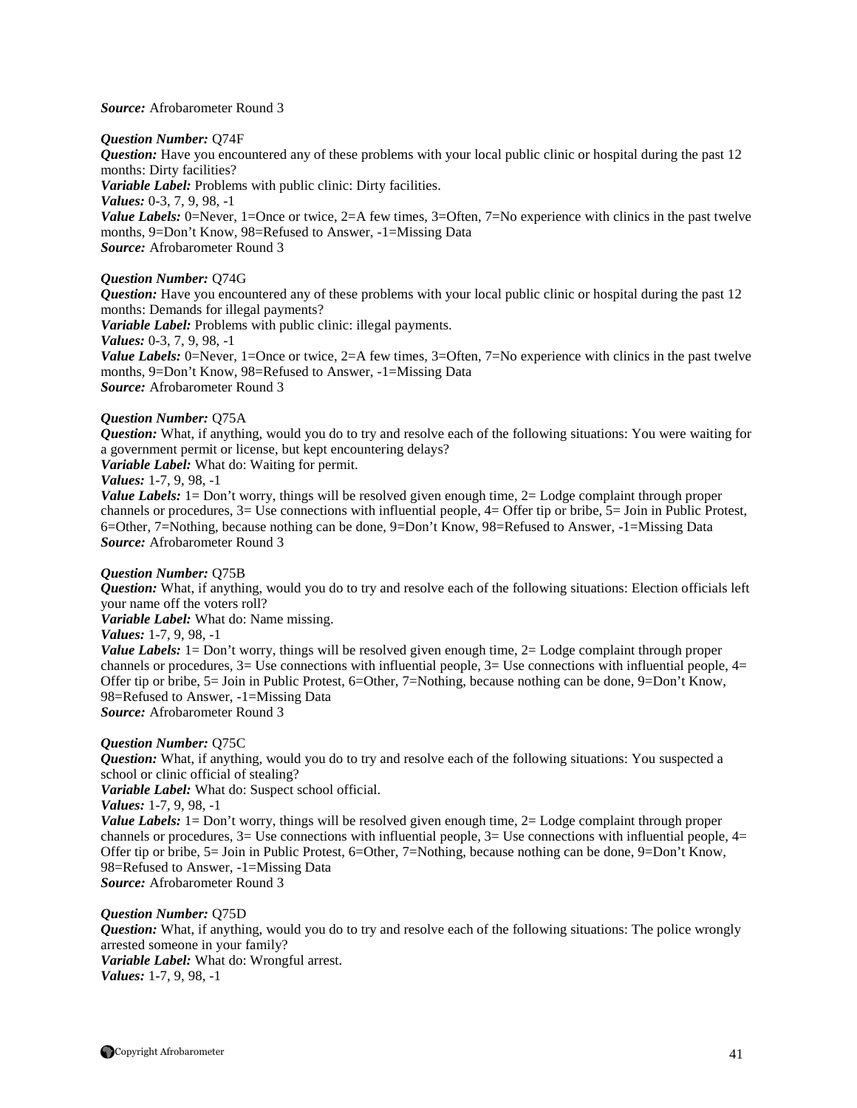#### *Source:* Afrobarometer Round 3

#### *Question Number:* Q74F

*Question:* Have you encountered any of these problems with your local public clinic or hospital during the past 12 months: Dirty facilities? *Variable Label:* Problems with public clinic: Dirty facilities. *Values:* 0-3, 7, 9, 98, -1 *Value Labels:* 0=Never, 1=Once or twice, 2=A few times, 3=Often, 7=No experience with clinics in the past twelve months, 9=Don't Know, 98=Refused to Answer, -1=Missing Data *Source:* Afrobarometer Round 3

#### *Question Number:* Q74G

*Question:* Have you encountered any of these problems with your local public clinic or hospital during the past 12 months: Demands for illegal payments? *Variable Label:* Problems with public clinic: illegal payments. *Values:* 0-3, 7, 9, 98, -1 *Value Labels:* 0=Never, 1=Once or twice, 2=A few times, 3=Often, 7=No experience with clinics in the past twelve months, 9=Don't Know, 98=Refused to Answer, -1=Missing Data *Source:* Afrobarometer Round 3

#### *Question Number:* Q75A

*Question:* What, if anything, would you do to try and resolve each of the following situations: You were waiting for a government permit or license, but kept encountering delays?

*Variable Label:* What do: Waiting for permit.

*Values:* 1-7, 9, 98, -1

*Value Labels:* 1= Don't worry, things will be resolved given enough time, 2= Lodge complaint through proper channels or procedures, 3= Use connections with influential people, 4= Offer tip or bribe, 5= Join in Public Protest, 6=Other, 7=Nothing, because nothing can be done, 9=Don't Know, 98=Refused to Answer, -1=Missing Data *Source:* Afrobarometer Round 3

#### *Question Number:* Q75B

*Question:* What, if anything, would you do to try and resolve each of the following situations: Election officials left your name off the voters roll?

*Variable Label:* What do: Name missing.

*Values:* 1-7, 9, 98, -1

*Value Labels:* 1= Don't worry, things will be resolved given enough time, 2= Lodge complaint through proper channels or procedures,  $3=$  Use connections with influential people,  $3=$  Use connections with influential people,  $4=$ Offer tip or bribe, 5= Join in Public Protest, 6=Other, 7=Nothing, because nothing can be done, 9=Don't Know, 98=Refused to Answer, -1=Missing Data *Source:* Afrobarometer Round 3

#### *Question Number:* Q75C

*Question:* What, if anything, would you do to try and resolve each of the following situations: You suspected a school or clinic official of stealing?

*Variable Label:* What do: Suspect school official.

*Values:* 1-7, 9, 98, -1

*Value Labels:* 1 = Don't worry, things will be resolved given enough time, 2 = Lodge complaint through proper channels or procedures,  $3=$  Use connections with influential people,  $3=$  Use connections with influential people,  $4=$ Offer tip or bribe, 5= Join in Public Protest, 6=Other, 7=Nothing, because nothing can be done, 9=Don't Know, 98=Refused to Answer, -1=Missing Data

*Source:* Afrobarometer Round 3

#### *Question Number:* Q75D

*Question:* What, if anything, would you do to try and resolve each of the following situations: The police wrongly arrested someone in your family? *Variable Label:* What do: Wrongful arrest.

*Values:* 1-7, 9, 98, -1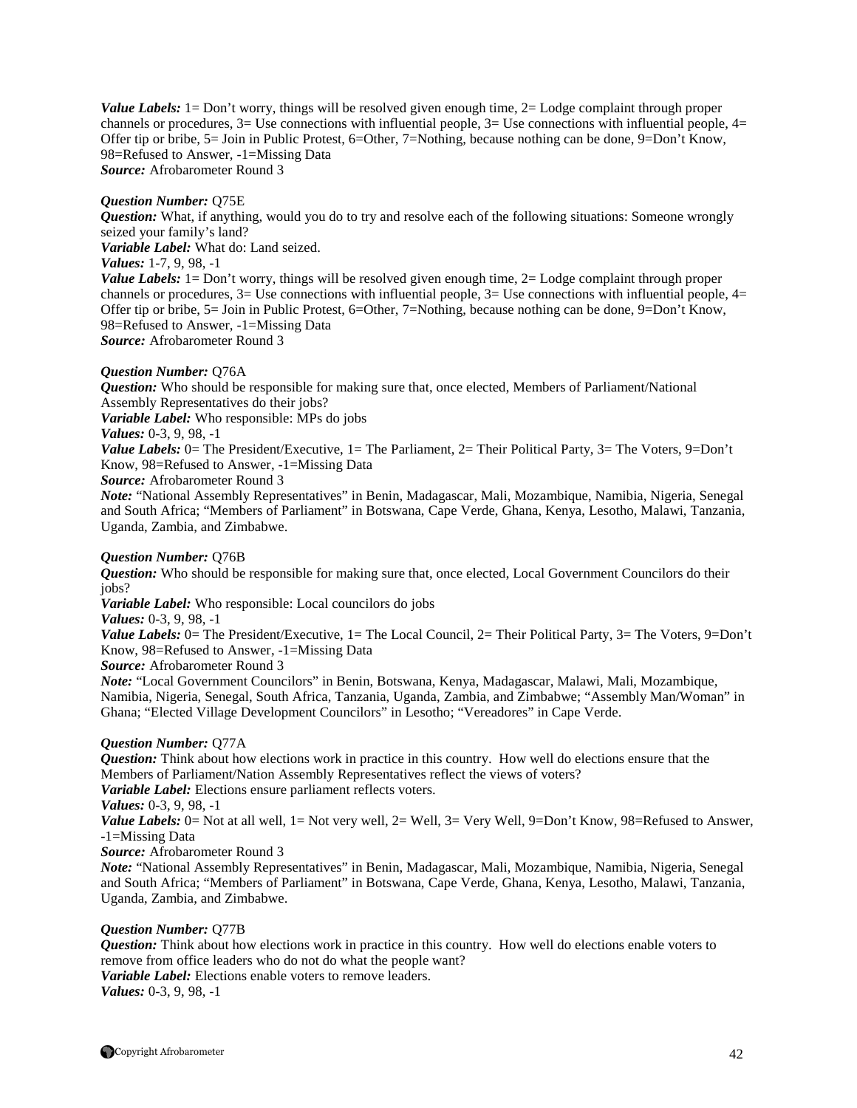*Value Labels:* 1= Don't worry, things will be resolved given enough time, 2= Lodge complaint through proper channels or procedures,  $3=$  Use connections with influential people,  $3=$  Use connections with influential people,  $4=$ Offer tip or bribe, 5= Join in Public Protest, 6=Other, 7=Nothing, because nothing can be done, 9=Don't Know, 98=Refused to Answer, -1=Missing Data *Source:* Afrobarometer Round 3

#### *Question Number:* Q75E

*Question:* What, if anything, would you do to try and resolve each of the following situations: Someone wrongly seized your family's land? *Variable Label:* What do: Land seized. *Values:* 1-7, 9, 98, -1

*Value Labels:* 1= Don't worry, things will be resolved given enough time, 2= Lodge complaint through proper channels or procedures,  $3=$  Use connections with influential people,  $3=$  Use connections with influential people,  $4=$ Offer tip or bribe, 5= Join in Public Protest, 6=Other, 7=Nothing, because nothing can be done, 9=Don't Know, 98=Refused to Answer, -1=Missing Data *Source:* Afrobarometer Round 3

#### *Question Number:* Q76A

*Question:* Who should be responsible for making sure that, once elected, Members of Parliament/National Assembly Representatives do their jobs?

*Variable Label:* Who responsible: MPs do jobs

*Values:* 0-3, 9, 98, -1

*Value Labels:* 0= The President/Executive, 1= The Parliament, 2= Their Political Party, 3= The Voters, 9=Don't Know, 98=Refused to Answer, -1=Missing Data

*Source:* Afrobarometer Round 3

*Note:* "National Assembly Representatives" in Benin, Madagascar, Mali, Mozambique, Namibia, Nigeria, Senegal and South Africa; "Members of Parliament" in Botswana, Cape Verde, Ghana, Kenya, Lesotho, Malawi, Tanzania, Uganda, Zambia, and Zimbabwe.

#### *Question Number:* Q76B

*Question:* Who should be responsible for making sure that, once elected, Local Government Councilors do their iobs?

*Variable Label:* Who responsible: Local councilors do jobs

*Values:* 0-3, 9, 98, -1

*Value Labels:* 0= The President/Executive, 1= The Local Council, 2= Their Political Party, 3= The Voters, 9=Don't Know, 98=Refused to Answer, -1=Missing Data

*Source:* Afrobarometer Round 3

*Note:* "Local Government Councilors" in Benin, Botswana, Kenya, Madagascar, Malawi, Mali, Mozambique, Namibia, Nigeria, Senegal, South Africa, Tanzania, Uganda, Zambia, and Zimbabwe; "Assembly Man/Woman" in Ghana; "Elected Village Development Councilors" in Lesotho; "Vereadores" in Cape Verde.

#### *Question Number:* Q77A

*Question:* Think about how elections work in practice in this country. How well do elections ensure that the Members of Parliament/Nation Assembly Representatives reflect the views of voters?

*Variable Label:* Elections ensure parliament reflects voters.

*Values:* 0-3, 9, 98, -1

*Value Labels:* 0= Not at all well, 1= Not very well, 2= Well, 3= Very Well, 9=Don't Know, 98=Refused to Answer, -1=Missing Data

*Source:* Afrobarometer Round 3

*Note:* "National Assembly Representatives" in Benin, Madagascar, Mali, Mozambique, Namibia, Nigeria, Senegal and South Africa; "Members of Parliament" in Botswana, Cape Verde, Ghana, Kenya, Lesotho, Malawi, Tanzania, Uganda, Zambia, and Zimbabwe.

#### *Question Number:* Q77B

*Question:* Think about how elections work in practice in this country. How well do elections enable voters to remove from office leaders who do not do what the people want? *Variable Label:* Elections enable voters to remove leaders. *Values:* 0-3, 9, 98, -1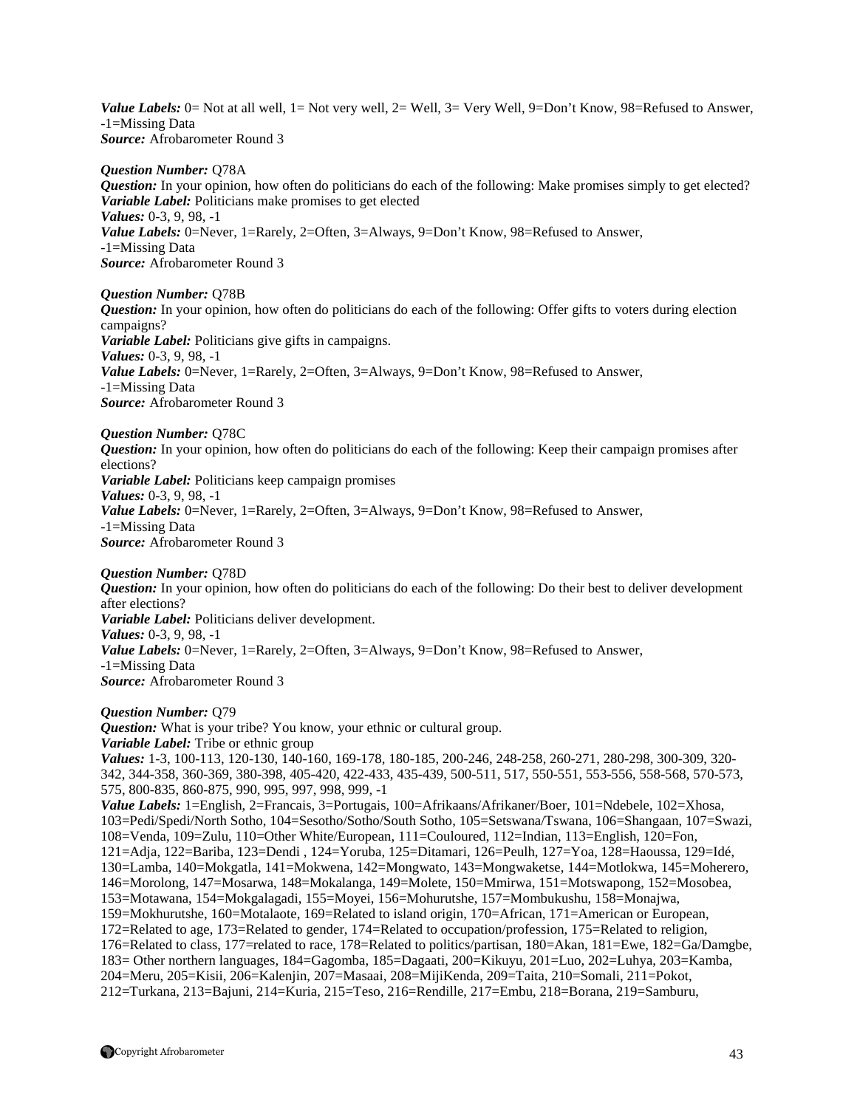*Value Labels:* 0= Not at all well, 1= Not very well, 2= Well, 3= Very Well, 9=Don't Know, 98=Refused to Answer, -1=Missing Data *Source:* Afrobarometer Round 3

#### *Question Number:* Q78A

*Question:* In your opinion, how often do politicians do each of the following: Make promises simply to get elected? *Variable Label:* Politicians make promises to get elected *Values:* 0-3, 9, 98, -1 *Value Labels:* 0=Never, 1=Rarely, 2=Often, 3=Always, 9=Don't Know, 98=Refused to Answer, -1=Missing Data *Source:* Afrobarometer Round 3

#### *Question Number:* Q78B

*Question:* In your opinion, how often do politicians do each of the following: Offer gifts to voters during election campaigns? *Variable Label:* Politicians give gifts in campaigns. *Values:* 0-3, 9, 98, -1 *Value Labels:* 0=Never, 1=Rarely, 2=Often, 3=Always, 9=Don't Know, 98=Refused to Answer, -1=Missing Data *Source:* Afrobarometer Round 3

*Question Number:* Q78C

*Question:* In your opinion, how often do politicians do each of the following: Keep their campaign promises after elections? *Variable Label:* Politicians keep campaign promises *Values:* 0-3, 9, 98, -1

*Value Labels:* 0=Never, 1=Rarely, 2=Often, 3=Always, 9=Don't Know, 98=Refused to Answer, -1=Missing Data

*Source:* Afrobarometer Round 3

*Question Number:* Q78D

*Question:* In your opinion, how often do politicians do each of the following: Do their best to deliver development after elections? *Variable Label:* Politicians deliver development. *Values:* 0-3, 9, 98, -1

*Value Labels:* 0=Never, 1=Rarely, 2=Often, 3=Always, 9=Don't Know, 98=Refused to Answer, -1=Missing Data *Source:* Afrobarometer Round 3

#### *Question Number:* Q79

*Question:* What is your tribe? You know, your ethnic or cultural group. *Variable Label:* Tribe or ethnic group *Values:* 1-3, 100-113, 120-130, 140-160, 169-178, 180-185, 200-246, 248-258, 260-271, 280-298, 300-309, 320- 342, 344-358, 360-369, 380-398, 405-420, 422-433, 435-439, 500-511, 517, 550-551, 553-556, 558-568, 570-573, 575, 800-835, 860-875, 990, 995, 997, 998, 999, -1 *Value Labels:* 1=English, 2=Francais, 3=Portugais, 100=Afrikaans/Afrikaner/Boer, 101=Ndebele, 102=Xhosa, 103=Pedi/Spedi/North Sotho, 104=Sesotho/Sotho/South Sotho, 105=Setswana/Tswana, 106=Shangaan, 107=Swazi, 108=Venda, 109=Zulu, 110=Other White/European, 111=Couloured, 112=Indian, 113=English, 120=Fon, 121=Adja, 122=Bariba, 123=Dendi , 124=Yoruba, 125=Ditamari, 126=Peulh, 127=Yoa, 128=Haoussa, 129=Idé, 130=Lamba, 140=Mokgatla, 141=Mokwena, 142=Mongwato, 143=Mongwaketse, 144=Motlokwa, 145=Moherero, 146=Morolong, 147=Mosarwa, 148=Mokalanga, 149=Molete, 150=Mmirwa, 151=Motswapong, 152=Mosobea, 153=Motawana, 154=Mokgalagadi, 155=Moyei, 156=Mohurutshe, 157=Mombukushu, 158=Monajwa, 159=Mokhurutshe, 160=Motalaote, 169=Related to island origin, 170=African, 171=American or European, 172=Related to age, 173=Related to gender, 174=Related to occupation/profession, 175=Related to religion, 176=Related to class, 177=related to race, 178=Related to politics/partisan, 180=Akan, 181=Ewe, 182=Ga/Damgbe, 183= Other northern languages, 184=Gagomba, 185=Dagaati, 200=Kikuyu, 201=Luo, 202=Luhya, 203=Kamba, 204=Meru, 205=Kisii, 206=Kalenjin, 207=Masaai, 208=MijiKenda, 209=Taita, 210=Somali, 211=Pokot, 212=Turkana, 213=Bajuni, 214=Kuria, 215=Teso, 216=Rendille, 217=Embu, 218=Borana, 219=Samburu,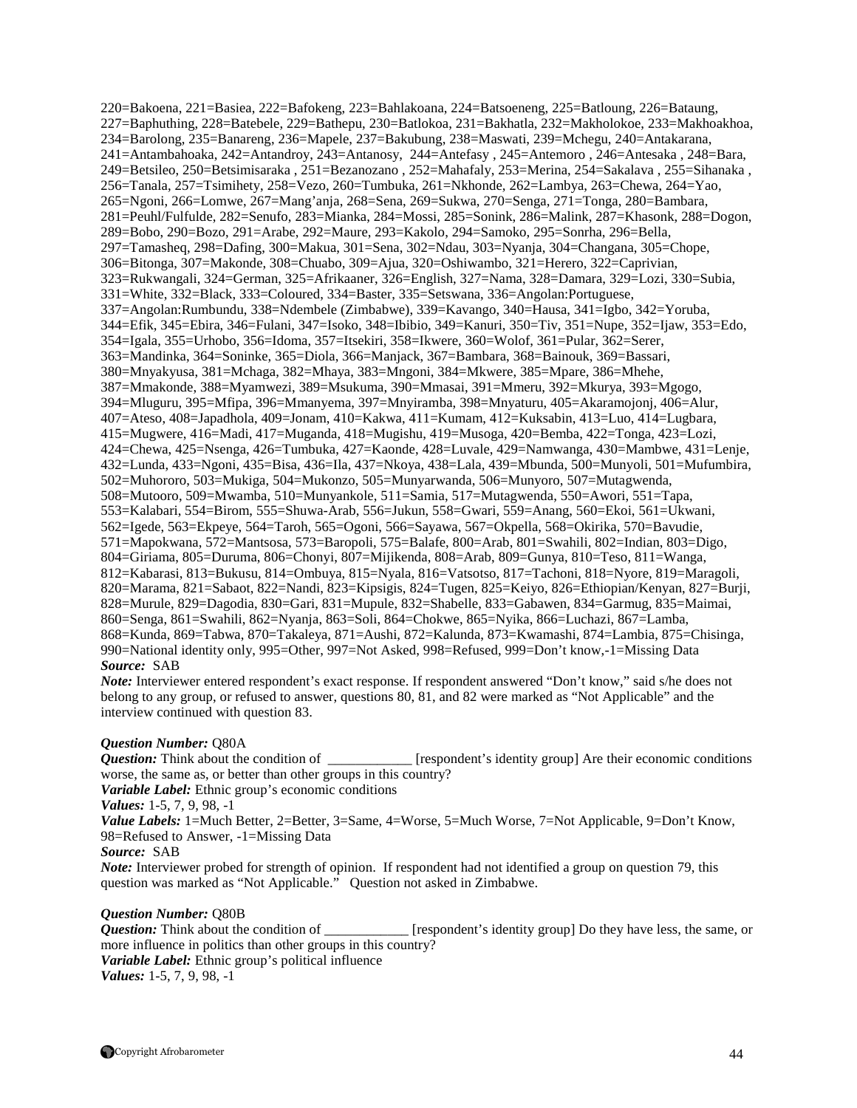220=Bakoena, 221=Basiea, 222=Bafokeng, 223=Bahlakoana, 224=Batsoeneng, 225=Batloung, 226=Bataung, 227=Baphuthing, 228=Batebele, 229=Bathepu, 230=Batlokoa, 231=Bakhatla, 232=Makholokoe, 233=Makhoakhoa, 234=Barolong, 235=Banareng, 236=Mapele, 237=Bakubung, 238=Maswati, 239=Mchegu, 240=Antakarana, 241=Antambahoaka, 242=Antandroy, 243=Antanosy, 244=Antefasy , 245=Antemoro , 246=Antesaka , 248=Bara, 249=Betsileo, 250=Betsimisaraka , 251=Bezanozano , 252=Mahafaly, 253=Merina, 254=Sakalava , 255=Sihanaka , 256=Tanala, 257=Tsimihety, 258=Vezo, 260=Tumbuka, 261=Nkhonde, 262=Lambya, 263=Chewa, 264=Yao, 265=Ngoni, 266=Lomwe, 267=Mang'anja, 268=Sena, 269=Sukwa, 270=Senga, 271=Tonga, 280=Bambara, 281=Peuhl/Fulfulde, 282=Senufo, 283=Mianka, 284=Mossi, 285=Sonink, 286=Malink, 287=Khasonk, 288=Dogon, 289=Bobo, 290=Bozo, 291=Arabe, 292=Maure, 293=Kakolo, 294=Samoko, 295=Sonrha, 296=Bella, 297=Tamasheq, 298=Dafing, 300=Makua, 301=Sena, 302=Ndau, 303=Nyanja, 304=Changana, 305=Chope, 306=Bitonga, 307=Makonde, 308=Chuabo, 309=Ajua, 320=Oshiwambo, 321=Herero, 322=Caprivian, 323=Rukwangali, 324=German, 325=Afrikaaner, 326=English, 327=Nama, 328=Damara, 329=Lozi, 330=Subia, 331=White, 332=Black, 333=Coloured, 334=Baster, 335=Setswana, 336=Angolan:Portuguese, 337=Angolan:Rumbundu, 338=Ndembele (Zimbabwe), 339=Kavango, 340=Hausa, 341=Igbo, 342=Yoruba, 344=Efik, 345=Ebira, 346=Fulani, 347=Isoko, 348=Ibibio, 349=Kanuri, 350=Tiv, 351=Nupe, 352=Ijaw, 353=Edo, 354=Igala, 355=Urhobo, 356=Idoma, 357=Itsekiri, 358=Ikwere, 360=Wolof, 361=Pular, 362=Serer, 363=Mandinka, 364=Soninke, 365=Diola, 366=Manjack, 367=Bambara, 368=Bainouk, 369=Bassari, 380=Mnyakyusa, 381=Mchaga, 382=Mhaya, 383=Mngoni, 384=Mkwere, 385=Mpare, 386=Mhehe, 387=Mmakonde, 388=Myamwezi, 389=Msukuma, 390=Mmasai, 391=Mmeru, 392=Mkurya, 393=Mgogo, 394=Mluguru, 395=Mfipa, 396=Mmanyema, 397=Mnyiramba, 398=Mnyaturu, 405=Akaramojonj, 406=Alur, 407=Ateso, 408=Japadhola, 409=Jonam, 410=Kakwa, 411=Kumam, 412=Kuksabin, 413=Luo, 414=Lugbara, 415=Mugwere, 416=Madi, 417=Muganda, 418=Mugishu, 419=Musoga, 420=Bemba, 422=Tonga, 423=Lozi, 424=Chewa, 425=Nsenga, 426=Tumbuka, 427=Kaonde, 428=Luvale, 429=Namwanga, 430=Mambwe, 431=Lenje, 432=Lunda, 433=Ngoni, 435=Bisa, 436=Ila, 437=Nkoya, 438=Lala, 439=Mbunda, 500=Munyoli, 501=Mufumbira, 502=Muhororo, 503=Mukiga, 504=Mukonzo, 505=Munyarwanda, 506=Munyoro, 507=Mutagwenda, 508=Mutooro, 509=Mwamba, 510=Munyankole, 511=Samia, 517=Mutagwenda, 550=Awori, 551=Tapa, 553=Kalabari, 554=Birom, 555=Shuwa-Arab, 556=Jukun, 558=Gwari, 559=Anang, 560=Ekoi, 561=Ukwani, 562=Igede, 563=Ekpeye, 564=Taroh, 565=Ogoni, 566=Sayawa, 567=Okpella, 568=Okirika, 570=Bavudie, 571=Mapokwana, 572=Mantsosa, 573=Baropoli, 575=Balafe, 800=Arab, 801=Swahili, 802=Indian, 803=Digo, 804=Giriama, 805=Duruma, 806=Chonyi, 807=Mijikenda, 808=Arab, 809=Gunya, 810=Teso, 811=Wanga, 812=Kabarasi, 813=Bukusu, 814=Ombuya, 815=Nyala, 816=Vatsotso, 817=Tachoni, 818=Nyore, 819=Maragoli, 820=Marama, 821=Sabaot, 822=Nandi, 823=Kipsigis, 824=Tugen, 825=Keiyo, 826=Ethiopian/Kenyan, 827=Burji, 828=Murule, 829=Dagodia, 830=Gari, 831=Mupule, 832=Shabelle, 833=Gabawen, 834=Garmug, 835=Maimai, 860=Senga, 861=Swahili, 862=Nyanja, 863=Soli, 864=Chokwe, 865=Nyika, 866=Luchazi, 867=Lamba, 868=Kunda, 869=Tabwa, 870=Takaleya, 871=Aushi, 872=Kalunda, 873=Kwamashi, 874=Lambia, 875=Chisinga, 990=National identity only, 995=Other, 997=Not Asked, 998=Refused, 999=Don't know,-1=Missing Data *Source:* SAB

*Note:* Interviewer entered respondent's exact response. If respondent answered "Don't know," said s/he does not belong to any group, or refused to answer, questions 80, 81, and 82 were marked as "Not Applicable" and the interview continued with question 83.

#### *Question Number:* Q80A

*Question:* Think about the condition of \_\_\_\_\_\_\_\_\_\_\_\_ [respondent's identity group] Are their economic conditions worse, the same as, or better than other groups in this country?

*Variable Label:* Ethnic group's economic conditions

*Values:* 1-5, 7, 9, 98, -1

*Value Labels:* 1=Much Better, 2=Better, 3=Same, 4=Worse, 5=Much Worse, 7=Not Applicable, 9=Don't Know, 98=Refused to Answer, -1=Missing Data

*Source:* SAB

*Note:* Interviewer probed for strength of opinion. If respondent had not identified a group on question 79, this question was marked as "Not Applicable." Question not asked in Zimbabwe.

#### *Question Number:* Q80B

*Question:* Think about the condition of \_\_\_\_\_\_\_\_\_\_\_\_ [respondent's identity group] Do they have less, the same, or more influence in politics than other groups in this country? *Variable Label:* Ethnic group's political influence *Values:* 1-5, 7, 9, 98, -1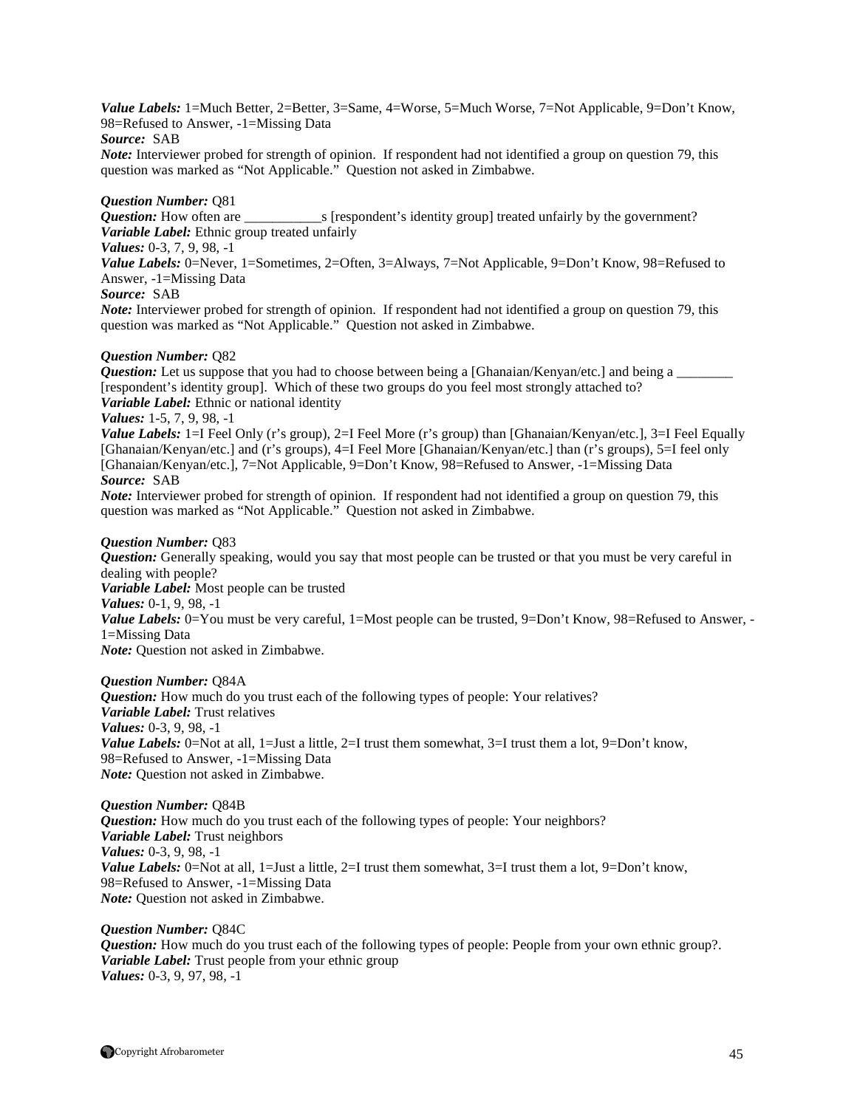*Value Labels:* 1=Much Better, 2=Better, 3=Same, 4=Worse, 5=Much Worse, 7=Not Applicable, 9=Don't Know, 98=Refused to Answer, -1=Missing Data

#### *Source:* SAB

*Note:* Interviewer probed for strength of opinion. If respondent had not identified a group on question 79, this question was marked as "Not Applicable." Question not asked in Zimbabwe.

# *Question Number:* Q81

*s* [respondent's identity group] treated unfairly by the government? *Variable Label:* Ethnic group treated unfairly *Values:* 0-3, 7, 9, 98, -1

*Value Labels:* 0=Never, 1=Sometimes, 2=Often, 3=Always, 7=Not Applicable, 9=Don't Know, 98=Refused to Answer, -1=Missing Data

#### *Source:* SAB

*Note:* Interviewer probed for strength of opinion. If respondent had not identified a group on question 79, this question was marked as "Not Applicable." Question not asked in Zimbabwe.

#### *Question Number:* Q82

*Question:* Let us suppose that you had to choose between being a [Ghanaian/Kenyan/etc.] and being a [respondent's identity group]. Which of these two groups do you feel most strongly attached to? *Variable Label:* Ethnic or national identity

# *Values:* 1-5, 7, 9, 98, -1

*Value Labels:* 1=I Feel Only (r's group), 2=I Feel More (r's group) than [Ghanaian/Kenyan/etc.], 3=I Feel Equally [Ghanaian/Kenyan/etc.] and (r's groups), 4=I Feel More [Ghanaian/Kenyan/etc.] than (r's groups), 5=I feel only [Ghanaian/Kenyan/etc.], 7=Not Applicable, 9=Don't Know*,* 98=Refused to Answer, -1=Missing Data *Source:* SAB

*Note:* Interviewer probed for strength of opinion. If respondent had not identified a group on question 79, this question was marked as "Not Applicable." Question not asked in Zimbabwe.

#### *Question Number:* Q83

*Question:* Generally speaking, would you say that most people can be trusted or that you must be very careful in dealing with people? *Variable Label:* Most people can be trusted *Values:* 0-1, 9, 98, -1 *Value Labels:* 0=You must be very careful, 1=Most people can be trusted, 9=Don't Know, 98=Refused to Answer, -1=Missing Data *Note:* Question not asked in Zimbabwe.

#### *Question Number:* Q84A

*Question:* How much do you trust each of the following types of people: Your relatives? *Variable Label:* Trust relatives *Values:* 0-3, 9, 98, -1 *Value Labels:* 0=Not at all, 1=Just a little, 2=I trust them somewhat, 3=I trust them a lot, 9=Don't know, 98=Refused to Answer, -1=Missing Data *Note:* Question not asked in Zimbabwe.

#### *Question Number:* Q84B

*Question:* How much do you trust each of the following types of people: Your neighbors? *Variable Label:* Trust neighbors *Values:* 0-3, 9, 98, -1 *Value Labels:* 0=Not at all, 1=Just a little, 2=I trust them somewhat, 3=I trust them a lot, 9=Don't know, 98=Refused to Answer, -1=Missing Data *Note:* Question not asked in Zimbabwe.

#### *Question Number:* Q84C

*Question:* How much do you trust each of the following types of people: People from your own ethnic group?. *Variable Label:* Trust people from your ethnic group *Values:* 0-3, 9, 97, 98, -1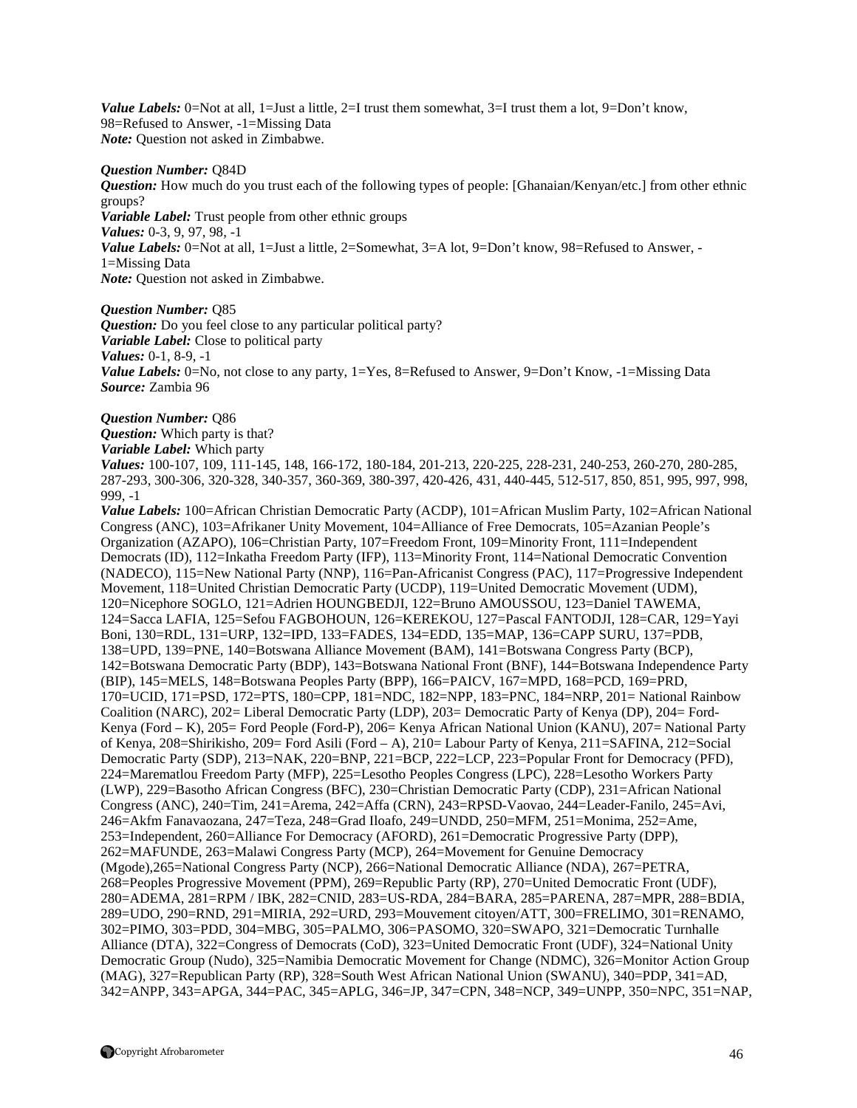*Value Labels:* 0=Not at all, 1=Just a little, 2=I trust them somewhat, 3=I trust them a lot, 9=Don't know, 98=Refused to Answer, -1=Missing Data *Note:* Question not asked in Zimbabwe.

#### *Question Number:* Q84D

*Question:* How much do you trust each of the following types of people: [Ghanaian/Kenyan/etc.] from other ethnic groups? *Variable Label:* Trust people from other ethnic groups

*Values:* 0-3, 9, 97, 98, -1

*Value Labels:* 0=Not at all, 1=Just a little, 2=Somewhat, 3=A lot, 9=Don't know, 98=Refused to Answer, -1=Missing Data

*Note:* Question not asked in Zimbabwe.

#### *Question Number:* Q85

*Question:* Do you feel close to any particular political party? *Variable Label:* Close to political party *Values:* 0-1, 8-9, -1 *Value Labels:* 0=No, not close to any party, 1=Yes, 8=Refused to Answer, 9=Don't Know, -1=Missing Data *Source:* Zambia 96

#### *Question Number:* Q86

*Question:* Which party is that?

*Variable Label:* Which party

*Values:* 100-107, 109, 111-145, 148, 166-172, 180-184, 201-213, 220-225, 228-231, 240-253, 260-270, 280-285, 287-293, 300-306, 320-328, 340-357, 360-369, 380-397, 420-426, 431, 440-445, 512-517, 850, 851, 995, 997, 998, 999, -1

*Value Labels:* 100=African Christian Democratic Party (ACDP), 101=African Muslim Party, 102=African National Congress (ANC), 103=Afrikaner Unity Movement, 104=Alliance of Free Democrats, 105=Azanian People's Organization (AZAPO), 106=Christian Party, 107=Freedom Front, 109=Minority Front, 111=Independent Democrats (ID), 112=Inkatha Freedom Party (IFP), 113=Minority Front, 114=National Democratic Convention (NADECO), 115=New National Party (NNP), 116=Pan-Africanist Congress (PAC), 117=Progressive Independent Movement, 118=United Christian Democratic Party (UCDP), 119=United Democratic Movement (UDM), 120=Nicephore SOGLO, 121=Adrien HOUNGBEDJI, 122=Bruno AMOUSSOU, 123=Daniel TAWEMA, 124=Sacca LAFIA, 125=Sefou FAGBOHOUN, 126=KEREKOU, 127=Pascal FANTODJI, 128=CAR, 129=Yayi Boni, 130=RDL, 131=URP, 132=IPD, 133=FADES, 134=EDD, 135=MAP, 136=CAPP SURU, 137=PDB, 138=UPD, 139=PNE, 140=Botswana Alliance Movement (BAM), 141=Botswana Congress Party (BCP), 142=Botswana Democratic Party (BDP), 143=Botswana National Front (BNF), 144=Botswana Independence Party (BIP), 145=MELS, 148=Botswana Peoples Party (BPP), 166=PAICV, 167=MPD, 168=PCD, 169=PRD, 170=UCID, 171=PSD, 172=PTS, 180=CPP, 181=NDC, 182=NPP, 183=PNC, 184=NRP, 201= National Rainbow Coalition (NARC), 202= Liberal Democratic Party (LDP), 203= Democratic Party of Kenya (DP), 204= Ford-Kenya (Ford – K), 205= Ford People (Ford-P), 206= Kenya African National Union (KANU), 207= National Party of Kenya, 208=Shirikisho, 209= Ford Asili (Ford – A), 210= Labour Party of Kenya, 211=SAFINA, 212=Social Democratic Party (SDP), 213=NAK, 220=BNP, 221=BCP, 222=LCP, 223=Popular Front for Democracy (PFD), 224=Marematlou Freedom Party (MFP), 225=Lesotho Peoples Congress (LPC), 228=Lesotho Workers Party (LWP), 229=Basotho African Congress (BFC), 230=Christian Democratic Party (CDP), 231=African National Congress (ANC), 240=Tim, 241=Arema, 242=Affa (CRN), 243=RPSD-Vaovao, 244=Leader-Fanilo, 245=Avi, 246=Akfm Fanavaozana, 247=Teza, 248=Grad Iloafo, 249=UNDD, 250=MFM, 251=Monima, 252=Ame, 253=Independent, 260=Alliance For Democracy (AFORD), 261=Democratic Progressive Party (DPP), 262=MAFUNDE, 263=Malawi Congress Party (MCP), 264=Movement for Genuine Democracy (Mgode),265=National Congress Party (NCP), 266=National Democratic Alliance (NDA), 267=PETRA, 268=Peoples Progressive Movement (PPM), 269=Republic Party (RP), 270=United Democratic Front (UDF), 280=ADEMA, 281=RPM / IBK, 282=CNID, 283=US-RDA, 284=BARA, 285=PARENA, 287=MPR, 288=BDIA, 289=UDO, 290=RND, 291=MIRIA, 292=URD, 293=Mouvement citoyen/ATT, 300=FRELIMO, 301=RENAMO, 302=PIMO, 303=PDD, 304=MBG, 305=PALMO, 306=PASOMO, 320=SWAPO, 321=Democratic Turnhalle Alliance (DTA), 322=Congress of Democrats (CoD), 323=United Democratic Front (UDF), 324=National Unity Democratic Group (Nudo), 325=Namibia Democratic Movement for Change (NDMC), 326=Monitor Action Group (MAG), 327=Republican Party (RP), 328=South West African National Union (SWANU), 340=PDP, 341=AD, 342=ANPP, 343=APGA, 344=PAC, 345=APLG, 346=JP, 347=CPN, 348=NCP, 349=UNPP, 350=NPC, 351=NAP,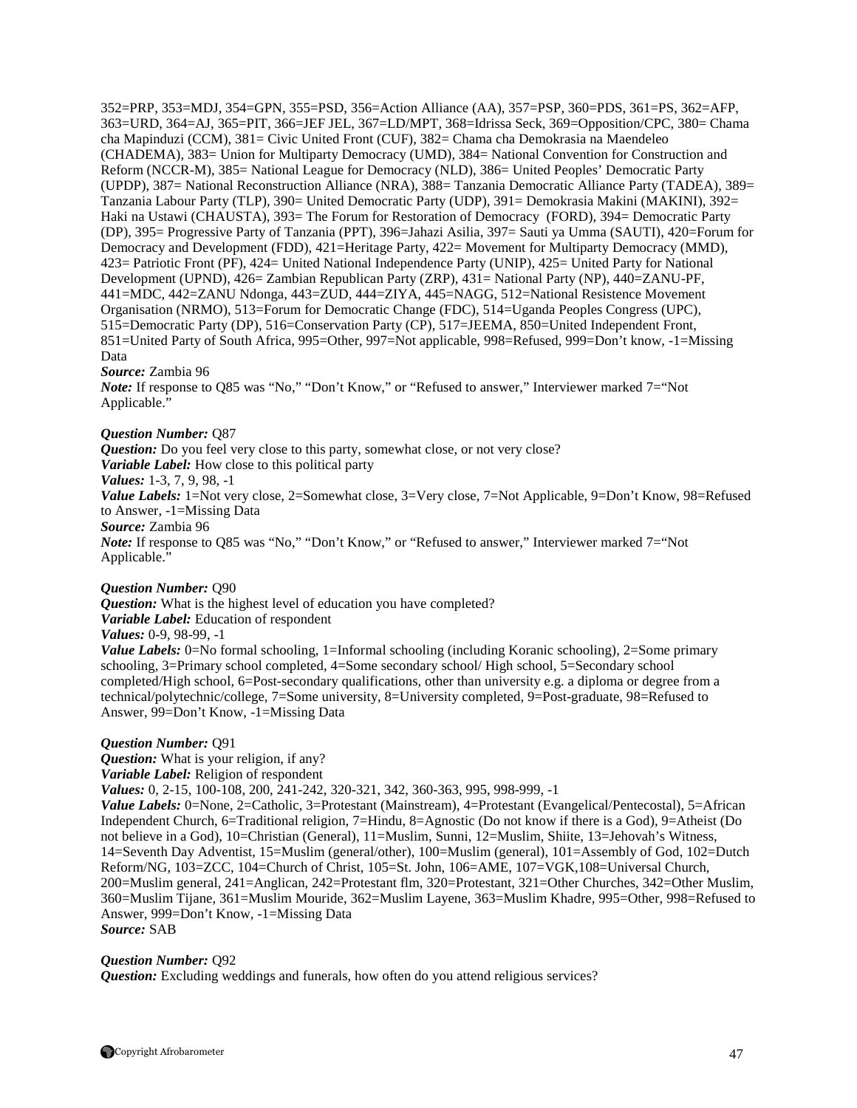352=PRP, 353=MDJ, 354=GPN, 355=PSD, 356=Action Alliance (AA), 357=PSP, 360=PDS, 361=PS, 362=AFP, 363=URD, 364=AJ, 365=PIT, 366=JEF JEL, 367=LD/MPT, 368=Idrissa Seck, 369=Opposition/CPC, 380= Chama cha Mapinduzi (CCM), 381= Civic United Front (CUF), 382= Chama cha Demokrasia na Maendeleo (CHADEMA), 383= Union for Multiparty Democracy (UMD), 384= National Convention for Construction and Reform (NCCR-M), 385= National League for Democracy (NLD), 386= United Peoples' Democratic Party (UPDP), 387= National Reconstruction Alliance (NRA), 388= Tanzania Democratic Alliance Party (TADEA), 389= Tanzania Labour Party (TLP), 390= United Democratic Party (UDP), 391= Demokrasia Makini (MAKINI), 392= Haki na Ustawi (CHAUSTA), 393= The Forum for Restoration of Democracy (FORD), 394= Democratic Party (DP), 395= Progressive Party of Tanzania (PPT), 396=Jahazi Asilia, 397= Sauti ya Umma (SAUTI), 420=Forum for Democracy and Development (FDD), 421=Heritage Party, 422= Movement for Multiparty Democracy (MMD), 423= Patriotic Front (PF), 424= United National Independence Party (UNIP), 425= United Party for National Development (UPND), 426= Zambian Republican Party (ZRP), 431= National Party (NP), 440=ZANU-PF, 441=MDC, 442=ZANU Ndonga, 443=ZUD, 444=ZIYA, 445=NAGG, 512=National Resistence Movement Organisation (NRMO), 513=Forum for Democratic Change (FDC), 514=Uganda Peoples Congress (UPC), 515=Democratic Party (DP), 516=Conservation Party (CP), 517=JEEMA, 850=United Independent Front, 851=United Party of South Africa, 995=Other, 997=Not applicable, 998=Refused, 999=Don't know, -1=Missing Data

#### *Source:* Zambia 96

*Note:* If response to O85 was "No," "Don't Know," or "Refused to answer," Interviewer marked 7= "Not Applicable."

#### *Question Number:* Q87

*Question:* Do you feel very close to this party, somewhat close, or not very close? *Variable Label:* How close to this political party *Values:* 1-3, 7, 9, 98, -1 *Value Labels:* 1=Not very close, 2=Somewhat close, 3=Very close, 7=Not Applicable, 9=Don't Know, 98=Refused to Answer, -1=Missing Data *Source:* Zambia 96 *Note:* If response to Q85 was "No," "Don't Know," or "Refused to answer," Interviewer marked 7= "Not Applicable."

#### *Question Number:* Q90

*Question:* What is the highest level of education you have completed? *Variable Label:* Education of respondent

*Values:* 0-9, 98-99, -1

*Value Labels:* 0=No formal schooling, 1=Informal schooling (including Koranic schooling), 2=Some primary schooling, 3=Primary school completed, 4=Some secondary school/ High school, 5=Secondary school completed/High school, 6=Post-secondary qualifications, other than university e.g. a diploma or degree from a technical/polytechnic/college, 7=Some university, 8=University completed, 9=Post-graduate, 98=Refused to Answer, 99=Don't Know, -1=Missing Data

#### *Question Number:* Q91

*Question:* What is your religion, if any? *Variable Label:* Religion of respondent

*Values:* 0, 2-15, 100-108, 200, 241-242, 320-321, 342, 360-363, 995, 998-999, -1

*Value Labels:* 0=None, 2=Catholic, 3=Protestant (Mainstream), 4=Protestant (Evangelical/Pentecostal), 5=African Independent Church, 6=Traditional religion, 7=Hindu, 8=Agnostic (Do not know if there is a God), 9=Atheist (Do not believe in a God), 10=Christian (General), 11=Muslim, Sunni, 12=Muslim, Shiite, 13=Jehovah's Witness, 14=Seventh Day Adventist, 15=Muslim (general/other), 100=Muslim (general), 101=Assembly of God, 102=Dutch Reform/NG, 103=ZCC, 104=Church of Christ, 105=St. John, 106=AME, 107=VGK,108=Universal Church, 200=Muslim general, 241=Anglican, 242=Protestant flm, 320=Protestant, 321=Other Churches, 342=Other Muslim, 360=Muslim Tijane, 361=Muslim Mouride, 362=Muslim Layene, 363=Muslim Khadre, 995=Other, 998=Refused to Answer, 999=Don't Know, -1=Missing Data *Source:* SAB

#### *Question Number:* Q92

*Question:* Excluding weddings and funerals, how often do you attend religious services?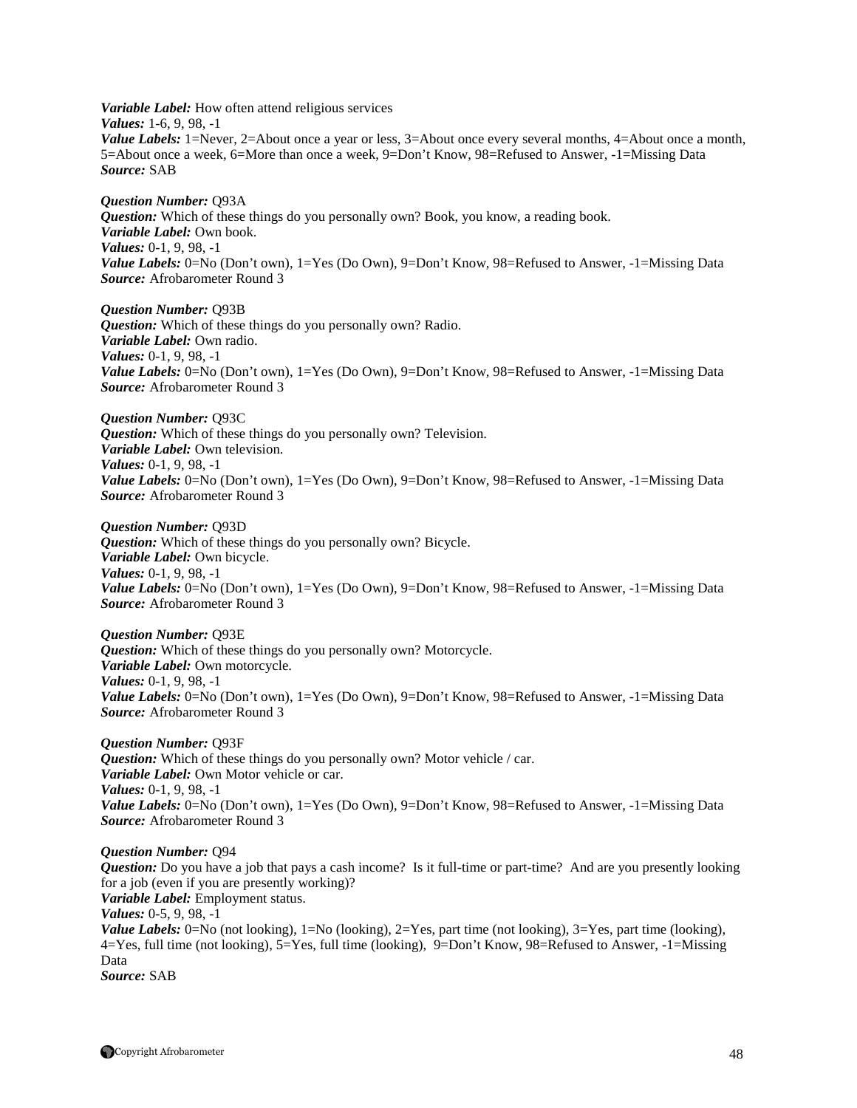*Variable Label:* How often attend religious services *Values:* 1-6, 9, 98, -1 *Value Labels:* 1=Never, 2=About once a year or less, 3=About once every several months, 4=About once a month, 5=About once a week, 6=More than once a week, 9=Don't Know, 98=Refused to Answer, -1=Missing Data *Source:* SAB

*Question Number:* Q93A *Question:* Which of these things do you personally own? Book, you know, a reading book. *Variable Label:* Own book. *Values:* 0-1, 9, 98, -1 *Value Labels:* 0=No (Don't own), 1=Yes (Do Own), 9=Don't Know, 98=Refused to Answer, -1=Missing Data *Source:* Afrobarometer Round 3

*Question Number:* Q93B *Question:* Which of these things do you personally own? Radio. *Variable Label:* Own radio. *Values:* 0-1, 9, 98, -1 *Value Labels:* 0=No (Don't own), 1=Yes (Do Own), 9=Don't Know, 98=Refused to Answer, -1=Missing Data *Source:* Afrobarometer Round 3

*Question Number:* Q93C *Question:* Which of these things do you personally own? Television. *Variable Label:* Own television. *Values:* 0-1, 9, 98, -1 *Value Labels:* 0=No (Don't own), 1=Yes (Do Own), 9=Don't Know, 98=Refused to Answer, -1=Missing Data *Source:* Afrobarometer Round 3

*Question Number:* Q93D *Question:* Which of these things do you personally own? Bicycle. *Variable Label:* Own bicycle. *Values:* 0-1, 9, 98, -1 *Value Labels:* 0=No (Don't own), 1=Yes (Do Own), 9=Don't Know, 98=Refused to Answer, -1=Missing Data *Source:* Afrobarometer Round 3

*Question Number:* Q93E *Question:* Which of these things do you personally own? Motorcycle. *Variable Label:* Own motorcycle. *Values:* 0-1, 9, 98, -1 *Value Labels:* 0=No (Don't own), 1=Yes (Do Own), 9=Don't Know, 98=Refused to Answer, -1=Missing Data *Source:* Afrobarometer Round 3

*Question Number:* Q93F *Question:* Which of these things do you personally own? Motor vehicle / car. *Variable Label:* Own Motor vehicle or car. *Values:* 0-1, 9, 98, -1 *Value Labels:* 0=No (Don't own), 1=Yes (Do Own), 9=Don't Know, 98=Refused to Answer, -1=Missing Data *Source:* Afrobarometer Round 3

*Question Number:* Q94 *Question:* Do you have a job that pays a cash income? Is it full-time or part-time? And are you presently looking for a job (even if you are presently working)? *Variable Label:* Employment status. *Values:* 0-5, 9, 98, -1 *Value Labels:* 0=No (not looking), 1=No (looking), 2=Yes, part time (not looking), 3=Yes, part time (looking), 4=Yes, full time (not looking), 5=Yes, full time (looking), 9=Don't Know, 98=Refused to Answer, -1=Missing Data *Source:* SAB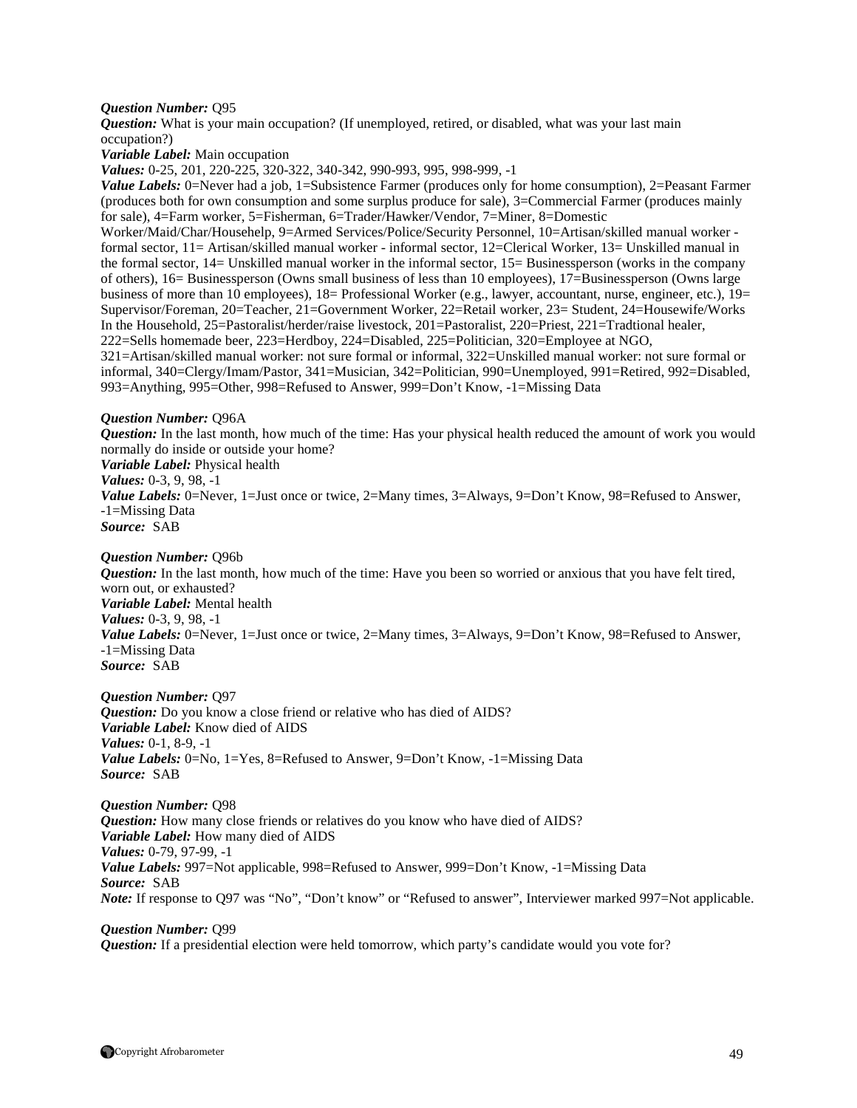#### *Question Number:* Q95

*Question:* What is your main occupation? (If unemployed, retired, or disabled, what was your last main occupation?)

*Variable Label:* Main occupation

*Values:* 0-25, 201, 220-225, 320-322, 340-342, 990-993, 995, 998-999, -1

*Value Labels:* 0=Never had a job, 1=Subsistence Farmer (produces only for home consumption), 2=Peasant Farmer (produces both for own consumption and some surplus produce for sale), 3=Commercial Farmer (produces mainly for sale), 4=Farm worker, 5=Fisherman, 6=Trader/Hawker/Vendor, 7=Miner, 8=Domestic

Worker/Maid/Char/Househelp, 9=Armed Services/Police/Security Personnel, 10=Artisan/skilled manual worker formal sector, 11= Artisan/skilled manual worker - informal sector, 12=Clerical Worker, 13= Unskilled manual in the formal sector, 14= Unskilled manual worker in the informal sector, 15= Businessperson (works in the company of others), 16= Businessperson (Owns small business of less than 10 employees), 17=Businessperson (Owns large business of more than 10 employees),  $18=$  Professional Worker (e.g., lawyer, accountant, nurse, engineer, etc.),  $19=$ Supervisor/Foreman, 20=Teacher, 21=Government Worker, 22=Retail worker, 23= Student, 24=Housewife/Works In the Household, 25=Pastoralist/herder/raise livestock, 201=Pastoralist, 220=Priest, 221=Tradtional healer, 222=Sells homemade beer, 223=Herdboy, 224=Disabled, 225=Politician, 320=Employee at NGO,

321=Artisan/skilled manual worker: not sure formal or informal, 322=Unskilled manual worker: not sure formal or informal, 340=Clergy/Imam/Pastor, 341=Musician, 342=Politician, 990=Unemployed, 991=Retired, 992=Disabled, 993=Anything, 995=Other, 998=Refused to Answer, 999=Don't Know, -1=Missing Data

#### *Question Number:* Q96A

*Question:* In the last month, how much of the time: Has your physical health reduced the amount of work you would normally do inside or outside your home?

*Variable Label:* Physical health *Values:* 0-3, 9, 98, -1

*Value Labels:* 0=Never, 1=Just once or twice, 2=Many times, 3=Always, 9=Don't Know, 98=Refused to Answer, -1=Missing Data *Source:* SAB

#### *Question Number:* Q96b

*Question:* In the last month, how much of the time: Have you been so worried or anxious that you have felt tired, worn out, or exhausted? *Variable Label:* Mental health *Values:* 0-3, 9, 98, -1 *Value Labels:* 0=Never, 1=Just once or twice, 2=Many times, 3=Always, 9=Don't Know, 98=Refused to Answer, -1=Missing Data *Source:* SAB

*Question Number:* Q97 *Question:* Do you know a close friend or relative who has died of AIDS? *Variable Label:* Know died of AIDS *Values:* 0-1, 8-9, -1 *Value Labels:* 0=No, 1=Yes, 8=Refused to Answer, 9=Don't Know, -1=Missing Data *Source:* SAB

#### *Question Number:* Q98

*Question:* How many close friends or relatives do you know who have died of AIDS? *Variable Label:* How many died of AIDS *Values:* 0-79, 97-99, -1 *Value Labels:* 997=Not applicable, 998=Refused to Answer, 999=Don't Know, -1=Missing Data *Source:* SAB *Note:* If response to Q97 was "No", "Don't know" or "Refused to answer", Interviewer marked 997=Not applicable.

#### *Question Number:* Q99

*Question:* If a presidential election were held tomorrow, which party's candidate would you vote for?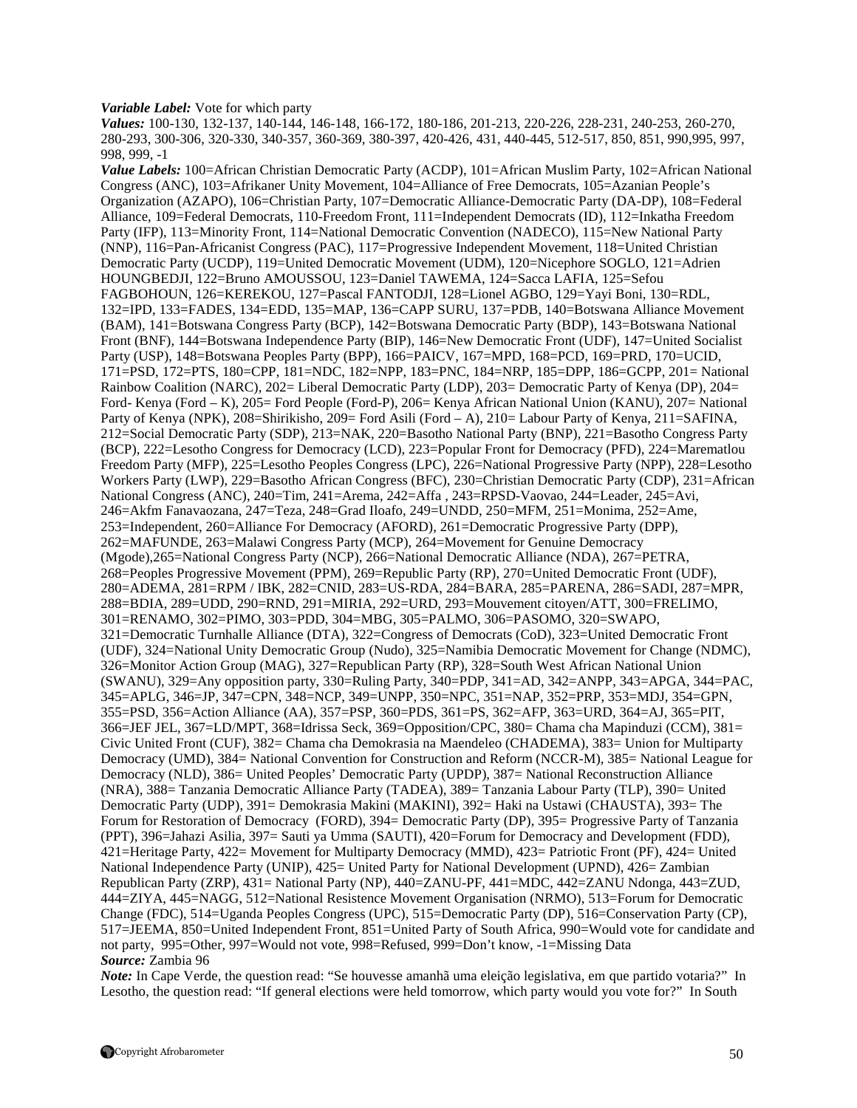#### *Variable Label:* Vote for which party

*Values:* 100-130, 132-137, 140-144, 146-148, 166-172, 180-186, 201-213, 220-226, 228-231, 240-253, 260-270, 280-293, 300-306, 320-330, 340-357, 360-369, 380-397, 420-426, 431, 440-445, 512-517, 850, 851, 990,995, 997, 998, 999, -1

*Value Labels:* 100=African Christian Democratic Party (ACDP), 101=African Muslim Party, 102=African National Congress (ANC), 103=Afrikaner Unity Movement, 104=Alliance of Free Democrats, 105=Azanian People's Organization (AZAPO), 106=Christian Party, 107=Democratic Alliance-Democratic Party (DA-DP), 108=Federal Alliance, 109=Federal Democrats, 110-Freedom Front, 111=Independent Democrats (ID), 112=Inkatha Freedom Party (IFP), 113=Minority Front, 114=National Democratic Convention (NADECO), 115=New National Party (NNP), 116=Pan-Africanist Congress (PAC), 117=Progressive Independent Movement, 118=United Christian Democratic Party (UCDP), 119=United Democratic Movement (UDM), 120=Nicephore SOGLO, 121=Adrien HOUNGBEDJI, 122=Bruno AMOUSSOU, 123=Daniel TAWEMA, 124=Sacca LAFIA, 125=Sefou FAGBOHOUN, 126=KEREKOU, 127=Pascal FANTODJI, 128=Lionel AGBO, 129=Yayi Boni, 130=RDL, 132=IPD, 133=FADES, 134=EDD, 135=MAP, 136=CAPP SURU, 137=PDB, 140=Botswana Alliance Movement (BAM), 141=Botswana Congress Party (BCP), 142=Botswana Democratic Party (BDP), 143=Botswana National Front (BNF), 144=Botswana Independence Party (BIP), 146=New Democratic Front (UDF), 147=United Socialist Party (USP), 148=Botswana Peoples Party (BPP), 166=PAICV, 167=MPD, 168=PCD, 169=PRD, 170=UCID, 171=PSD, 172=PTS, 180=CPP, 181=NDC, 182=NPP, 183=PNC, 184=NRP, 185=DPP, 186=GCPP, 201= National Rainbow Coalition (NARC), 202= Liberal Democratic Party (LDP), 203= Democratic Party of Kenya (DP), 204= Ford- Kenya (Ford – K), 205= Ford People (Ford-P), 206= Kenya African National Union (KANU), 207= National Party of Kenya (NPK), 208=Shirikisho, 209= Ford Asili (Ford – A), 210= Labour Party of Kenya, 211=SAFINA, 212=Social Democratic Party (SDP), 213=NAK, 220=Basotho National Party (BNP), 221=Basotho Congress Party (BCP), 222=Lesotho Congress for Democracy (LCD), 223=Popular Front for Democracy (PFD), 224=Marematlou Freedom Party (MFP), 225=Lesotho Peoples Congress (LPC), 226=National Progressive Party (NPP), 228=Lesotho Workers Party (LWP), 229=Basotho African Congress (BFC), 230=Christian Democratic Party (CDP), 231=African National Congress (ANC), 240=Tim, 241=Arema, 242=Affa , 243=RPSD-Vaovao, 244=Leader, 245=Avi, 246=Akfm Fanavaozana, 247=Teza, 248=Grad Iloafo, 249=UNDD, 250=MFM, 251=Monima, 252=Ame, 253=Independent, 260=Alliance For Democracy (AFORD), 261=Democratic Progressive Party (DPP), 262=MAFUNDE, 263=Malawi Congress Party (MCP), 264=Movement for Genuine Democracy (Mgode),265=National Congress Party (NCP), 266=National Democratic Alliance (NDA), 267=PETRA, 268=Peoples Progressive Movement (PPM), 269=Republic Party (RP), 270=United Democratic Front (UDF), 280=ADEMA, 281=RPM / IBK, 282=CNID, 283=US-RDA, 284=BARA, 285=PARENA, 286=SADI, 287=MPR, 288=BDIA, 289=UDD, 290=RND, 291=MIRIA, 292=URD, 293=Mouvement citoyen/ATT, 300=FRELIMO, 301=RENAMO, 302=PIMO, 303=PDD, 304=MBG, 305=PALMO, 306=PASOMO, 320=SWAPO, 321=Democratic Turnhalle Alliance (DTA), 322=Congress of Democrats (CoD), 323=United Democratic Front (UDF), 324=National Unity Democratic Group (Nudo), 325=Namibia Democratic Movement for Change (NDMC), 326=Monitor Action Group (MAG), 327=Republican Party (RP), 328=South West African National Union (SWANU), 329=Any opposition party, 330=Ruling Party, 340=PDP, 341=AD, 342=ANPP, 343=APGA, 344=PAC, 345=APLG, 346=JP, 347=CPN, 348=NCP, 349=UNPP, 350=NPC, 351=NAP, 352=PRP, 353=MDJ, 354=GPN, 355=PSD, 356=Action Alliance (AA), 357=PSP, 360=PDS, 361=PS, 362=AFP, 363=URD, 364=AJ, 365=PIT, 366=JEF JEL, 367=LD/MPT, 368=Idrissa Seck, 369=Opposition/CPC, 380= Chama cha Mapinduzi (CCM), 381= Civic United Front (CUF), 382= Chama cha Demokrasia na Maendeleo (CHADEMA), 383= Union for Multiparty Democracy (UMD), 384= National Convention for Construction and Reform (NCCR-M), 385= National League for Democracy (NLD), 386= United Peoples' Democratic Party (UPDP), 387= National Reconstruction Alliance (NRA), 388= Tanzania Democratic Alliance Party (TADEA), 389= Tanzania Labour Party (TLP), 390= United Democratic Party (UDP), 391= Demokrasia Makini (MAKINI), 392= Haki na Ustawi (CHAUSTA), 393= The Forum for Restoration of Democracy (FORD), 394= Democratic Party (DP), 395= Progressive Party of Tanzania (PPT), 396=Jahazi Asilia, 397= Sauti ya Umma (SAUTI), 420=Forum for Democracy and Development (FDD), 421=Heritage Party, 422= Movement for Multiparty Democracy (MMD), 423= Patriotic Front (PF), 424= United National Independence Party (UNIP), 425= United Party for National Development (UPND), 426= Zambian Republican Party (ZRP), 431= National Party (NP), 440=ZANU-PF, 441=MDC, 442=ZANU Ndonga, 443=ZUD, 444=ZIYA, 445=NAGG, 512=National Resistence Movement Organisation (NRMO), 513=Forum for Democratic Change (FDC), 514=Uganda Peoples Congress (UPC), 515=Democratic Party (DP), 516=Conservation Party (CP), 517=JEEMA, 850=United Independent Front, 851=United Party of South Africa, 990=Would vote for candidate and not party, 995=Other, 997=Would not vote, 998=Refused, 999=Don't know, -1=Missing Data *Source:* Zambia 96

*Note:* In Cape Verde, the question read: "Se houvesse amanhã uma eleição legislativa, em que partido votaria?" In Lesotho, the question read: "If general elections were held tomorrow, which party would you vote for?" In South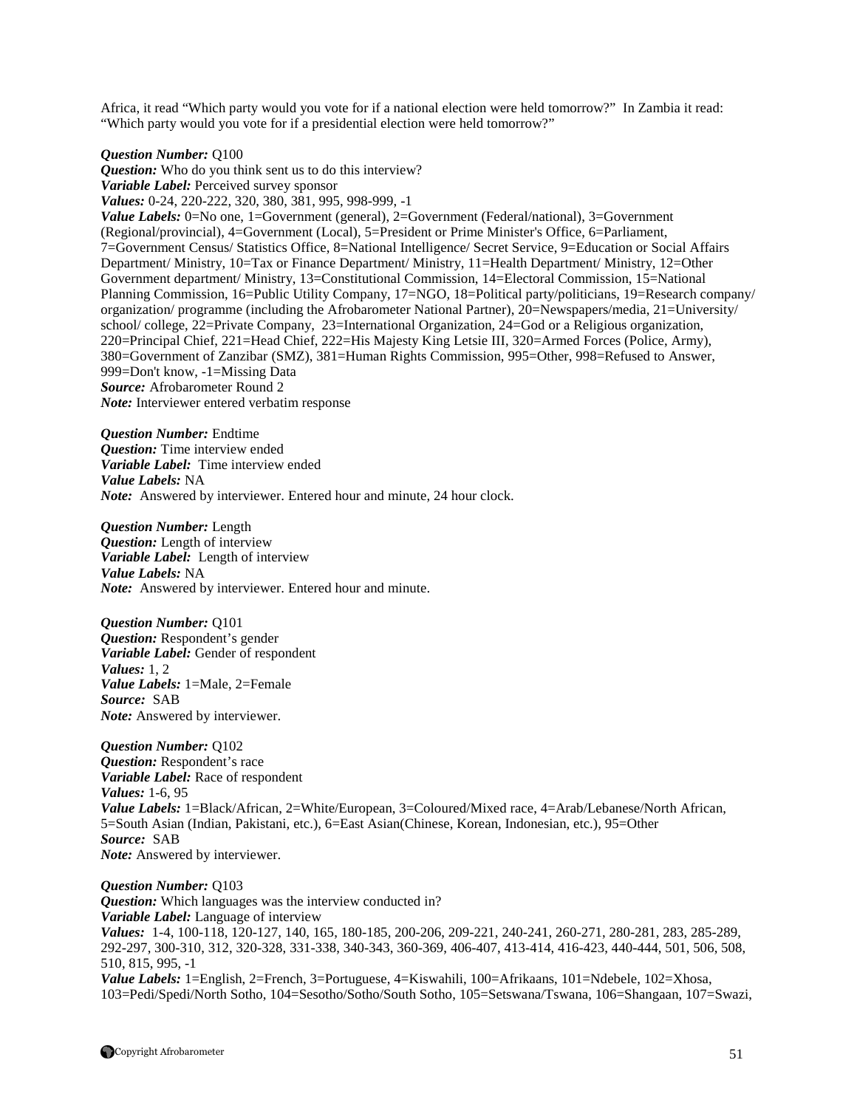Africa, it read "Which party would you vote for if a national election were held tomorrow?" In Zambia it read: "Which party would you vote for if a presidential election were held tomorrow?"

*Question Number:* Q100

*Question:* Who do you think sent us to do this interview? *Variable Label:* Perceived survey sponsor *Values:* 0-24, 220-222, 320, 380, 381, 995, 998-999, -1 *Value Labels:* 0=No one, 1=Government (general), 2=Government (Federal/national), 3=Government (Regional/provincial), 4=Government (Local), 5=President or Prime Minister's Office, 6=Parliament, 7=Government Census/ Statistics Office, 8=National Intelligence/ Secret Service, 9=Education or Social Affairs Department/ Ministry, 10=Tax or Finance Department/ Ministry, 11=Health Department/ Ministry, 12=Other Government department/ Ministry, 13=Constitutional Commission, 14=Electoral Commission, 15=National Planning Commission, 16=Public Utility Company, 17=NGO, 18=Political party/politicians, 19=Research company/ organization/ programme (including the Afrobarometer National Partner), 20=Newspapers/media, 21=University/ school/ college, 22=Private Company, 23=International Organization, 24=God or a Religious organization, 220=Principal Chief, 221=Head Chief, 222=His Majesty King Letsie III, 320=Armed Forces (Police, Army), 380=Government of Zanzibar (SMZ), 381=Human Rights Commission, 995=Other, 998=Refused to Answer, 999=Don't know, -1=Missing Data *Source:* Afrobarometer Round 2 *Note:* Interviewer entered verbatim response

*Question Number:* Endtime *Question:* Time interview ended *Variable Label:* Time interview ended *Value Labels:* NA *Note:* Answered by interviewer. Entered hour and minute, 24 hour clock.

*Question Number:* Length *Question:* Length of interview *Variable Label:* Length of interview *Value Labels:* NA *Note:* Answered by interviewer. Entered hour and minute.

*Question Number:* Q101 *Question:* Respondent's gender *Variable Label:* Gender of respondent *Values:* 1, 2 *Value Labels:* 1=Male, 2=Female *Source:* SAB *Note:* Answered by interviewer.

*Question Number:* Q102 *Question:* Respondent's race *Variable Label:* Race of respondent *Values:* 1-6, 95 *Value Labels:* 1=Black/African, 2=White/European, 3=Coloured/Mixed race, 4=Arab/Lebanese/North African, 5=South Asian (Indian, Pakistani, etc.), 6=East Asian(Chinese, Korean, Indonesian, etc.), 95=Other *Source:* SAB *Note:* Answered by interviewer.

*Question Number:* Q103 *Question:* Which languages was the interview conducted in? *Variable Label:* Language of interview *Values:* 1-4, 100-118, 120-127, 140, 165, 180-185, 200-206, 209-221, 240-241, 260-271, 280-281, 283, 285-289, 292-297, 300-310, 312, 320-328, 331-338, 340-343, 360-369, 406-407, 413-414, 416-423, 440-444, 501, 506, 508, 510, 815, 995, -1 *Value Labels:* 1=English, 2=French, 3=Portuguese, 4=Kiswahili, 100=Afrikaans, 101=Ndebele, 102=Xhosa, 103=Pedi/Spedi/North Sotho, 104=Sesotho/Sotho/South Sotho, 105=Setswana/Tswana, 106=Shangaan, 107=Swazi,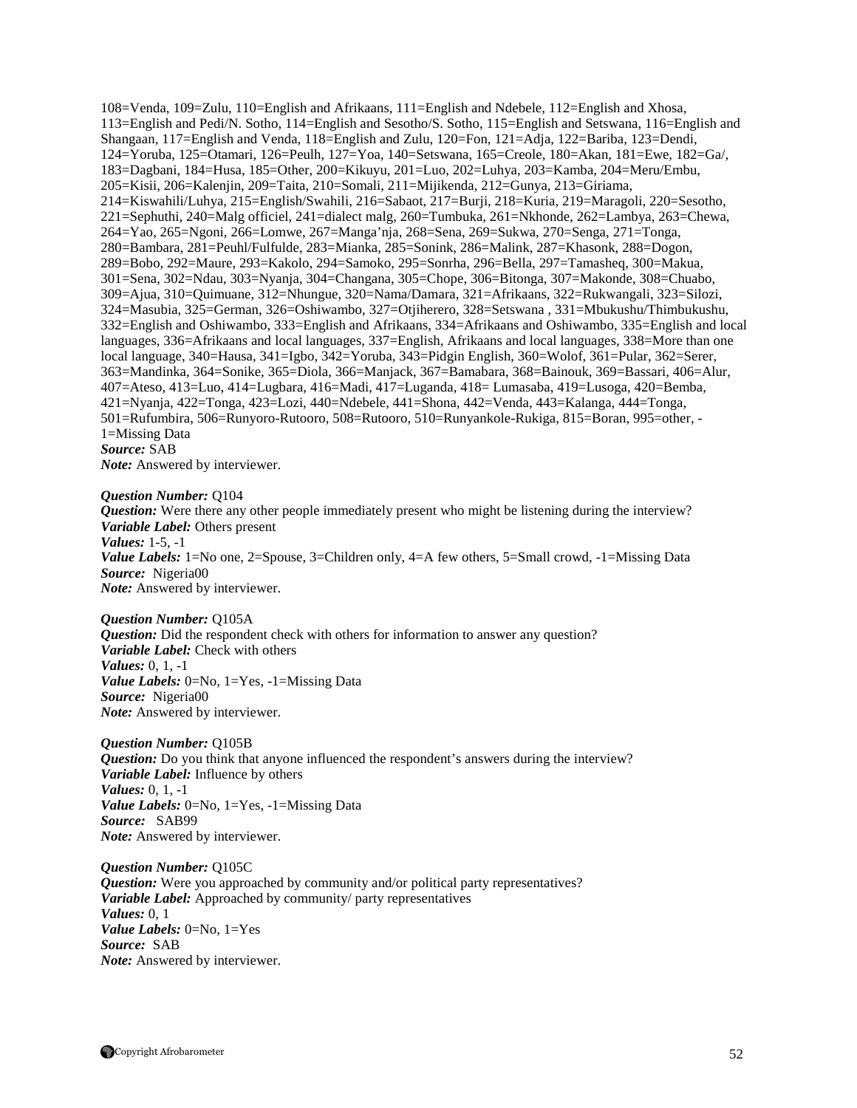108=Venda, 109=Zulu, 110=English and Afrikaans, 111=English and Ndebele, 112=English and Xhosa, 113=English and Pedi/N. Sotho, 114=English and Sesotho/S. Sotho, 115=English and Setswana, 116=English and Shangaan, 117=English and Venda, 118=English and Zulu, 120=Fon, 121=Adja, 122=Bariba, 123=Dendi, 124=Yoruba, 125=Otamari, 126=Peulh, 127=Yoa, 140=Setswana, 165=Creole, 180=Akan, 181=Ewe, 182=Ga/, 183=Dagbani, 184=Husa, 185=Other, 200=Kikuyu, 201=Luo, 202=Luhya, 203=Kamba, 204=Meru/Embu, 205=Kisii, 206=Kalenjin, 209=Taita, 210=Somali, 211=Mijikenda, 212=Gunya, 213=Giriama, 214=Kiswahili/Luhya, 215=English/Swahili, 216=Sabaot, 217=Burji, 218=Kuria, 219=Maragoli, 220=Sesotho, 221=Sephuthi, 240=Malg officiel, 241=dialect malg, 260=Tumbuka, 261=Nkhonde, 262=Lambya, 263=Chewa, 264=Yao, 265=Ngoni, 266=Lomwe, 267=Manga'nja, 268=Sena, 269=Sukwa, 270=Senga, 271=Tonga, 280=Bambara, 281=Peuhl/Fulfulde, 283=Mianka, 285=Sonink, 286=Malink, 287=Khasonk, 288=Dogon, 289=Bobo, 292=Maure, 293=Kakolo, 294=Samoko, 295=Sonrha, 296=Bella, 297=Tamasheq, 300=Makua, 301=Sena, 302=Ndau, 303=Nyanja, 304=Changana, 305=Chope, 306=Bitonga, 307=Makonde, 308=Chuabo, 309=Ajua, 310=Quimuane, 312=Nhungue, 320=Nama/Damara, 321=Afrikaans, 322=Rukwangali, 323=Silozi, 324=Masubia, 325=German, 326=Oshiwambo, 327=Otjiherero, 328=Setswana , 331=Mbukushu/Thimbukushu, 332=English and Oshiwambo, 333=English and Afrikaans, 334=Afrikaans and Oshiwambo, 335=English and local languages, 336=Afrikaans and local languages, 337=English, Afrikaans and local languages, 338=More than one local language, 340=Hausa, 341=Igbo, 342=Yoruba, 343=Pidgin English, 360=Wolof, 361=Pular, 362=Serer, 363=Mandinka, 364=Sonike, 365=Diola, 366=Manjack, 367=Bamabara, 368=Bainouk, 369=Bassari, 406=Alur, 407=Ateso, 413=Luo, 414=Lugbara, 416=Madi, 417=Luganda, 418= Lumasaba, 419=Lusoga, 420=Bemba, 421=Nyanja, 422=Tonga, 423=Lozi, 440=Ndebele, 441=Shona, 442=Venda, 443=Kalanga, 444=Tonga, 501=Rufumbira, 506=Runyoro-Rutooro, 508=Rutooro, 510=Runyankole-Rukiga, 815=Boran, 995=other, - 1=Missing Data *Source:* SAB

*Note:* Answered by interviewer.

*Question Number:* Q104

*Question:* Were there any other people immediately present who might be listening during the interview? *Variable Label:* Others present *Values:* 1-5, -1

*Value Labels:* 1=No one, 2=Spouse, 3=Children only, 4=A few others, 5=Small crowd, -1=Missing Data *Source:* Nigeria00 *Note:* Answered by interviewer.

*Question Number:* Q105A *Question:* Did the respondent check with others for information to answer any question? *Variable Label:* Check with others *Values:* 0, 1, -1 *Value Labels:* 0=No, 1=Yes, -1=Missing Data *Source:* Nigeria00 *Note:* Answered by interviewer.

*Question Number:* Q105B *Question:* Do you think that anyone influenced the respondent's answers during the interview? *Variable Label:* Influence by others *Values:* 0, 1, -1 *Value Labels:* 0=No, 1=Yes, -1=Missing Data *Source:* SAB99 *Note:* Answered by interviewer.

*Question Number:* Q105C *Question:* Were you approached by community and/or political party representatives? *Variable Label:* Approached by community/ party representatives *Values:* 0, 1 *Value Labels:* 0=No, 1=Yes *Source:* SAB *Note:* Answered by interviewer.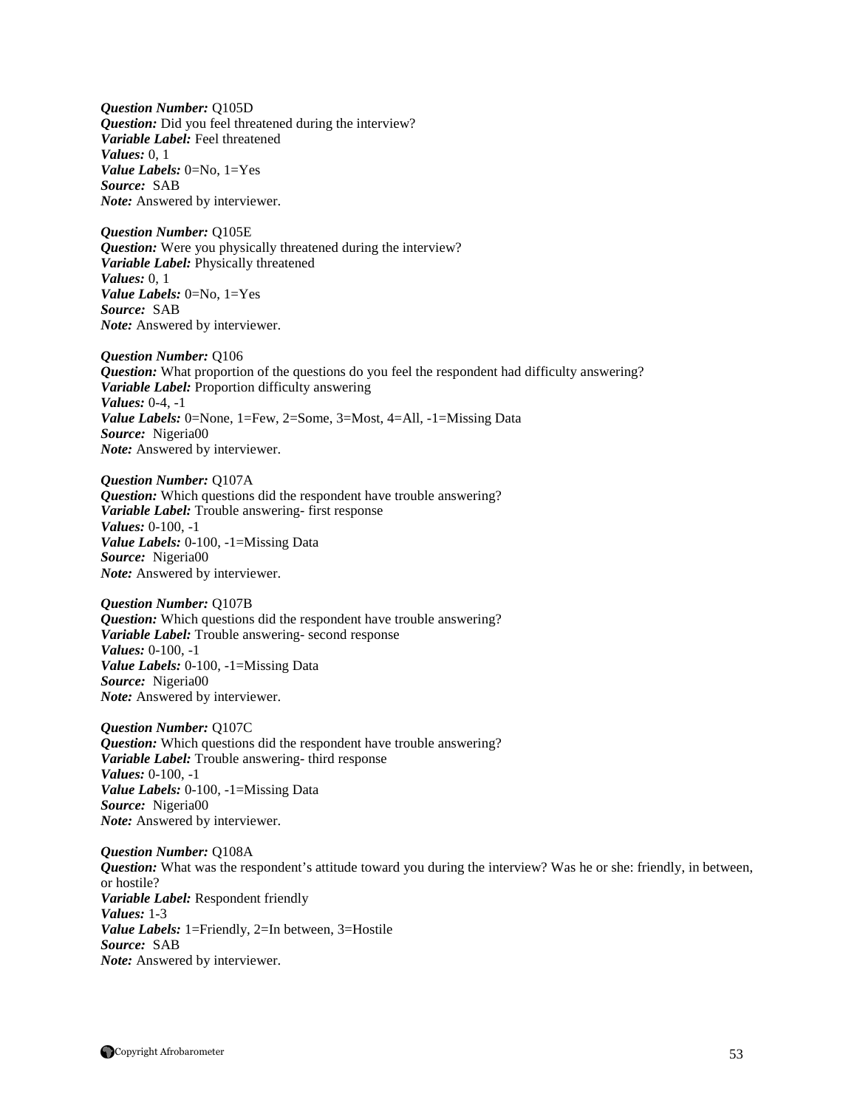*Question Number:* Q105D *Question:* Did you feel threatened during the interview? *Variable Label:* Feel threatened *Values:* 0, 1 *Value Labels:* 0=No, 1=Yes *Source:* SAB *Note:* Answered by interviewer.

*Question Number:* Q105E *Question:* Were you physically threatened during the interview? *Variable Label:* Physically threatened *Values:* 0, 1 *Value Labels:* 0=No, 1=Yes *Source:* SAB *Note:* Answered by interviewer.

*Question Number:* Q106 *Question:* What proportion of the questions do you feel the respondent had difficulty answering? *Variable Label:* Proportion difficulty answering *Values:* 0-4, -1 *Value Labels:* 0=None, 1=Few, 2=Some, 3=Most, 4=All, -1=Missing Data *Source:* Nigeria00 *Note:* Answered by interviewer.

*Question Number:* Q107A *Question:* Which questions did the respondent have trouble answering? *Variable Label:* Trouble answering- first response *Values:* 0-100, -1 *Value Labels:* 0-100, -1=Missing Data *Source:* Nigeria00 *Note:* Answered by interviewer.

*Question Number:* Q107B *Question:* Which questions did the respondent have trouble answering? *Variable Label:* Trouble answering- second response *Values:* 0-100, -1 *Value Labels:* 0-100, -1=Missing Data *Source:* Nigeria00 *Note:* Answered by interviewer.

*Question Number:* Q107C *Question:* Which questions did the respondent have trouble answering? *Variable Label:* Trouble answering- third response *Values:* 0-100, -1 *Value Labels:* 0-100, -1=Missing Data *Source:* Nigeria00 *Note:* Answered by interviewer.

*Question Number:* Q108A *Question:* What was the respondent's attitude toward you during the interview? Was he or she: friendly, in between, or hostile? *Variable Label:* Respondent friendly *Values:* 1-3 *Value Labels:* 1=Friendly, 2=In between, 3=Hostile *Source:* SAB *Note:* Answered by interviewer.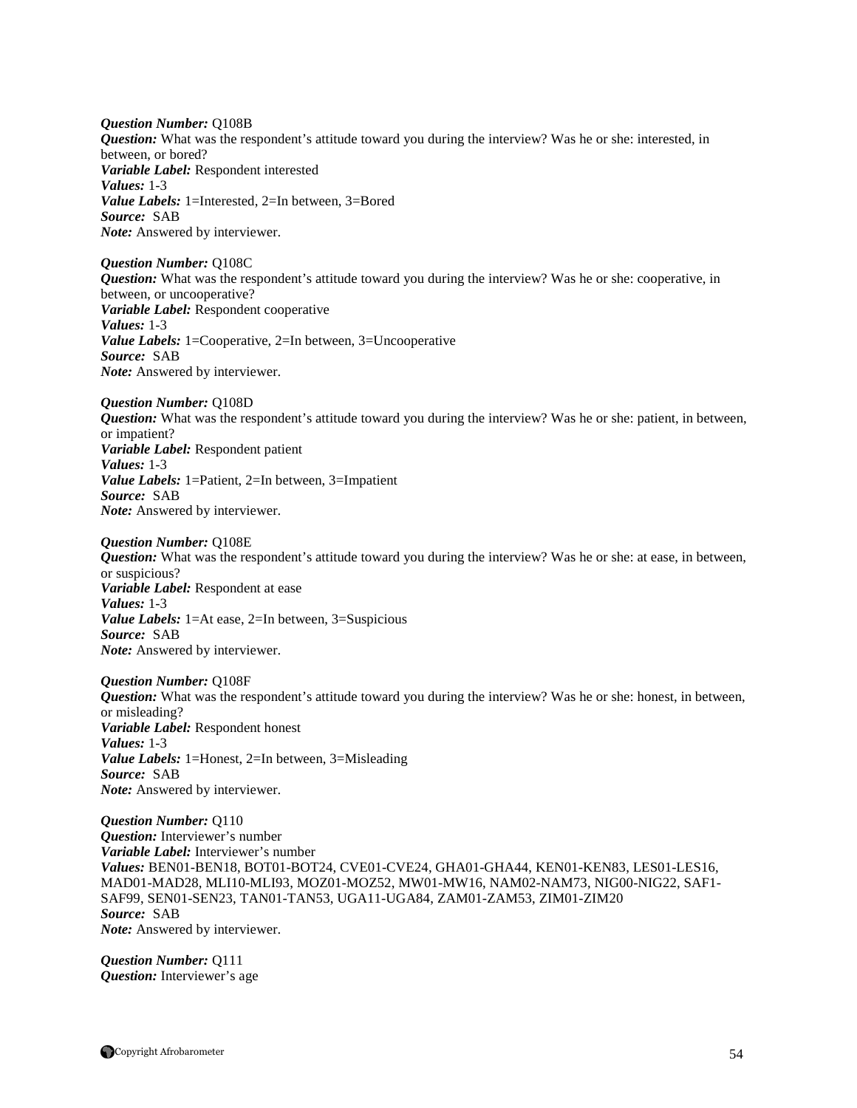*Question Number:* Q108B *Question:* What was the respondent's attitude toward you during the interview? Was he or she: interested, in between, or bored? *Variable Label:* Respondent interested *Values:* 1-3 *Value Labels:* 1=Interested, 2=In between, 3=Bored *Source:* SAB *Note:* Answered by interviewer.

#### *Question Number:* Q108C *Question:* What was the respondent's attitude toward you during the interview? Was he or she: cooperative, in between, or uncooperative? *Variable Label:* Respondent cooperative *Values:* 1-3 *Value Labels:* 1=Cooperative, 2=In between, 3=Uncooperative *Source:* SAB *Note:* Answered by interviewer.

*Question Number:* Q108D

*Question:* What was the respondent's attitude toward you during the interview? Was he or she: patient, in between, or impatient? *Variable Label:* Respondent patient *Values:* 1-3 *Value Labels:* 1=Patient, 2=In between, 3=Impatient *Source:* SAB *Note:* Answered by interviewer.

*Question Number:* Q108E

*Question:* What was the respondent's attitude toward you during the interview? Was he or she: at ease, in between, or suspicious? *Variable Label:* Respondent at ease *Values:* 1-3 *Value Labels:* 1=At ease, 2=In between, 3=Suspicious *Source:* SAB *Note:* Answered by interviewer.

*Question Number:* Q108F *Question:* What was the respondent's attitude toward you during the interview? Was he or she: honest, in between, or misleading? *Variable Label:* Respondent honest *Values:* 1-3 *Value Labels:* 1=Honest, 2=In between, 3=Misleading *Source:* SAB *Note:* Answered by interviewer.

*Question Number:* Q110 *Question:* Interviewer's number *Variable Label:* Interviewer's number *Values:* BEN01-BEN18, BOT01-BOT24, CVE01-CVE24, GHA01-GHA44, KEN01-KEN83, LES01-LES16, MAD01-MAD28, MLI10-MLI93, MOZ01-MOZ52, MW01-MW16, NAM02-NAM73, NIG00-NIG22, SAF1- SAF99, SEN01-SEN23, TAN01-TAN53, UGA11-UGA84, ZAM01-ZAM53, ZIM01-ZIM20 *Source:* SAB *Note:* Answered by interviewer.

*Question Number:* Q111 *Question:* Interviewer's age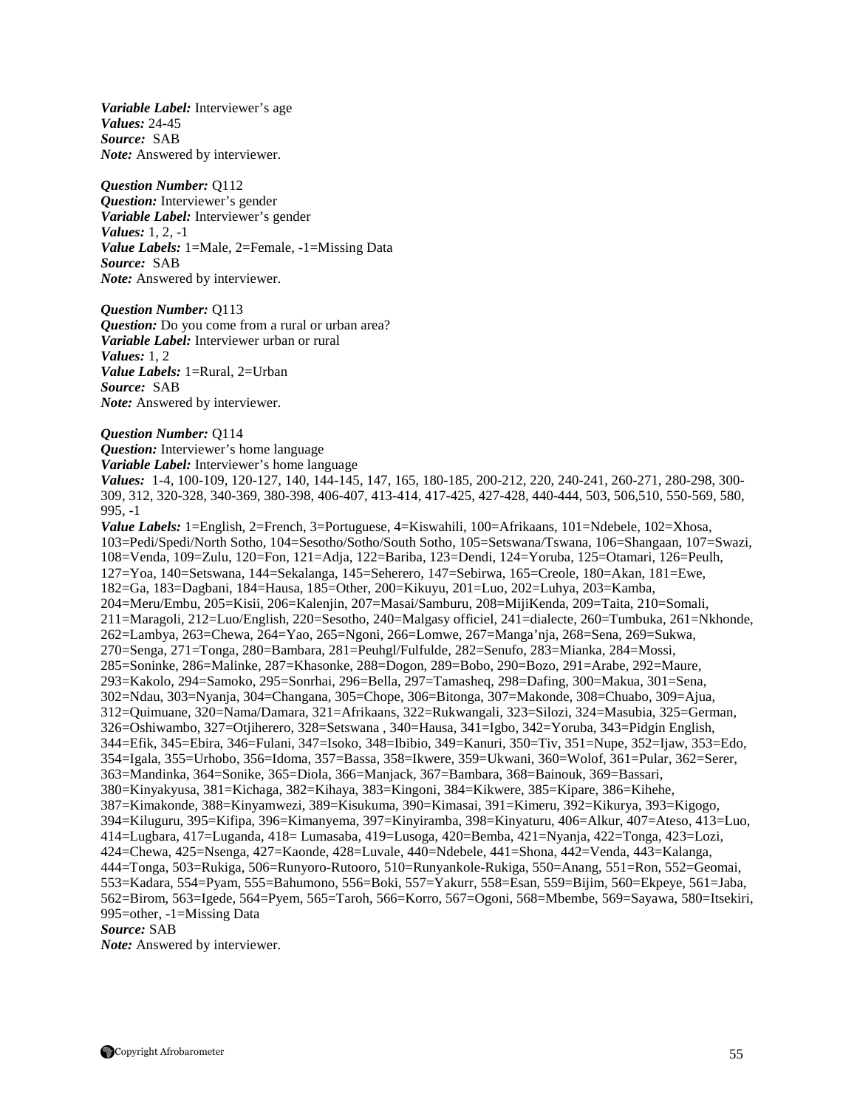*Variable Label:* Interviewer's age *Values:* 24-45 *Source:* SAB *Note:* Answered by interviewer.

*Question Number:* Q112 *Question:* Interviewer's gender *Variable Label:* Interviewer's gender *Values:* 1, 2, -1 *Value Labels:* 1=Male, 2=Female, -1=Missing Data *Source:* SAB *Note:* Answered by interviewer.

*Question Number:* Q113 *Question:* Do you come from a rural or urban area? *Variable Label:* Interviewer urban or rural *Values:* 1, 2 *Value Labels:* 1=Rural, 2=Urban *Source:* SAB *Note:* Answered by interviewer.

*Question Number:* Q114

*Question:* Interviewer's home language

*Variable Label:* Interviewer's home language

*Values:* 1-4, 100-109, 120-127, 140, 144-145, 147, 165, 180-185, 200-212, 220, 240-241, 260-271, 280-298, 300- 309, 312, 320-328, 340-369, 380-398, 406-407, 413-414, 417-425, 427-428, 440-444, 503, 506,510, 550-569, 580, 995, -1

*Value Labels:* 1=English, 2=French, 3=Portuguese, 4=Kiswahili, 100=Afrikaans, 101=Ndebele, 102=Xhosa, 103=Pedi/Spedi/North Sotho, 104=Sesotho/Sotho/South Sotho, 105=Setswana/Tswana, 106=Shangaan, 107=Swazi, 108=Venda, 109=Zulu, 120=Fon, 121=Adja, 122=Bariba, 123=Dendi, 124=Yoruba, 125=Otamari, 126=Peulh, 127=Yoa, 140=Setswana, 144=Sekalanga, 145=Seherero, 147=Sebirwa, 165=Creole, 180=Akan, 181=Ewe, 182=Ga, 183=Dagbani, 184=Hausa, 185=Other, 200=Kikuyu, 201=Luo, 202=Luhya, 203=Kamba, 204=Meru/Embu, 205=Kisii, 206=Kalenjin, 207=Masai/Samburu, 208=MijiKenda, 209=Taita, 210=Somali, 211=Maragoli, 212=Luo/English, 220=Sesotho, 240=Malgasy officiel, 241=dialecte, 260=Tumbuka, 261=Nkhonde, 262=Lambya, 263=Chewa, 264=Yao, 265=Ngoni, 266=Lomwe, 267=Manga'nja, 268=Sena, 269=Sukwa, 270=Senga, 271=Tonga, 280=Bambara, 281=Peuhgl/Fulfulde, 282=Senufo, 283=Mianka, 284=Mossi, 285=Soninke, 286=Malinke, 287=Khasonke, 288=Dogon, 289=Bobo, 290=Bozo, 291=Arabe, 292=Maure, 293=Kakolo, 294=Samoko, 295=Sonrhai, 296=Bella, 297=Tamasheq, 298=Dafing, 300=Makua, 301=Sena, 302=Ndau, 303=Nyanja, 304=Changana, 305=Chope, 306=Bitonga, 307=Makonde, 308=Chuabo, 309=Ajua, 312=Quimuane, 320=Nama/Damara, 321=Afrikaans, 322=Rukwangali, 323=Silozi, 324=Masubia, 325=German, 326=Oshiwambo, 327=Otjiherero, 328=Setswana , 340=Hausa, 341=Igbo, 342=Yoruba, 343=Pidgin English, 344=Efik, 345=Ebira, 346=Fulani, 347=Isoko, 348=Ibibio, 349=Kanuri, 350=Tiv, 351=Nupe, 352=Ijaw, 353=Edo, 354=Igala, 355=Urhobo, 356=Idoma*,* 357=Bassa, 358=Ikwere, 359=Ukwani, 360=Wolof, 361=Pular, 362=Serer, 363=Mandinka, 364=Sonike, 365=Diola, 366=Manjack, 367=Bambara, 368=Bainouk, 369=Bassari, 380=Kinyakyusa, 381=Kichaga, 382=Kihaya, 383=Kingoni, 384=Kikwere, 385=Kipare, 386=Kihehe, 387=Kimakonde, 388=Kinyamwezi, 389=Kisukuma, 390=Kimasai, 391=Kimeru, 392=Kikurya, 393=Kigogo, 394=Kiluguru, 395=Kifipa, 396=Kimanyema, 397=Kinyiramba, 398=Kinyaturu, 406=Alkur, 407=Ateso, 413=Luo, 414=Lugbara, 417=Luganda, 418= Lumasaba, 419=Lusoga, 420=Bemba, 421=Nyanja, 422=Tonga, 423=Lozi, 424=Chewa, 425=Nsenga, 427=Kaonde, 428=Luvale, 440=Ndebele, 441=Shona, 442=Venda, 443=Kalanga, 444=Tonga, 503=Rukiga, 506=Runyoro-Rutooro, 510=Runyankole-Rukiga, 550=Anang, 551=Ron, 552=Geomai, 553=Kadara, 554=Pyam, 555=Bahumono, 556=Boki, 557=Yakurr, 558=Esan, 559=Bijim, 560=Ekpeye, 561=Jaba, 562=Birom, 563=Igede, 564=Pyem, 565=Taroh, 566=Korro, 567=Ogoni, 568=Mbembe, 569=Sayawa, 580=Itsekiri, 995=other, -1=Missing Data

*Source:* SAB

*Note:* Answered by interviewer.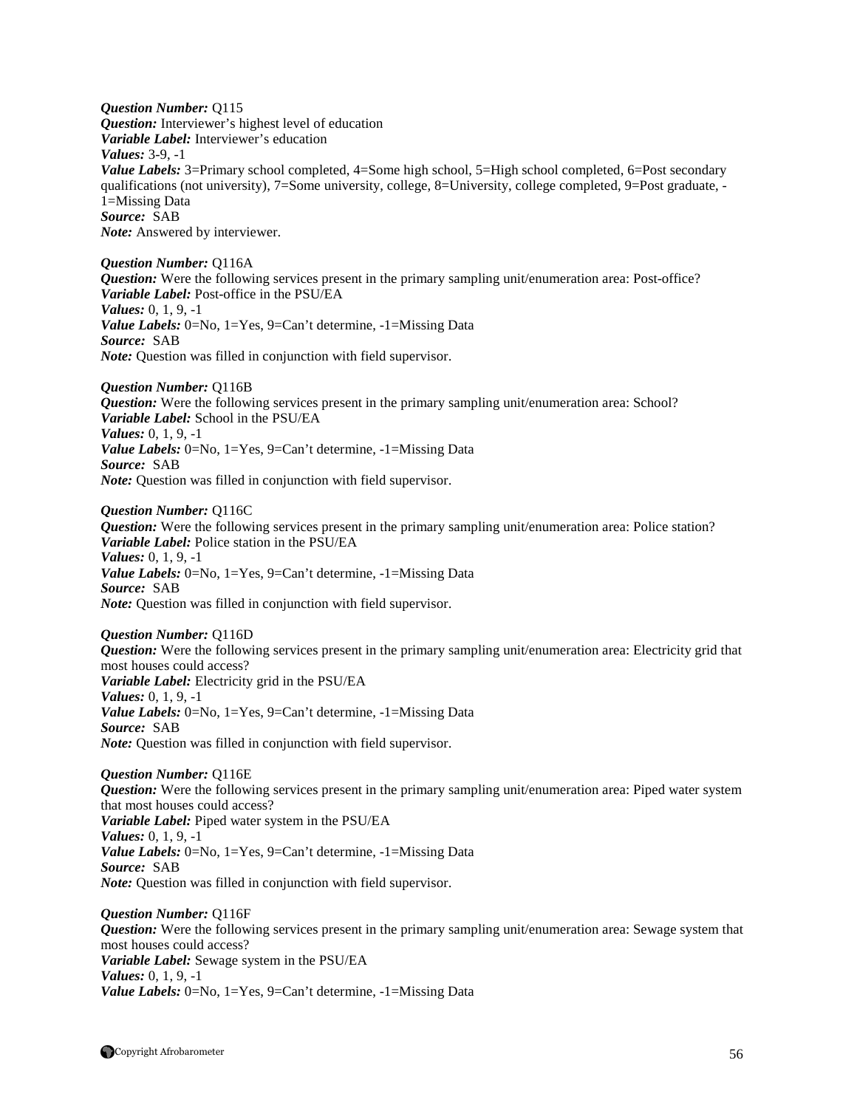*Question Number:* Q115 *Question:* Interviewer's highest level of education *Variable Label:* Interviewer's education *Values:* 3-9, -1 *Value Labels:* 3=Primary school completed, 4=Some high school, 5=High school completed, 6=Post secondary qualifications (not university), 7=Some university, college, 8=University, college completed, 9=Post graduate, - 1=Missing Data *Source:* SAB *Note:* Answered by interviewer.

*Question Number:* Q116A *Question:* Were the following services present in the primary sampling unit/enumeration area: Post-office? *Variable Label:* Post-office in the PSU/EA *Values:* 0, 1, 9, -1 *Value Labels:* 0=No, 1=Yes, 9=Can't determine, -1=Missing Data *Source:* SAB *Note:* Question was filled in conjunction with field supervisor.

*Question Number:* Q116B *Question:* Were the following services present in the primary sampling unit/enumeration area: School? *Variable Label:* School in the PSU/EA *Values:* 0, 1, 9, -1 *Value Labels:* 0=No, 1=Yes, 9=Can't determine, -1=Missing Data *Source:* SAB *Note:* Question was filled in conjunction with field supervisor.

*Question Number:* Q116C *Question:* Were the following services present in the primary sampling unit/enumeration area: Police station? *Variable Label:* Police station in the PSU/EA *Values:* 0, 1, 9, -1 *Value Labels:* 0=No, 1=Yes, 9=Can't determine, -1=Missing Data *Source:* SAB *Note:* Question was filled in conjunction with field supervisor.

*Question Number:* Q116D *Question:* Were the following services present in the primary sampling unit/enumeration area: Electricity grid that most houses could access? *Variable Label:* Electricity grid in the PSU/EA *Values:* 0, 1, 9, -1 *Value Labels:* 0=No, 1=Yes, 9=Can't determine, -1=Missing Data *Source:* SAB *Note:* Question was filled in conjunction with field supervisor.

*Question Number:* Q116E *Question:* Were the following services present in the primary sampling unit/enumeration area: Piped water system that most houses could access? *Variable Label:* Piped water system in the PSU/EA *Values:* 0, 1, 9, -1 *Value Labels:* 0=No, 1=Yes, 9=Can't determine, -1=Missing Data *Source:* SAB *Note:* Question was filled in conjunction with field supervisor.

*Question Number:* Q116F *Question:* Were the following services present in the primary sampling unit/enumeration area: Sewage system that most houses could access? *Variable Label:* Sewage system in the PSU/EA *Values:* 0, 1, 9, -1 *Value Labels:* 0=No, 1=Yes, 9=Can't determine, -1=Missing Data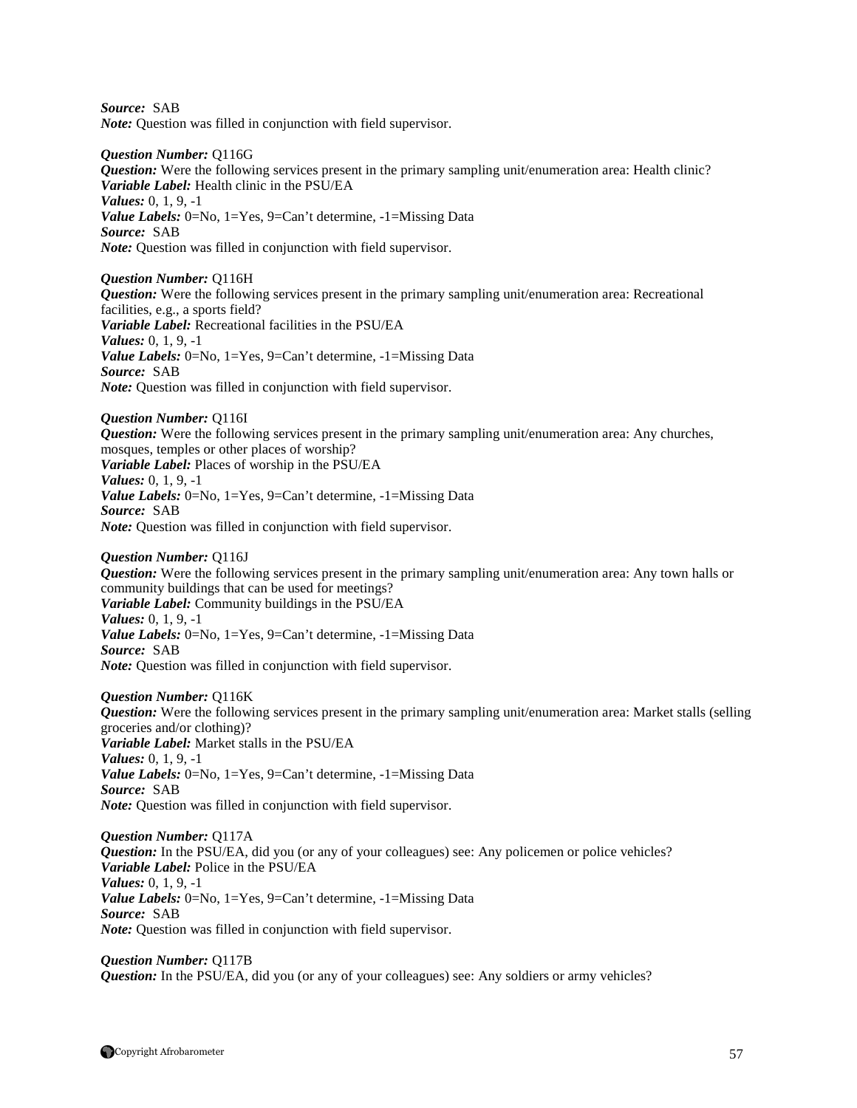*Source:* SAB *Note:* Question was filled in conjunction with field supervisor.

*Question Number:* Q116G *Question:* Were the following services present in the primary sampling unit/enumeration area: Health clinic? *Variable Label:* Health clinic in the PSU/EA *Values:* 0, 1, 9, -1 *Value Labels:* 0=No, 1=Yes, 9=Can't determine, -1=Missing Data *Source:* SAB *Note:* Question was filled in conjunction with field supervisor.

*Question Number:* Q116H *Question:* Were the following services present in the primary sampling unit/enumeration area: Recreational facilities, e.g., a sports field? *Variable Label:* Recreational facilities in the PSU/EA *Values:* 0, 1, 9, -1 *Value Labels:* 0=No, 1=Yes, 9=Can't determine, -1=Missing Data *Source:* SAB *Note:* Question was filled in conjunction with field supervisor.

*Question Number:* Q116I *Question:* Were the following services present in the primary sampling unit/enumeration area: Any churches, mosques, temples or other places of worship? *Variable Label:* Places of worship in the PSU/EA *Values:* 0, 1, 9, -1 *Value Labels:* 0=No, 1=Yes, 9=Can't determine, -1=Missing Data *Source:* SAB *Note:* Question was filled in conjunction with field supervisor.

*Question Number:* Q116J *Question:* Were the following services present in the primary sampling unit/enumeration area: Any town halls or community buildings that can be used for meetings? *Variable Label:* Community buildings in the PSU/EA *Values:* 0, 1, 9, -1 *Value Labels:* 0=No, 1=Yes, 9=Can't determine, -1=Missing Data *Source:* SAB *Note:* Question was filled in conjunction with field supervisor.

*Question Number:* Q116K *Question:* Were the following services present in the primary sampling unit/enumeration area: Market stalls (selling groceries and/or clothing)? *Variable Label:* Market stalls in the PSU/EA *Values:* 0, 1, 9, -1 *Value Labels:* 0=No, 1=Yes, 9=Can't determine, -1=Missing Data *Source:* SAB *Note:* Question was filled in conjunction with field supervisor.

*Question Number:* Q117A *Question:* In the PSU/EA, did you (or any of your colleagues) see: Any policemen or police vehicles? *Variable Label:* Police in the PSU/EA *Values:* 0, 1, 9, -1 *Value Labels:* 0=No, 1=Yes, 9=Can't determine, -1=Missing Data *Source:* SAB *Note:* Question was filled in conjunction with field supervisor.

*Question Number:* Q117B *Question:* In the PSU/EA, did you (or any of your colleagues) see: Any soldiers or army vehicles?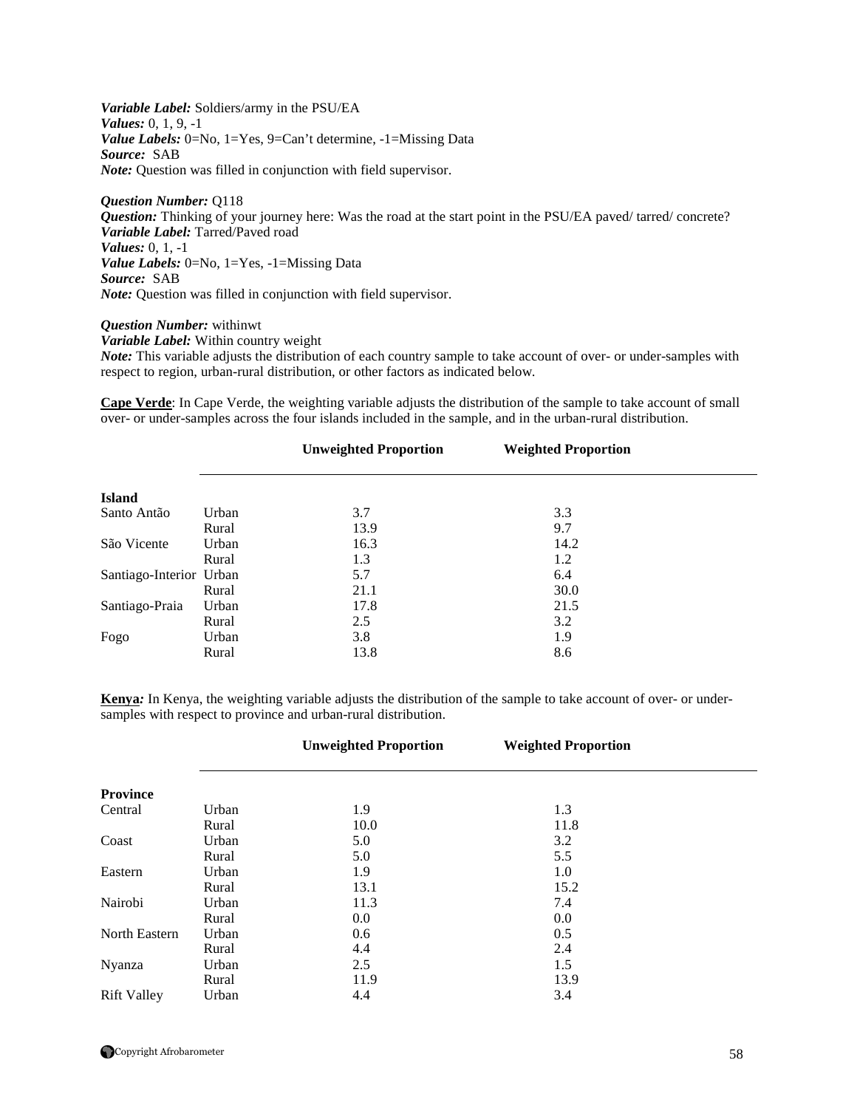*Variable Label:* Soldiers/army in the PSU/EA *Values:* 0, 1, 9, -1 *Value Labels:* 0=No, 1=Yes, 9=Can't determine, -1=Missing Data *Source:* SAB *Note:* Question was filled in conjunction with field supervisor.

*Question Number:* Q118 *Question:* Thinking of your journey here: Was the road at the start point in the PSU/EA paved/ tarred/ concrete? *Variable Label:* Tarred/Paved road *Values:* 0, 1, -1 *Value Labels:* 0=No, 1=Yes, -1=Missing Data *Source:* SAB *Note:* Question was filled in conjunction with field supervisor.

#### *Question Number:* withinwt

*Variable Label:* Within country weight

*Note:* This variable adjusts the distribution of each country sample to take account of over- or under-samples with respect to region, urban-rural distribution, or other factors as indicated below.

**Cape Verde**: In Cape Verde, the weighting variable adjusts the distribution of the sample to take account of small over- or under-samples across the four islands included in the sample, and in the urban-rural distribution.

|                         |       | <b>Unweighted Proportion</b> | <b>Weighted Proportion</b> |  |
|-------------------------|-------|------------------------------|----------------------------|--|
|                         |       |                              |                            |  |
| <b>Island</b>           |       |                              |                            |  |
| Santo Antão             | Urban | 3.7                          | 3.3                        |  |
|                         | Rural | 13.9                         | 9.7                        |  |
| São Vicente             | Urban | 16.3                         | 14.2                       |  |
|                         | Rural | 1.3                          | 1.2                        |  |
| Santiago-Interior Urban |       | 5.7                          | 6.4                        |  |
|                         | Rural | 21.1                         | 30.0                       |  |
| Santiago-Praia          | Urban | 17.8                         | 21.5                       |  |
|                         | Rural | 2.5                          | 3.2                        |  |
| Fogo                    | Urban | 3.8                          | 1.9                        |  |
|                         | Rural | 13.8                         | 8.6                        |  |

**Kenya***:* In Kenya, the weighting variable adjusts the distribution of the sample to take account of over- or undersamples with respect to province and urban-rural distribution.

|                    |       | <b>Unweighted Proportion</b> | <b>Weighted Proportion</b> |  |
|--------------------|-------|------------------------------|----------------------------|--|
|                    |       |                              |                            |  |
| <b>Province</b>    |       |                              |                            |  |
| Central            | Urban | 1.9                          | 1.3                        |  |
|                    | Rural | 10.0                         | 11.8                       |  |
| Coast              | Urban | 5.0                          | 3.2                        |  |
|                    | Rural | 5.0                          | 5.5                        |  |
| Eastern            | Urban | 1.9                          | 1.0                        |  |
|                    | Rural | 13.1                         | 15.2                       |  |
| Nairobi            | Urban | 11.3                         | 7.4                        |  |
|                    | Rural | 0.0                          | 0.0                        |  |
| North Eastern      | Urban | 0.6                          | 0.5                        |  |
|                    | Rural | 4.4                          | 2.4                        |  |
| Nyanza             | Urban | 2.5                          | 1.5                        |  |
|                    | Rural | 11.9                         | 13.9                       |  |
| <b>Rift Valley</b> | Urban | 4.4                          | 3.4                        |  |

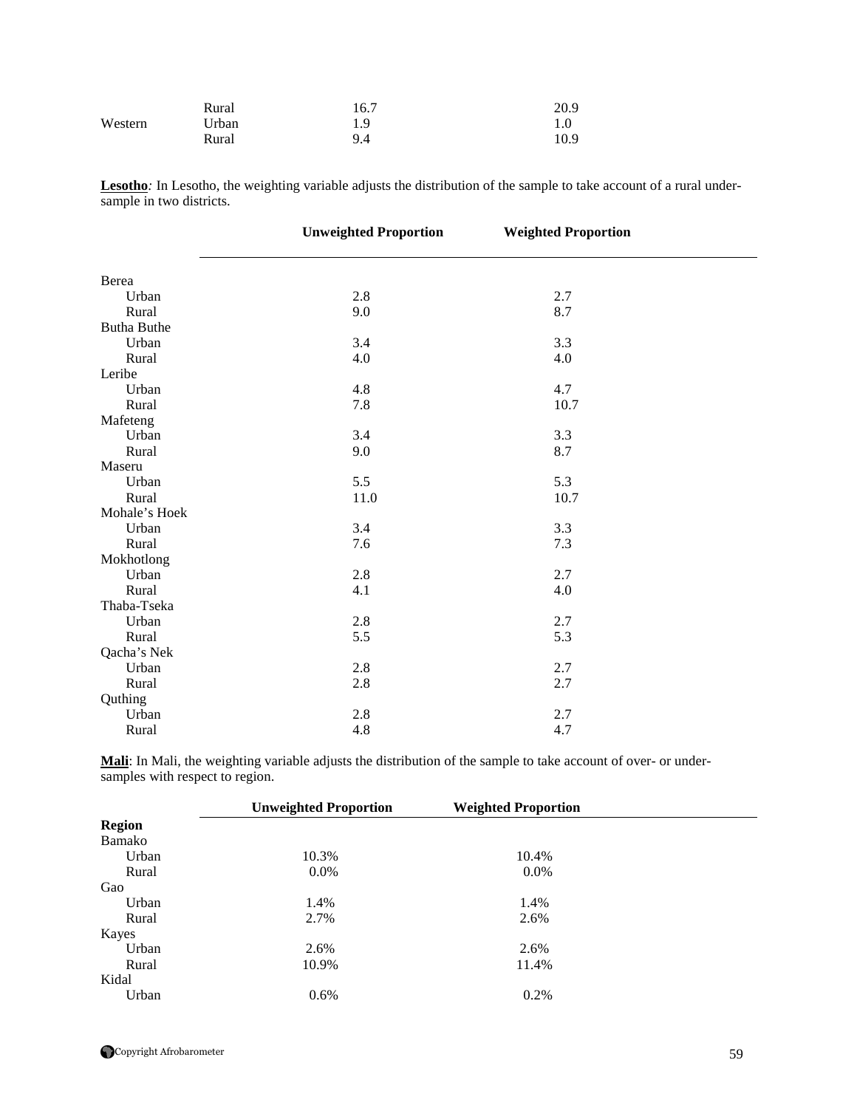|         | Rural | 16.7 | 20.9 |
|---------|-------|------|------|
| Western | Urban | 1.9  |      |
|         | Rural | 9.4  | 10.9 |

Lesotho<sub></sub>: In Lesotho, the weighting variable adjusts the distribution of the sample to take account of a rural undersample in two districts.

|                    | <b>Unweighted Proportion</b> | <b>Weighted Proportion</b> |  |
|--------------------|------------------------------|----------------------------|--|
|                    |                              |                            |  |
| Berea              |                              |                            |  |
| Urban              | $2.8\,$                      | 2.7                        |  |
| Rural              | 9.0                          | 8.7                        |  |
| <b>Butha Buthe</b> |                              |                            |  |
| Urban              | 3.4                          | 3.3                        |  |
| Rural              | 4.0                          | 4.0                        |  |
| Leribe             |                              |                            |  |
| Urban              | 4.8                          | 4.7                        |  |
| Rural              | 7.8                          | 10.7                       |  |
| Mafeteng           |                              |                            |  |
| Urban              | 3.4                          | 3.3                        |  |
| Rural              | 9.0                          | 8.7                        |  |
| Maseru             |                              |                            |  |
| Urban              | 5.5                          | 5.3                        |  |
| Rural              | 11.0                         | 10.7                       |  |
| Mohale's Hoek      |                              |                            |  |
| Urban              | 3.4                          | 3.3                        |  |
| Rural              | 7.6                          | 7.3                        |  |
| Mokhotlong         |                              |                            |  |
| Urban              | 2.8                          | 2.7                        |  |
| Rural              | 4.1                          | 4.0                        |  |
| Thaba-Tseka        |                              |                            |  |
| Urban              | 2.8                          | 2.7                        |  |
| Rural              | 5.5                          | 5.3                        |  |
| Qacha's Nek        |                              |                            |  |
| Urban              | 2.8                          | 2.7                        |  |
| Rural              | 2.8                          | 2.7                        |  |
| Quthing            |                              |                            |  |
| Urban              | 2.8                          | 2.7                        |  |
| Rural              | 4.8                          | 4.7                        |  |

**Mali**: In Mali, the weighting variable adjusts the distribution of the sample to take account of over- or undersamples with respect to region.

|               | <b>Unweighted Proportion</b> | <b>Weighted Proportion</b> |  |
|---------------|------------------------------|----------------------------|--|
| <b>Region</b> |                              |                            |  |
| Bamako        |                              |                            |  |
| Urban         | 10.3%                        | 10.4%                      |  |
| Rural         | 0.0%                         | 0.0%                       |  |
| Gao           |                              |                            |  |
| Urban         | 1.4%                         | 1.4%                       |  |
| Rural         | 2.7%                         | 2.6%                       |  |
| Kayes         |                              |                            |  |
| Urban         | 2.6%                         | 2.6%                       |  |
| Rural         | 10.9%                        | 11.4%                      |  |
| Kidal         |                              |                            |  |
| Urban         | 0.6%                         | 0.2%                       |  |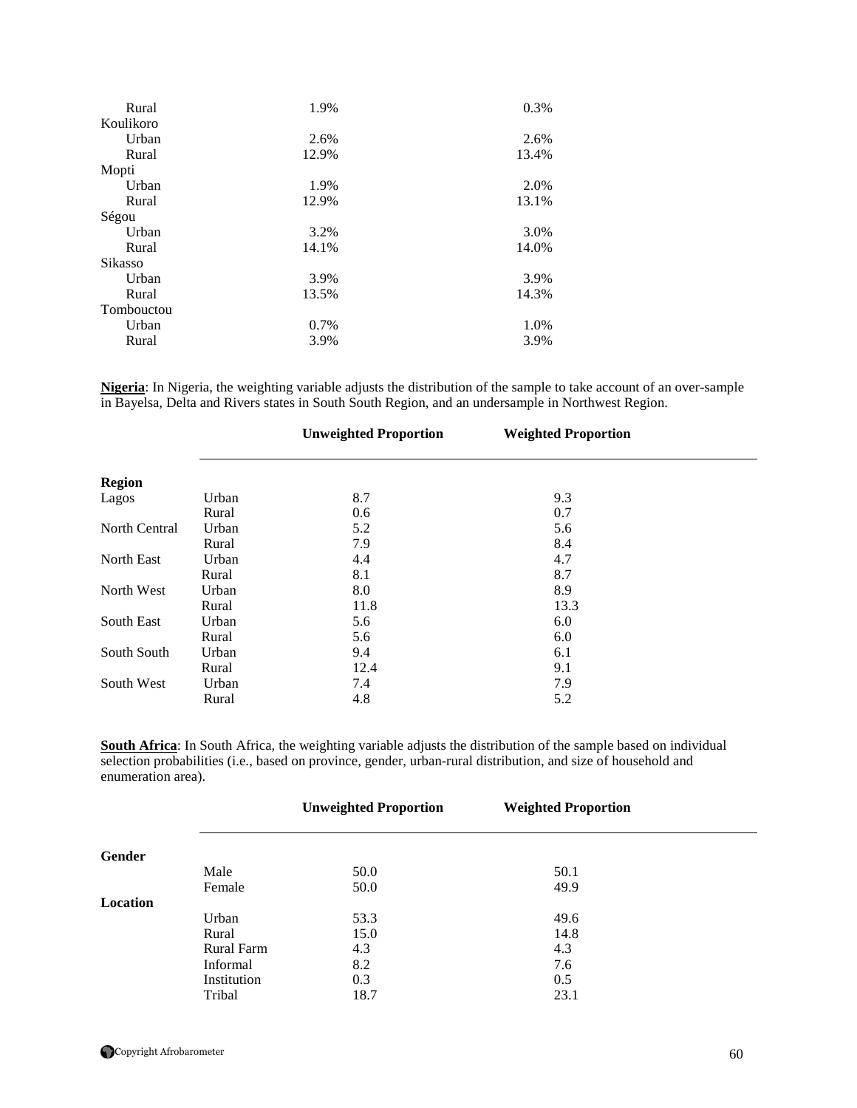| Rural      | 1.9%  | 0.3%  |
|------------|-------|-------|
| Koulikoro  |       |       |
| Urban      | 2.6%  | 2.6%  |
| Rural      | 12.9% | 13.4% |
| Mopti      |       |       |
| Urban      | 1.9%  | 2.0%  |
| Rural      | 12.9% | 13.1% |
| Ségou      |       |       |
| Urban      | 3.2%  | 3.0%  |
| Rural      | 14.1% | 14.0% |
| Sikasso    |       |       |
| Urban      | 3.9%  | 3.9%  |
| Rural      | 13.5% | 14.3% |
| Tombouctou |       |       |
| Urban      | 0.7%  | 1.0%  |
| Rural      | 3.9%  | 3.9%  |
|            |       |       |

**Nigeria**: In Nigeria, the weighting variable adjusts the distribution of the sample to take account of an over-sample in Bayelsa, Delta and Rivers states in South South Region, and an undersample in Northwest Region.

|                      |       | <b>Unweighted Proportion</b> | <b>Weighted Proportion</b> |  |
|----------------------|-------|------------------------------|----------------------------|--|
|                      |       |                              |                            |  |
| <b>Region</b>        |       |                              |                            |  |
| Lagos                | Urban | 8.7                          | 9.3                        |  |
|                      | Rural | 0.6                          | 0.7                        |  |
| <b>North Central</b> | Urban | 5.2                          | 5.6                        |  |
|                      | Rural | 7.9                          | 8.4                        |  |
| <b>North East</b>    | Urban | 4.4                          | 4.7                        |  |
|                      | Rural | 8.1                          | 8.7                        |  |
| North West           | Urban | 8.0                          | 8.9                        |  |
|                      | Rural | 11.8                         | 13.3                       |  |
| South East           | Urban | 5.6                          | 6.0                        |  |
|                      | Rural | 5.6                          | 6.0                        |  |
| South South          | Urban | 9.4                          | 6.1                        |  |
|                      | Rural | 12.4                         | 9.1                        |  |
| South West           | Urban | 7.4                          | 7.9                        |  |
|                      | Rural | 4.8                          | 5.2                        |  |

**South Africa**: In South Africa, the weighting variable adjusts the distribution of the sample based on individual selection probabilities (i.e., based on province, gender, urban-rural distribution, and size of household and enumeration area).

|          |                   | <b>Unweighted Proportion</b> | <b>Weighted Proportion</b> |  |
|----------|-------------------|------------------------------|----------------------------|--|
| Gender   |                   |                              |                            |  |
|          | Male              | 50.0                         | 50.1                       |  |
|          | Female            | 50.0                         | 49.9                       |  |
| Location |                   |                              |                            |  |
|          | Urban             | 53.3                         | 49.6                       |  |
|          | Rural             | 15.0                         | 14.8                       |  |
|          | <b>Rural Farm</b> | 4.3                          | 4.3                        |  |
|          | Informal          | 8.2                          | 7.6                        |  |
|          | Institution       | 0.3                          | 0.5                        |  |
|          | Tribal            | 18.7                         | 23.1                       |  |

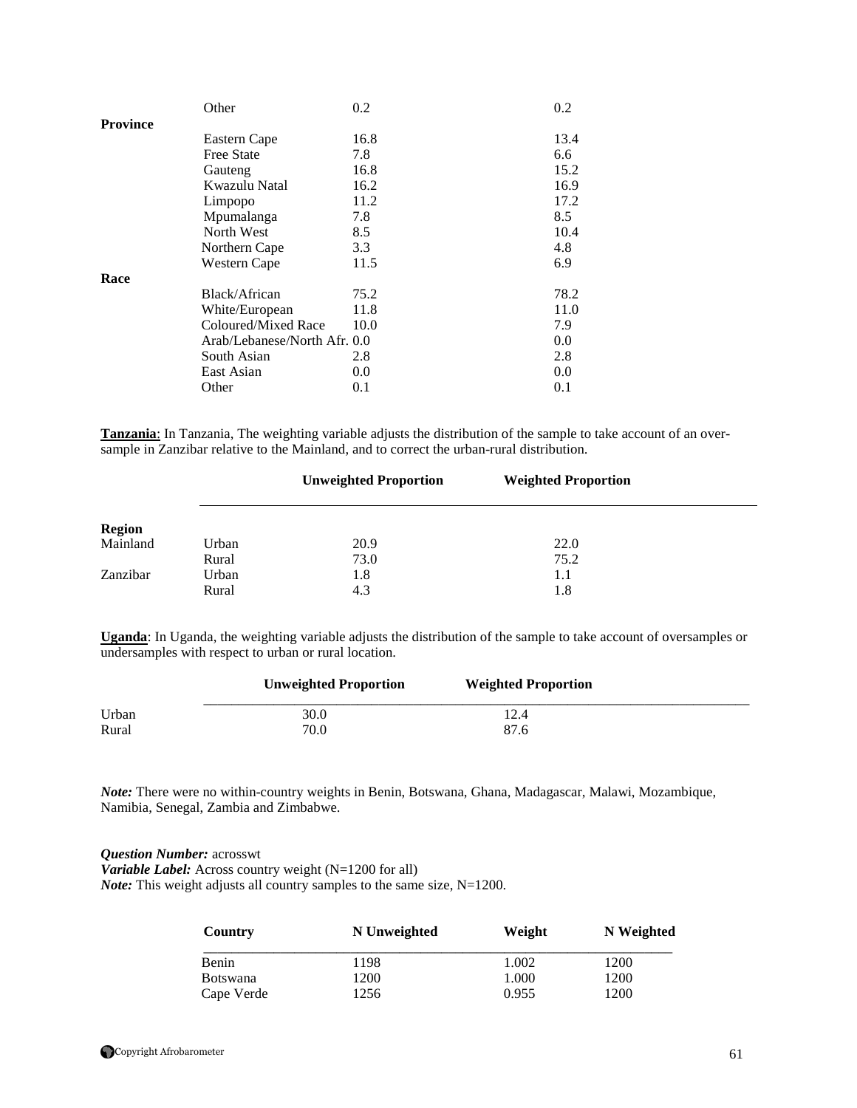|                 | Other                        | 0.2  | 0.2  |
|-----------------|------------------------------|------|------|
| <b>Province</b> |                              |      |      |
|                 | Eastern Cape                 | 16.8 | 13.4 |
|                 | Free State                   | 7.8  | 6.6  |
|                 | Gauteng                      | 16.8 | 15.2 |
|                 | Kwazulu Natal                | 16.2 | 16.9 |
|                 | Limpopo                      | 11.2 | 17.2 |
|                 | Mpumalanga                   | 7.8  | 8.5  |
|                 | North West                   | 8.5  | 10.4 |
|                 | Northern Cape                | 3.3  | 4.8  |
|                 | Western Cape                 | 11.5 | 6.9  |
| Race            |                              |      |      |
|                 | Black/African                | 75.2 | 78.2 |
|                 | White/European               | 11.8 | 11.0 |
|                 | Coloured/Mixed Race          | 10.0 | 7.9  |
|                 | Arab/Lebanese/North Afr. 0.0 |      | 0.0  |
|                 | South Asian                  | 2.8  | 2.8  |
|                 | East Asian                   | 0.0  | 0.0  |
|                 | Other                        | 0.1  | 0.1  |

**Tanzania**: In Tanzania, The weighting variable adjusts the distribution of the sample to take account of an oversample in Zanzibar relative to the Mainland, and to correct the urban-rural distribution.

|               |       | <b>Unweighted Proportion</b> | <b>Weighted Proportion</b> |  |
|---------------|-------|------------------------------|----------------------------|--|
| <b>Region</b> |       |                              |                            |  |
| Mainland      | Urban | 20.9                         | 22.0                       |  |
|               | Rural | 73.0                         | 75.2                       |  |
| Zanzibar      | Urban | 1.8                          | 1.1                        |  |
|               | Rural | 4.3                          | 1.8                        |  |

**Uganda**: In Uganda, the weighting variable adjusts the distribution of the sample to take account of oversamples or undersamples with respect to urban or rural location.

|       | <b>Unweighted Proportion</b> | <b>Weighted Proportion</b> |  |
|-------|------------------------------|----------------------------|--|
| Urban | 30.0                         |                            |  |
| Rural | 70.0                         | 87.6                       |  |

*Note:* There were no within-country weights in Benin, Botswana, Ghana, Madagascar, Malawi, Mozambique, Namibia, Senegal, Zambia and Zimbabwe.

*Question Number:* acrosswt *Variable Label:* Across country weight (N=1200 for all) *Note:* This weight adjusts all country samples to the same size, N=1200.

| Country         | N Unweighted | Weight | N Weighted |
|-----------------|--------------|--------|------------|
| <b>Benin</b>    | 198          | .002   | 1200       |
| <b>Botswana</b> | 1200         | .000.  | 1200       |
| Cape Verde      | 1256         | 0.955  | 1200       |